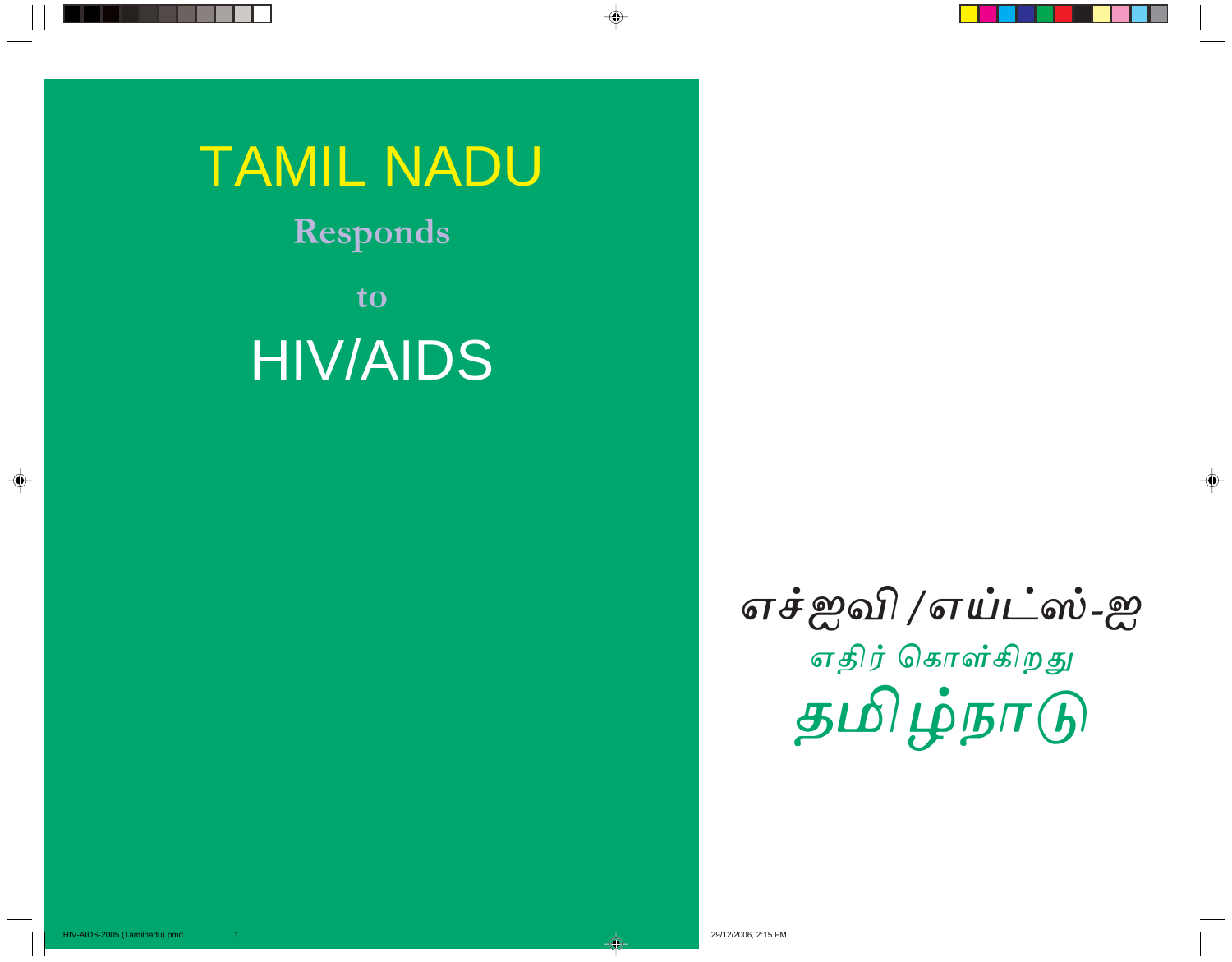TAMIL NADU

 $\color{red}\blacklozenge$ 

Responds

to HIV/AIDS

> எச்ஐவி /எய்ட்ஸ்-ஐ  $\overline{a}$ எதிர் கொள்கிறது தமிழ்நாடு

 $\clubsuit$ 

 $\begin{array}{c}\n\bigoplus\n\end{array}$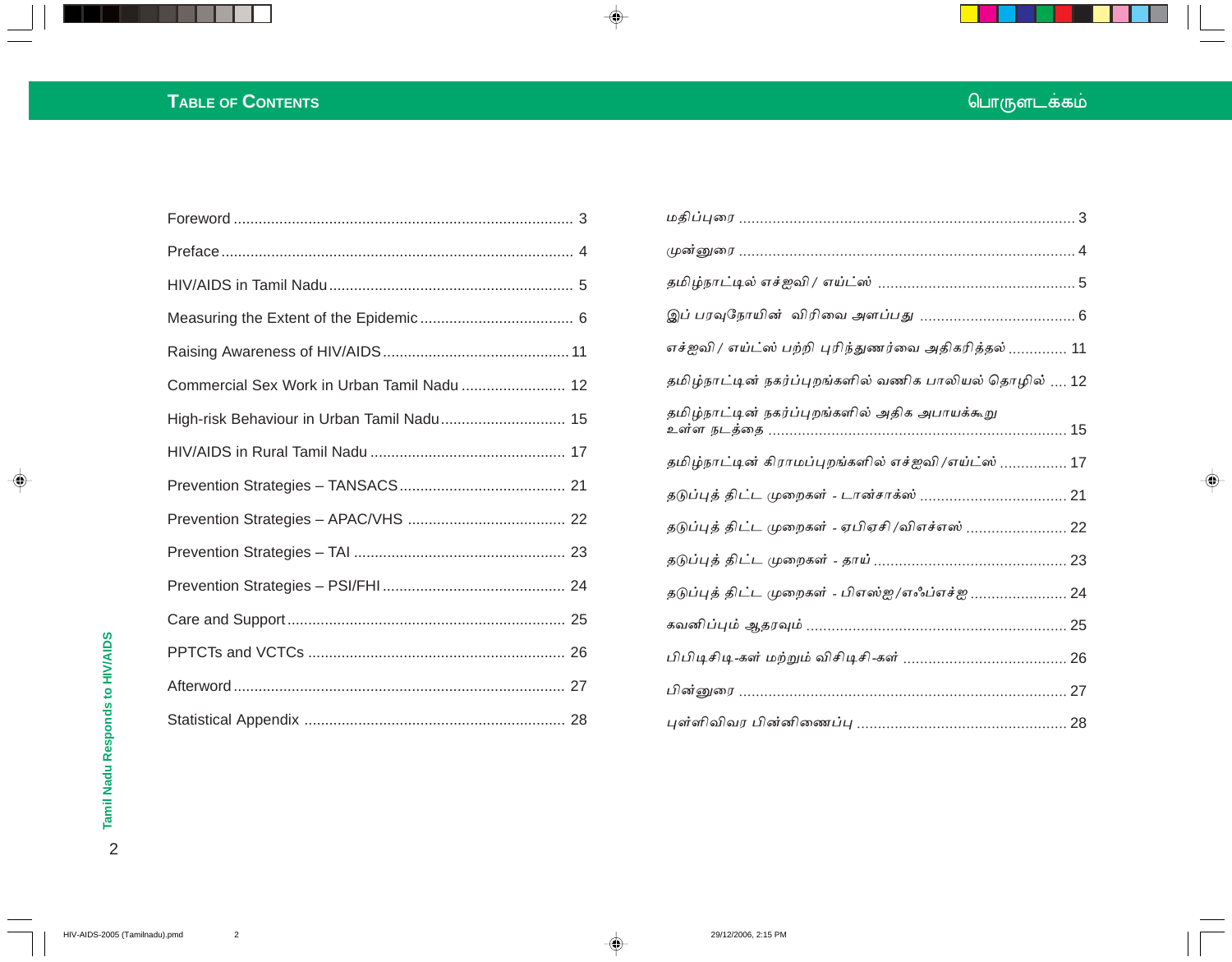# **TABLE OF CONTENTS**

| Commercial Sex Work in Urban Tamil Nadu  12 |  |
|---------------------------------------------|--|
| High-risk Behaviour in Urban Tamil Nadu 15  |  |
|                                             |  |
|                                             |  |
|                                             |  |
|                                             |  |
|                                             |  |
|                                             |  |
|                                             |  |
|                                             |  |
|                                             |  |

| எச்ஐவி / எய்ட்ஸ் பற்றி புரிந்துணர்வை அதிகரித்தல்  11   |
|--------------------------------------------------------|
| தமிழ்நாட்டின் நகர்ப்புறங்களில் வணிக பாலியல் தொழில்  12 |
| தமிழ்நாட்டின் நகர்ப்புறங்களில் அதிக அபாயக்கூறு         |
| தமிழ்நாட்டின் கிராமப்புறங்களில் எச்ஐவி /எய்ட்ஸ்  17    |
|                                                        |
| தடுப்புத் திட்ட முறைகள் - ஏபிஏசி /விஎச்எஸ்  22         |
|                                                        |
| தடுப்புத் திட்ட முறைகள் - பிஎஸ்ஐ/எஃப்எச்ஐ  24          |
|                                                        |
|                                                        |
|                                                        |
|                                                        |

 $\begin{picture}(20,5) \put(0,0){\line(1,0){10}} \put(15,0){\line(1,0){10}} \put(15,0){\line(1,0){10}} \put(15,0){\line(1,0){10}} \put(15,0){\line(1,0){10}} \put(15,0){\line(1,0){10}} \put(15,0){\line(1,0){10}} \put(15,0){\line(1,0){10}} \put(15,0){\line(1,0){10}} \put(15,0){\line(1,0){10}} \put(15,0){\line(1,0){10}} \put(15,0){\line(1,$ 

டொருளடக்கம்

 $\Rightarrow$ 

 $\spadesuit$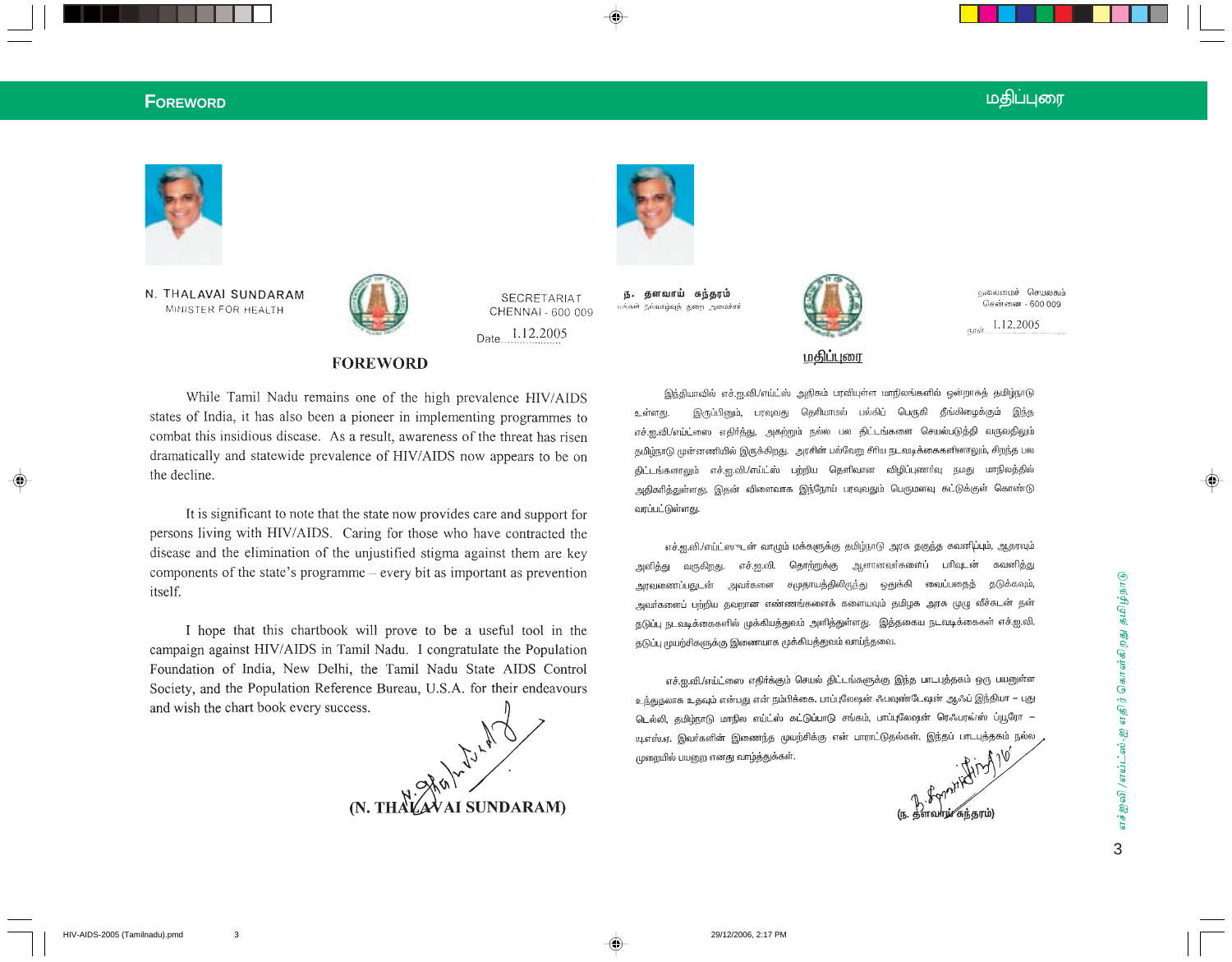## **F**OREWORD படம்பட்ட படம்பட்ட படம்பட்ட படம்பட்ட படம்பட்ட படம்பட்ட படம்பட்ட படம்பட்ட படம்பட்ட படம்பட்ட மதி







**FOREWORD** 

CHENNAI - 600 009 Date 1.12.2005

**SECRETARIAT** 

தளவாய் சுந்தரம் 15. மக்கள் நல்வாழ்வுத் துறை அமைச்சர்



குலைமைச் செயலகம் சென்னை - 600 009

 $1.12,2005$ 

மதிப்புரை

While Tamil Nadu remains one of the high prevalence HIV/AIDS states of India, it has also been a pioneer in implementing programmes to combat this insidious disease. As a result, awareness of the threat has risen dramatically and statewide prevalence of HIV/AIDS now appears to be on the decline.

It is significant to note that the state now provides care and support for persons living with HIV/AIDS. Caring for those who have contracted the disease and the elimination of the unjustified stigma against them are key components of the state's programme  $-$  every bit as important as prevention itself.

I hope that this chartbook will prove to be a useful tool in the campaign against HIV/AIDS in Tamil Nadu. I congratulate the Population Foundation of India, New Delhi, the Tamil Nadu State AIDS Control Society, and the Population Reference Bureau, U.S.A. for their endeavours and wish the chart book every success.



இந்தியாவில் எச்.ஐ.வி./எய்ட்ஸ் அதிகம் பரவியுள்ள மாநிலங்களில் ஒன்றாகத் தமிழ்நாடு இருப்பினும், பரவுவது தெரியாமல் பல்கிப் பெருகி தீங்கிழைக்கும் இந்த உள்ளது. எச்.ஐ.வி./எய்ட்ஸை எதிா்த்து, அகற்றும் நல்ல பல திட்டங்களை செயல்படுத்தி வருவதிலும் தமிழ்நாடு முன்னணியில் இருக்கிறது. அரசின் பல்வேறு சீரிய நடவடிக்கைகளினாலும், சிறந்த பல திட்டங்களாலும் எச்.ஐ.வி./எய்ட்ஸ் பற்றிய தெளிவான விழிப்புணாவு நமது மாநிலத்தில் அதிகரித்துள்ளது. இதன் விளைவாக இந்நோய் பரவுவதும் பெருமளவு கட்டுக்குள் கொண்டு வரப்பட்டுள்ளது.

எச்.ஐ.வி./எய்ட்ஸுடன் வாழும் மக்களுக்கு தமிழ்நாடு அரசு தகுந்த கவனிப்பும், ஆதரவும் எச்.ஐ.வி. தொற்றுக்கு ஆளானவா்களைப் பாிவுடன் கவனித்து அளித்து வருகிறது. அரவணைப்பதுடன் அவா்களை சமுதாயத்திலிருந்து ஒதுக்கி வைப்பதைத் தடுக்கவும், அவாகளைப் பற்றிய தவறான எண்ணங்களைக் களையவும் தமிழக அரசு முழு வீச்சுடன் தன் தடுப்பு நடவடிக்கைகளில் முக்கியத்துவம் அளித்துள்ளது. இத்தகைய நடவடிக்கைகள் எச்.ஐ.வி. தடுப்பு முயற்சிகளுக்கு இணையாக முக்கியத்துவம் வாய்ந்தவை.

எச்.ஐ.வி./எய்ட்ஸை எதிர்க்கும் செயல் திட்டங்களுக்கு இந்த பாடபுத்தகம் ஒரு பயனுள்ள உந்துதலாக உதவும் என்பது என் நம்பிக்கை. பாப்புலேஷன் ஃபவுண்டேஷன் ஆஃப் இந்தியா – புது டெல்லி, தமிழ்நாடு மாநில எய்ட்ஸ் கட்டுப்பாடு சங்கம், பாப்புலேஷன் ரெஃபரவ்ஸ் ப்யூரோ — யு.எஸ்.ஏ. இவர்களின் இணைந்த முயற்சிக்கு என் பாராட்டுதல்கள். இந்தப் பாடபுத்தகம் நல்ல முறையில் பயனுற எனது வாழ்த்துக்கள்.

(ந. தளவாழ்⁄ சுந்தரம்)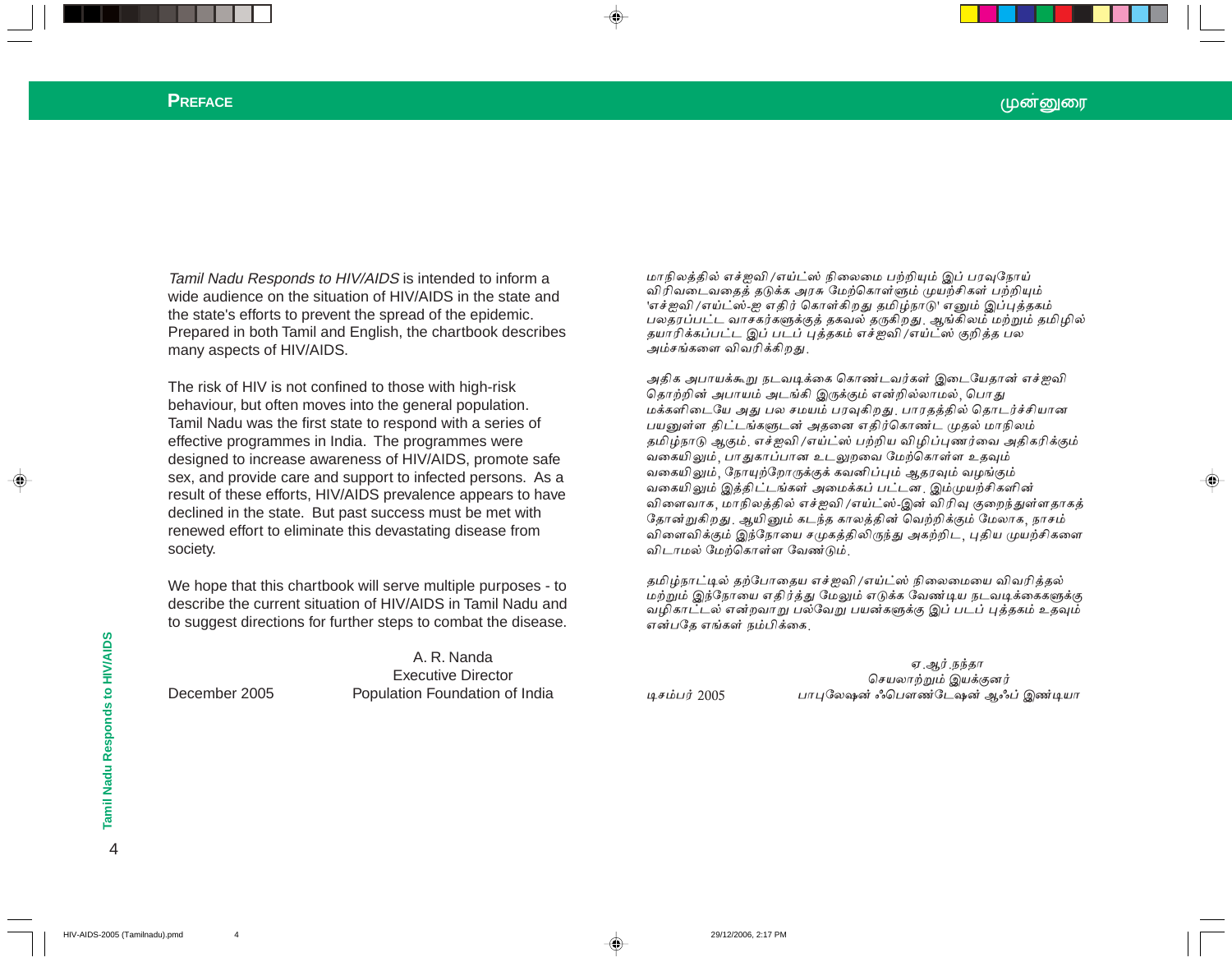#### **PREFACE**

Tamil Nadu Responds to HIV/AIDS is intended to inform a wide audience on the situation of HIV/AIDS in the state and the state's efforts to prevent the spread of the epidemic. Prepared in both Tamil and English, the chartbook describes many aspects of HIV/AIDS.

The risk of HIV is not confined to those with high-risk behaviour, but often moves into the general population. Tamil Nadu was the first state to respond with a series of effective programmes in India. The programmes were designed to increase awareness of HIV/AIDS, promote safe sex, and provide care and support to infected persons. As a result of these efforts, HIV/AIDS prevalence appears to have declined in the state. But past success must be met with renewed effort to eliminate this devastating disease from society.

We hope that this chartbook will serve multiple purposes - to describe the current situation of HIV/AIDS in Tamil Nadu and to suggest directions for further steps to combat the disease.

A. R. Nanda

**Executive Director** 

Population Foundation of India

மாநிலத்தில் எச்ஜவி /எய்ட்ஸ் நிலைமை பற்றியும் இப் பரவுநோய் விரிவடைவதைத் தடுக்க அரசு மேற்கொள்ளும் முயற்சிகள் பற்றியும் 'எச்ஐவி /எய்ட்ஸ்-ஐ எதிர் கொள்கிறது தமிழ்நாடு' எனும் இப்புத்தகம் பலதரப்பட்ட வாசகர்களுக்குத் தகவல் தருகிறது. ஆங்கிலம் மற்றும் தமிழில் தயாரிக்கப்பட்ட இப் படப் புத்தகம் எச்ஐவி /எய்ட்ஸ் குறித்த பல .<br>அம்சங்களை விவரிக்கிறது.

அதிக அபாயக்கூறு நடவடிக்கை கொண்டவர்கள் இடையேதான் எச்ஐவி தொற்றின் அபாயம் அடங்கி இருக்கும் என்றில்லாமல், பொது மக்களிடையே அது பல சமயம் பரவுகிறது. பாரதத்தில் தொடர்ச்சியான பயனுள்ள திட்டங்களுடன் அதனை எதிர்கொண்ட முதல் மாநிலம் தமிழ்நாடு ஆகும். எச்ஜவி /எய்ட்ஸ் பற்றிய விழிப்புணர்வை அதிகரிக்கும் வகையிலும், பாதுகாப்பான உடலுறவை மேற்கொள்ள உதவும் வகையிலும், நோயுற்றோருக்குக் கவனிப்பும் ஆதரவும் வழங்கும் வகையிலும் இத்திட்டங்கள் அமைக்கப் பட்டன. இம்முயற்சிகளின் விளைவாக, மாநிலத்தில் எச்ஐவி /எய்ட்ஸ்-இன் விரிவு குறைந்துள்ளதாகத் தோன்றுகிறது. ஆயினும் கடந்த காலத்தின் வெற்றிக்கும் மேலாக, நாசம் விளைவிக்கும் இந்நோயை சமுகத்திலிருந்து அகற்றிட, புதிய முயற்சிகளை விடாமல் மேற்கொள்ள வேண்டும்

தமிழ்நாட்டில் தற்போதைய எச்ஐவி /எய்ட்ஸ் நிலைமையை விவரித்தல் மற்றும் இந்நோயை எதிர்த்து மேலும் எடுக்க வேண்டிய நடவடிக்கைகளுக்கு வழிகாட்டல் என்றவாறு பல்வேறு பயன்களுக்கு இப் படப் புத்தகம் உதவும் என்பதே எங்கள் நம்பிக்கை,

டிசம்பர் 2005

ஏ ஆர் நந்தா செயலாற்றும் இயக்குனர் பாபுலேஷன் ஃபௌண்டேஷன் ஆஃப் இண்டியா

 $\overline{4}$ 

December 2005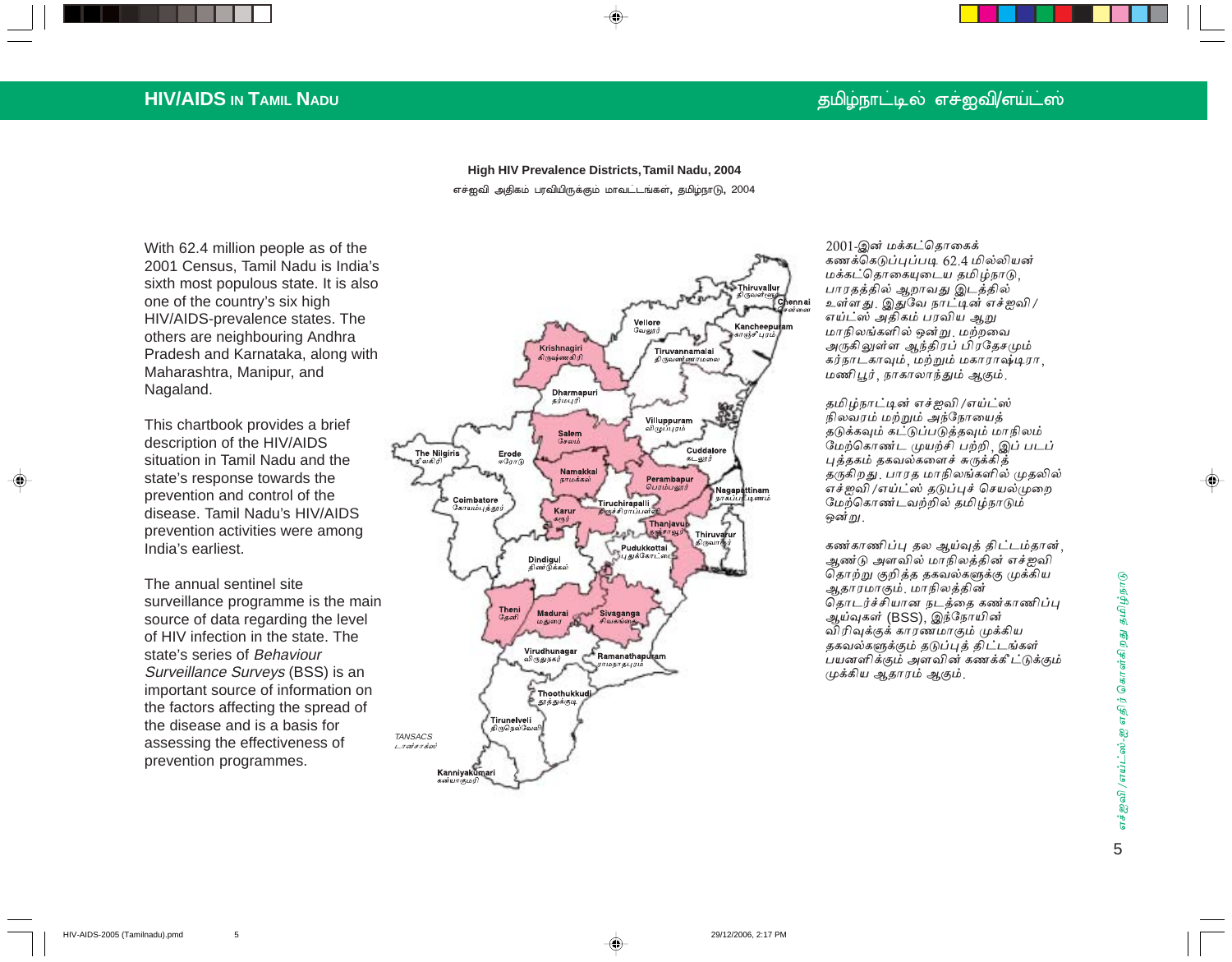## தமிழ்நாட்டில் எச்ஐவி/எய்ட்ஸ்

## **HIV/AIDS IN TAMIL NADU**

High HIV Prevalence Districts, Tamil Nadu, 2004 எச்ஐவி அதிகம் பரவியிருக்கும் மாவட்டங்கள், தமிழ்நாடு, 2004

With 62.4 million people as of the 2001 Census, Tamil Nadu is India's sixth most populous state. It is also one of the country's six high HIV/AIDS-prevalence states. The others are neighbouring Andhra Pradesh and Karnataka, along with Maharashtra, Manipur, and Nagaland.

This chartbook provides a brief description of the HIV/AIDS situation in Tamil Nadu and the state's response towards the prevention and control of the disease. Tamil Nadu's HIV/AIDS prevention activities were among India's earliest.

The annual sentinel site surveillance programme is the main source of data regarding the level of HIV infection in the state. The state's series of Behaviour Surveillance Surveys (BSS) is an important source of information on the factors affecting the spread of the disease and is a basis for assessing the effectiveness of prevention programmes.

 $\overline{5}$ 



2001-இன் மக்கட்தொகைக் கணக்கெடுப்புப்படி 62.4 மில்லியன் மக்கட்தொகையுடைய தமிழ்நாடு, பாரதத்தில் ஆறாவது இடத்தில் உள்ளது. இதுவே நாட்டின் எச்ஐவி / எய்ட்ஸ் அதிகம் பரவிய ஆறு மாநிலங்களில் ஒன்று மற்றவை அருகிலுள்ள ஆந்திரப் பிரதேசமும் கர்நாடகாவும், மற்றும் மகாராஷ்டிரா, மணிபூர், நாகாலாந்தும் ஆகும்.

தமிழ்நாட்டின் எச்ஐவி /எய்ட்ஸ் நிலவரம் மற்றும் அந்நோயைத் தடுக்கவும் கட்டுப்படுத்தவும் மாநிலம் மேற்கொண்ட முயற்சி பற்றி, இப் படப் புத்தகம் தகவல்களைச் சுருக்கித் தருகிறது. பாரத மாநிலங்களில் முதலில் எச்ஐவி /எய்ட்ஸ் தடுப்புச் செயல்முறை மேற்கொண்டவற்றில் தமிழ்நாடும் ஒன்று.

கண்காணிப்பு தல ஆய்வுத் திட்டம்தான், ஆண்டு அளவில் மாநிலத்தின் எச்ஐவி தொற்று குறித்த தகவல்களுக்கு முக்கிய ஆதாரமாகும். மாநிலத்தின் தொடர்ச்சியான நடத்தை கண்காணிப்பு ஆய்வுகள் (BSS), இந்நோயின் விரிவுக்குக் காரணமாகும் முக்கிய தகவல்களுக்கும் தடுப்புத் திட்டங்கள் பயனளிக்கும் அளவின் கணக்கீட்டுக்கும் முக்கிய ஆதாரம் ஆகும்.

◈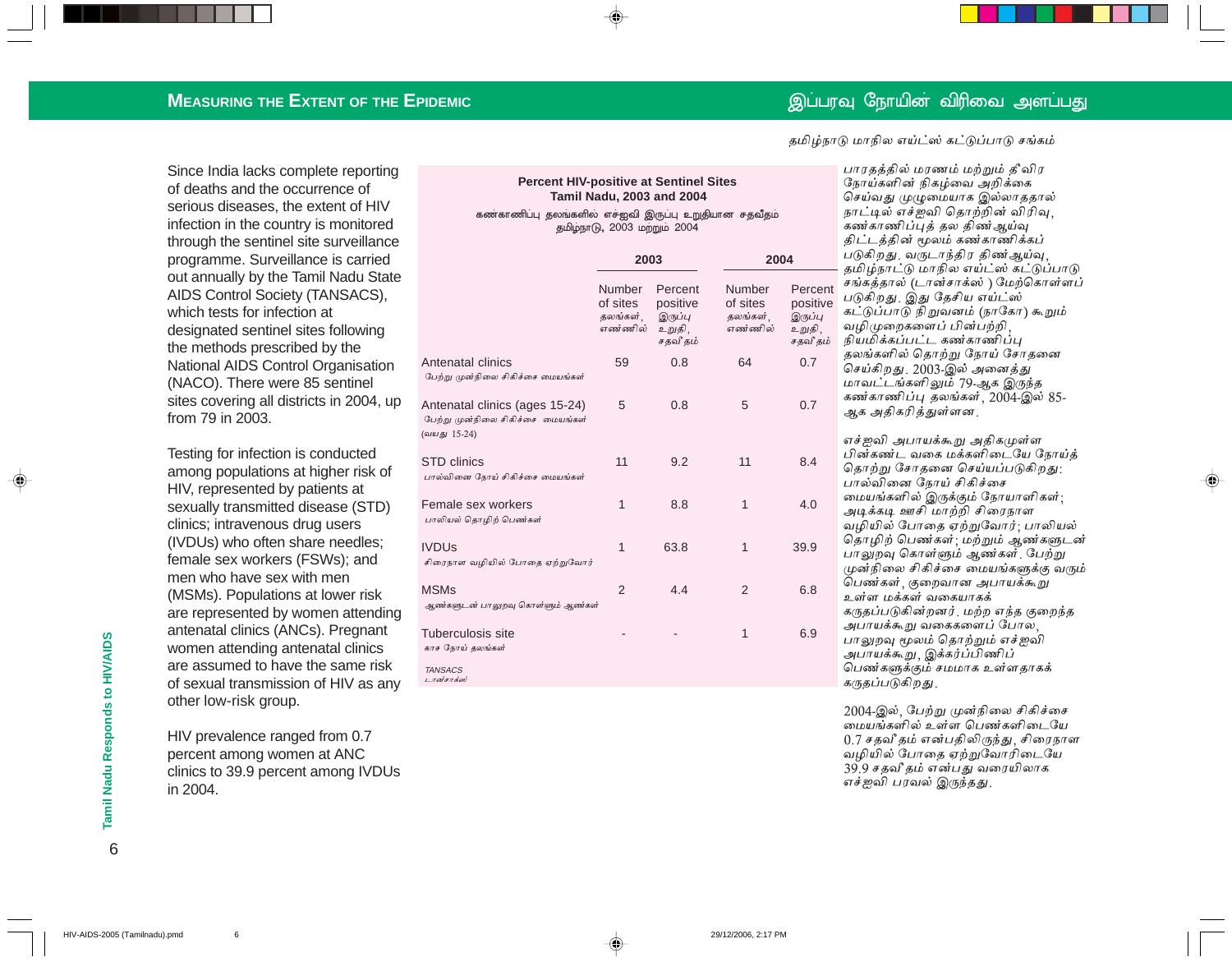தமிழ்நாடு மாநில எய்ட்ஸ் கட்டுப்பாடு சங்கம்

### **MEASURING THE EXTENT OF THE EPIDEMIC**

Since India lacks complete reporting of deaths and the occurrence of serious diseases, the extent of HIV infection in the country is monitored through the sentinel site surveillance programme. Surveillance is carried out annually by the Tamil Nadu State AIDS Control Society (TANSACS), which tests for infection at designated sentinel sites following the methods prescribed by the National AIDS Control Organisation (NACO). There were 85 sentinel sites covering all districts in 2004, up from 79 in 2003.

Testing for infection is conducted among populations at higher risk of HIV, represented by patients at sexually transmitted disease (STD) clinics; intravenous drug users (IVDUs) who often share needles; female sex workers (FSWs); and men who have sex with men (MSMs). Populations at lower risk are represented by women attending antenatal clinics (ANCs). Pregnant women attending antenatal clinics are assumed to have the same risk of sexual transmission of HIV as any other low-risk group.

HIV prevalence ranged from 0.7 percent among women at ANC clinics to 39.9 percent among IVDUs in 2004.

#### **Percent HIV-positive at Sentinel Sites Tamil Nadu, 2003 and 2004**

#### கணகாணிப்பு தலங்களில் எச்ஐவி இருப்பு உறுதியான சதவீதம் தமிழ்நாடு, 2003 மற்றும் 2004

|                                                                                     | 2003                                      |                                                      | 2004                                             |                                                      |  |  |
|-------------------------------------------------------------------------------------|-------------------------------------------|------------------------------------------------------|--------------------------------------------------|------------------------------------------------------|--|--|
|                                                                                     | Number<br>of sites<br>தலங்கள்.<br>எண்ணில் | Percent<br>positive<br>இருப்பு<br>உறுதி,<br>சதவீ தம் | <b>Number</b><br>of sites<br>தலங்கள்,<br>எண்ணில் | Percent<br>positive<br>இருப்பு<br>உறுதி,<br>சதவீ தம் |  |  |
| Antenatal clinics<br>பேற்று முன்நிலை சிகிச்சை மையங்கள்                              | 59                                        | 0.8                                                  | 64                                               | 0.7                                                  |  |  |
| Antenatal clinics (ages 15-24)<br>பேற்று முன்நிலை சிகிச்சை மையங்கள்<br>(வயது 15-24) | 5                                         | 0.8                                                  | 5                                                | 0.7                                                  |  |  |
| STD clinics<br>பால்வினை நோய் சிகிச்சை மையங்கள்                                      | 11                                        | 9.2                                                  | 11                                               | 8.4                                                  |  |  |
| Female sex workers<br>பாலியல் தொழிற் பெண்கள்                                        | 1                                         | 8.8                                                  | 1                                                | 4.0                                                  |  |  |
| <b>IVDUs</b><br>சிரைநாள வழியில் போதை ஏற்றுவோர்                                      | 1                                         | 63.8                                                 | 1                                                | 39.9                                                 |  |  |
| MSMs<br>ஆண்களுடன் பாலுறவு கொள்ளும் ஆண்கள்                                           | $\mathfrak{p}$                            | 4.4                                                  | $\mathfrak{p}$                                   | 6.8                                                  |  |  |
| Tuberculosis site<br>காச நோய் தலங்கள்                                               |                                           |                                                      | 1                                                | 6.9                                                  |  |  |
| <b>TANSACS</b><br>டான்சாக்ஸ்                                                        |                                           |                                                      |                                                  |                                                      |  |  |

பாரதத்தில் மரணம் மற்றும் தீவிர நோய்களின் நிகழ்வை அறிக்கை செய்வது முழுமையாக இல்லாததால் நாட்டில் எச்ஐவி தொற்றின் விரிவு, கண்காணிப்புத் தல திண்ஆய்வு திட்டத்தின் மூலம் கண்காணிக்கப் படுகிறது. வருடாந்திர திண ஆய்வு தமிழ்நாட்டு மாநில எய்ட்ஸ் கட்டுப்பாடு சங்கத்தால் (டான்சாக்ஸ் ) மேற்கொள்ளப் படுகிறது. இது தேசிய எய்ட்ஸ் கட்டுப்பாடு நிறுவனம் (நாகோ) கூறும் வழிமுறைகளைப் பின்பற்றி <sub>தவீதம்</sub> நியமிக்கப்பட்ட கண்காணிப்பு தலங்களில் தொற்று நோய் சோதனை செய்கிறது 2003-இல் அனைத்து மாவட்டங்களிலும் 79-ஆக இருந்த கண்காணிப்பு தலங்கள் 2004-இல் 85-ஆக அதிகரித்துள்ளன.

> எச்ஐவி அபாயக்கூறு அதிகமுள்ள பின்கண்ட வகை மக்களிடையே நோய்த் தொற்று சோதனை செய்யப்படுகிறது<sub>:</sub> பால்வினை நோய் சிகிச்சை மையங்களில் இருக்கும் நோயாளிகள்; அடிக்கடி ஊசி மாற்றி சிரைநாள வழியில் போதை ஏற்றுவோர்: பாலியல் தொழிற் பெண்கள்: மற்றும் ஆண்களுடன் பாலுறவு கொள்ளும் ஆண்கள் பேற்று முன்நிலை சிகிச்சை மையங்களுக்கு வரும் பெண்கள்<sub>,</sub> குறைவான அபாயக்கூறு உள்ள மக்கள் வகையாகக் கருதப்படுகின்றனர். மற்ற எந்த குறைந்த அபாயக்க<u>ூ</u>று வகைகளைப் போல ல பாலுறவு மூலம் தொற்றும் எச்ஐவி அபாயக்கூறு, இக்கர்ப்பிணிப் பெண்களுக்கும் சமமாக உள்ளதாகக் கருதப்படுகிறது.

♠

2004-இல், பேற்று முன்நிலை சிகிச்சை ---- - -<br>மையங்களில் உள்ள பெண்களிடையே  $0.7$  சதவீ தம் என்பதிலிருந்து, சிரைநாள வழியில் போதை ஏற்றுவோரிடையே 39.9 சதவீ தம் என்பது வரையிலாக எச்ஐவி பரவல் இருந்தது.

Tamil Nadu Responds to HIV/AIDS 6**Tamil Nadu Responds to HIV/AIDS**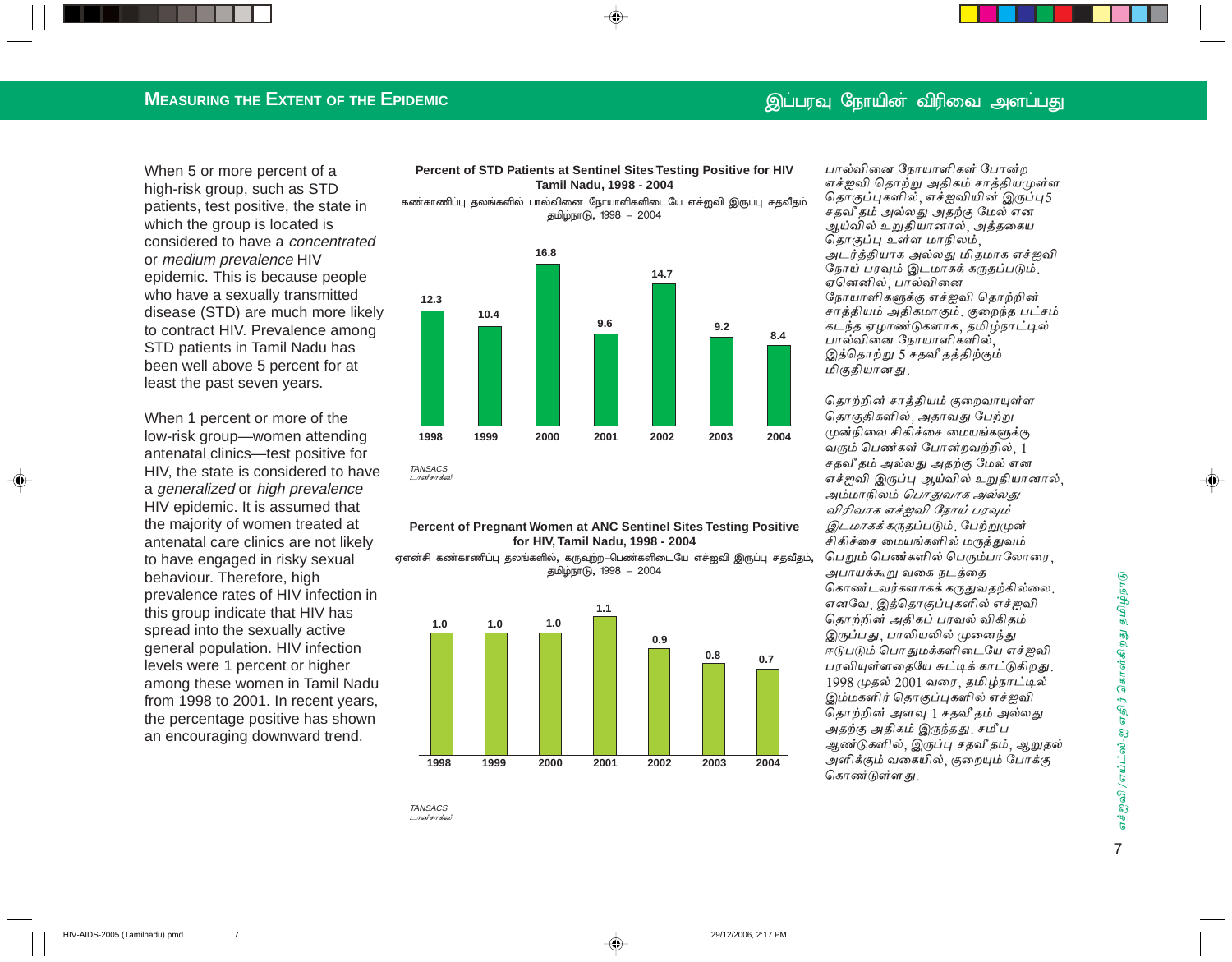## **MEASURING THE EXTENT OF THE EPIDEMIC**

When 5 or more percent of a high-risk group, such as STD patients, test positive, the state in which the group is located is considered to have a *concentrated* or medium prevalence HIV epidemic. This is because people who have a sexually transmitted disease (STD) are much more likely to contract HIV. Prevalence among STD patients in Tamil Nadu has been well above 5 percent for at least the past seven years.

When 1 percent or more of the low-risk group-women attending antenatal clinics-test positive for HIV, the state is considered to have a generalized or high prevalence HIV epidemic. It is assumed that the majority of women treated at antenatal care clinics are not likely to have engaged in risky sexual behaviour. Therefore, high prevalence rates of HIV infection in this group indicate that HIV has spread into the sexually active general population. HIV infection levels were 1 percent or higher among these women in Tamil Nadu from 1998 to 2001. In recent years, the percentage positive has shown an encouraging downward trend.

 $\overline{7}$ 

#### Percent of STD Patients at Sentinel Sites Testing Positive for HIV Tamil Nadu, 1998 - 2004

கண்காணிப்பு தலங்களில் பால்வினை நோயாளிகளிடையே எச்ஐவி இருப்பு சதவீதம் தமிழ்நாடு, 1998 – 2004



#### Percent of Pregnant Women at ANC Sentinel Sites Testing Positive for HIV, Tamil Nadu, 1998 - 2004

ஏஎன்சி கண்காணிப்பு தலங்களில், கருவுற்ற—பெண்களிடையே எச்ஐவி இருப்பு சதவீதம், தமிழ்நாடு, 1998 – 2004



**TANSACS** டான்சாக்ஸ பால்வினை நோயாளிகள் போன்ற எச்ஜவி தொற்று அதிகம் சாத்தியமுள்ள தொகுப்புகளில், எச்ஜவியின் இருப்பு5 சதவீ தம் அல்லது அதற்கு மேல் என ஆய்வில் உறுதியானால், அத்தகைய தொகுப்பு உள்ள மாநிலம், அடர்த்தியாக அல்லது மிதமாக எச்ஐவி நோய் பரவும் இடமாகக் கருதப்படும். ஏனெனில், பால்வினை நோயாளிகளுக்கு எச்ஜவி தொற்றின் சாத்தியம் அதிகமாகும். குறைந்த பட்சம் கடந்த ஏழாண்டுகளாக, தமிழ்நாட்டில் பால்வினை நோயாளிகளில் இத்தொற்று 5 சதவீ தத்திற்கும் மிகுதியானது.

தொற்றின் சாக்கியம் குறைவாயுள்ள தொகுதிகளில், அதாவது பேற்று முன்நிலை சிகிச்சை மையங்களுக்கு வரும் பெண்கள் போன்றவற்றில், 1 சதவீ தம் அல்லது அதற்கு மேல் என எச்ஜவி இருப்பு ஆய்வில் உறுதியானால். அம்மாநிலம் *பொதுவாக அல்லது* விரிவாக எச்ஜவி நோய் பரவும் இடமாகக்கருதப்படும். பேற்றுமுன் சிகிச்சை மையங்களில் மருத்துவம் பெறும் பெண்களில் பெரும்பாலோரை *அபாயக்கூறு* வகை நடத்தை கொண்டவர்களாகக் கருதுவதற்கில்லை. எனவே, இத்தொகுப்புகளில் எச்ஐவி தொற்றின் அதிகப் பரவல் விகிதம் இருப்பது, பாலியலில் முனைந்து ஈடுபடும் பொதுமக்களிடையே எச்ஜவி பரவியுள்ளதையே சுட்டிக் காட்டுகிறது. 1998 முதல் 2001 வரை, தமிழ்நாட்டில் இம்மகளிர் தொகுப்புகளில் எச்ஐவி தொற்றின் அளவு 1 சதவீ தம் அல்லது அதற்கு அதிகம் இருந்தது. சமீப ஆண்டுகளில், இருப்பு சதவீ தம், ஆறுதல் அளிக்கும் வகையில், குறையும் போக்கு கொண்டுள்ளது.

எச்ஜவி /எய்ட்ஸ்-ஐ எதிர் கொள்கிறது தமிழ்நாடு  $\overline{7}$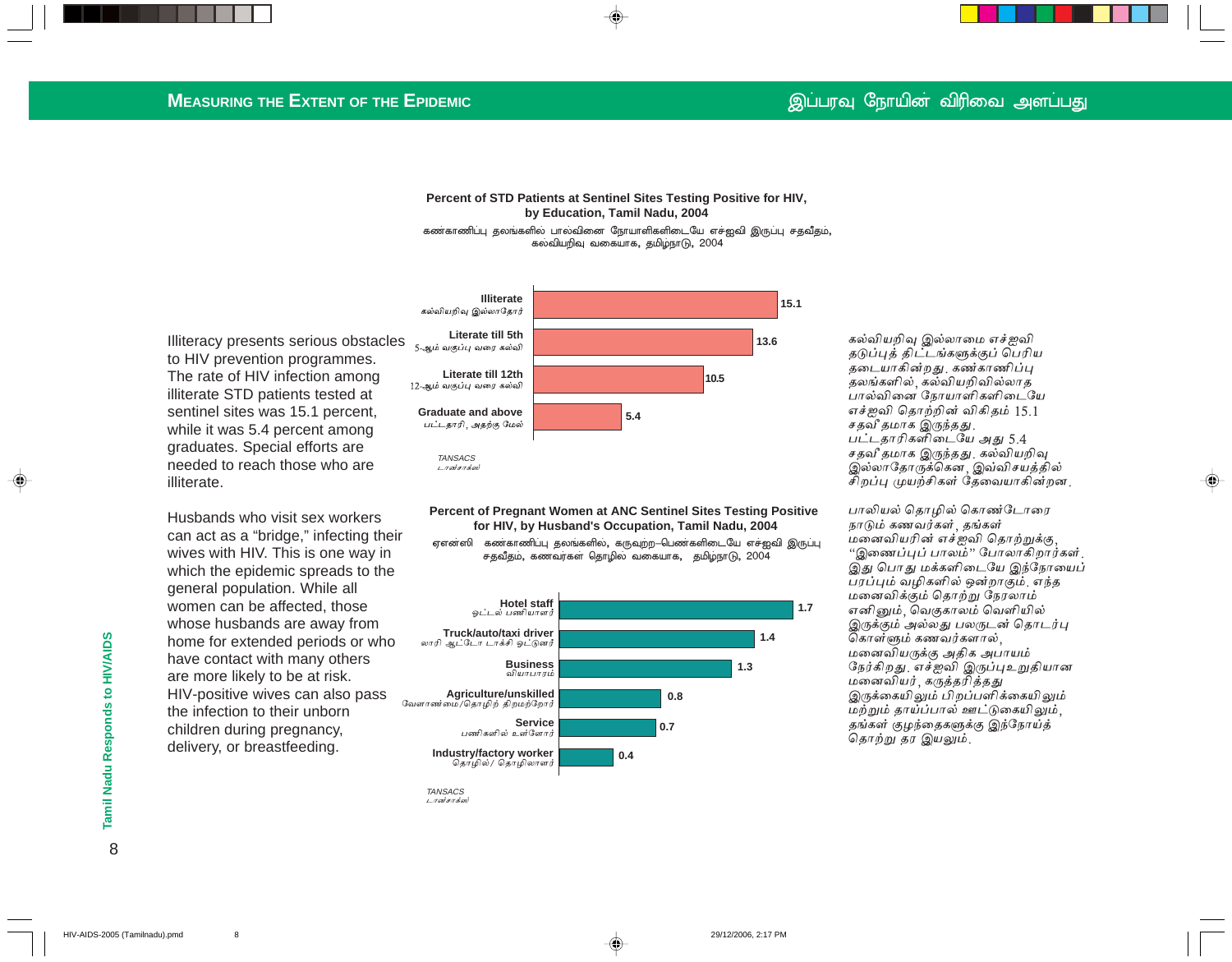#### **Percent of STD Patients at Sentinel Sites Testing Positive for HIV, by Education, Tamil Nadu, 2004** கண்காணிப்பு தலங்களில் பாலவினை நோயாளிகளிடையே எச்ஐவி இருப்பு சதவீதம்,

கல்வியறிவு வகையாக, தமிழ்நாடு, 2004

Illiteracy presents serious obstacles to HIV prevention programmes. The rate of HIV infection among illiterate STD patients tested at sentinel sites was 15.1 percent, while it was 5.4 percent among graduates. Special efforts are needed to reach those who are illiterate.

Husbands who visit sex workers can act as a "bridge," infecting their wives with HIV. This is one way in which the epidemic spreads to the general population. While all women can be affected, those whose husbands are away from home for extended periods or who have contact with many others are more likely to be at risk. HIV-positive wives can also pass the infection to their unborn children during pregnancy, delivery, or breastfeeding.



**Percent of Pregnant Women at ANC Sentinel Sites Testing Positive for HIV, by Husband's Occupation, Tamil Nadu, 2004**

ஏஎன்ஸி கண்காணிப்பு தலங்களில், கருவற்ற—பெண்களிடையே எச்ஐவி இருப்பு சதவீதம், கணவர்கள் தொழில் வகையாக, தமிழ்நாடு, 2004



டானசாக்ஸ்

கல்வியறிவு இல்லாமை எச்ஐவி தடுப்புத் திட்டங்களுக்குப் பெரிய தடையாகின்றது கண்காணிப்பு கலங்களில் கல்வியறிவில்லாக பால்வினை நோயாளிகளிடையே எச்ஐவி தொற்றின் விகிதம் 15.1 சதவீ தமாக இருந்தது. பட்டதாரிகளிடையே அது 5.4 சதவீ தமாக இருந்தது கல்வியறிவு இல்லாதோருக்கென , இவ்விசயத்தில் சிறப்பு முயற்சிகள் தேவையாகின்றன.

பாலியல் தொழில் கொண்டோரை நாடும் கணவர்கள், தங்கள் மனைவியரின் எச்ஐவி தொற்றுக்கு, "இணைப்புப் பாலம்" போலாகிறார்கள். இது பொது மக்களிடையே இந்நோயைப் பரப்பும் வழிகளில் ஒன்றாகும். எந்த மனைவிக்கும் தொற்று நேரலாம் எனினும், வெகுகாலம் வெளியில் இருக்கும் அல்லது பலருடன் தொடர்பு கொள்ளும் கணவர்களால், மனைவியருக்கு அதிக அபாயம் நேர்கிறது எச்ஐவி இருப்புஉறுதியான மனைவியர், கருத்தரித்தது இருக்கையிலும் பிறப்பளிக்கையிலும் மற்றும் தாய்ப்பால் ஊட்டுகையிலும். தங்கள் குழந்தைகளுக்கு இந்நோய்த் தொற்று தர இயலும்.

8

**1.7**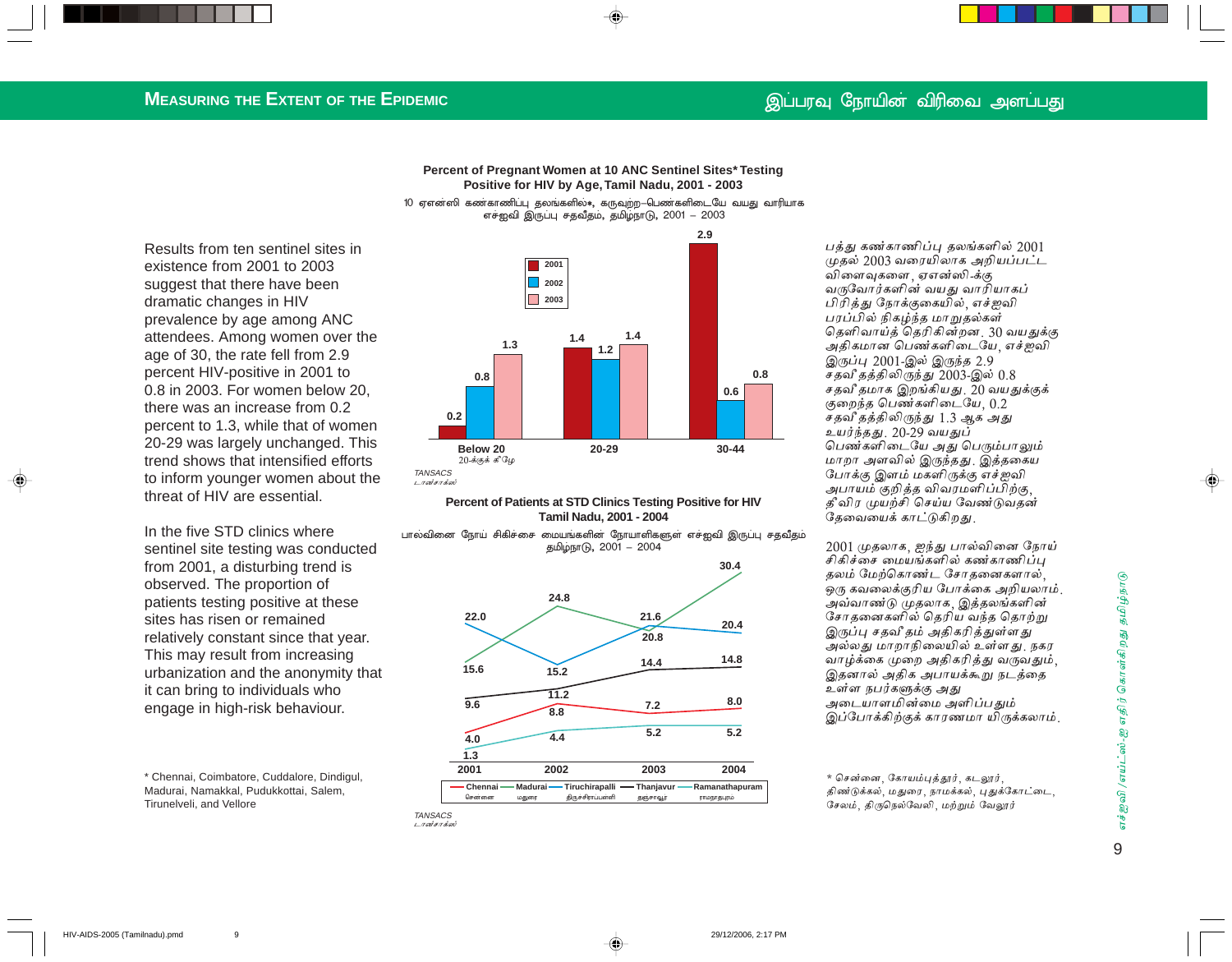### **MEASURING THE EXTENT OF THE EPIDEMIC**

**Percent of Pregnant Women at 10 ANC Sentinel Sites\* Testing Positive for HIV by Age, Tamil Nadu, 2001 - 2003** 10 ஏஎன்ஸி கண்காணிப்பு தலங்களில் $\ast,$  கருவுற்ற—பெண்களிடையே வயது வாரியாக

எச்ஐவி இருப்பு சதவீதம், தமிழ்நாடு, 2001 – 2003

Results from ten sentinel sites in existence from 2001 to 2003 suggest that there have been dramatic changes in HIV prevalence by age among ANC attendees. Among women over the age of 30, the rate fell from 2.9 percent HIV-positive in 2001 to 0.8 in 2003. For women below 20, there was an increase from 0.2 percent to 1.3, while that of women 20-29 was largely unchanged. This trend shows that intensified efforts to inform younger women about the threat of HIV are essential.

In the five STD clinics where sentinel site testing was conducted from 2001, a disturbing trend is observed. The proportion of patients testing positive at these sites has risen or remained relatively constant since that year. This may result from increasing urbanization and the anonymity that it can bring to individuals who engage in high-risk behaviour.

\* Chennai, Coimbatore, Cuddalore, Dindigul, Madurai, Namakkal, Pudukkottai, Salem, Tirunelveli, and Vellore



#### **Percent of Patients at STD Clinics Testing Positive for HIV Tamil Nadu, 2001 - 2004**

பாலவினை நோய் சிகிச்சை மையங்களின் நோயாளிகளுள் எச்ஐவி இருப்பு சதவீதம் தமிழ்நாடு, 2001 – 2004



TANSACS டானசாக்ஸ் பத்து கண்காணிப்பு தலங்களில்  $2001$  $\mu$ தல் 2003 வரையிலாக அறியப்பட்ட விளைவுகளை , ஏஎன்ஸி -க்கு வருவோர்களின் வயது வாரியாகப் பிரித்து நோக்குகையில்<sub>,</sub> எச்ஐவி பரப்பில் நிகழ்ந்த மாறுதல்கள் தெளிவாய்த் தெரிகின்றன, 30 வயதுக்கு அதிகமான பெண்களிடையே, எச்ஐவி இருப்பு 2001-இல் இருந்த 2.9 சதவீ தத்திலிருந்து 2003-இல்  $0.8\,$ சதவீ தமாக இறங்கியது 20 வயதுக்குக் குறைந்த பெண்களிடையே,  $0.2$ சதவீ தத்திலிருந்து 1.3 ஆக அது உயர்ந்தது. 20-29 வயதுப் பெண்களிடையே அது பெரும்பாலும் மாறா அளவில் இருந்தது. இத்தகைய போக்கு இளம் மகளிருக்கு எச்ஐவி அபாயம் குறித்த விவரமளிப்பிற்கு, தீ விர முயற்சி செய்ய வேண்டுவதன் தேவையைக் காட்டுகிறது.

 $2001$  முதலாக, ஐந்து பால்வினை நோய் சிகிச்சை மையங்களில் கண்காணிப்பு தலம் மேற்கொண்ட சோதனைகளால், .<br>ஒரு கவலைக்குரிய போக்கை அறியலாம். அவ்வாண்டு முதலாக, இத்தலங்களின் சோதனைகளில் தெரிய வந்த தொற்று இருப்பு சதவீ தம் அதிகரித்துள்ளது அல்லது மாறாநிலையில் உள்ளது. நகர வாழ்க்கை முறை அதிகரித்து வருவதும், இதனால் அதிக அபாயக்கூறு நடத்தை உள்ள நபர்களுக்கு அது அடையாளமின்மை அளிப்பதும் இப்போக்கிற்குக் காரணமா யிருக்கலாம்.

\* சென்னை, கோயம்புத்தூர், கடலூர், திண்டுக்கல், மதுரை, நாமக்கல், புதுக்கோட்டை, சேலம், திருநெல்வேலி, மற்றும் வேலூர்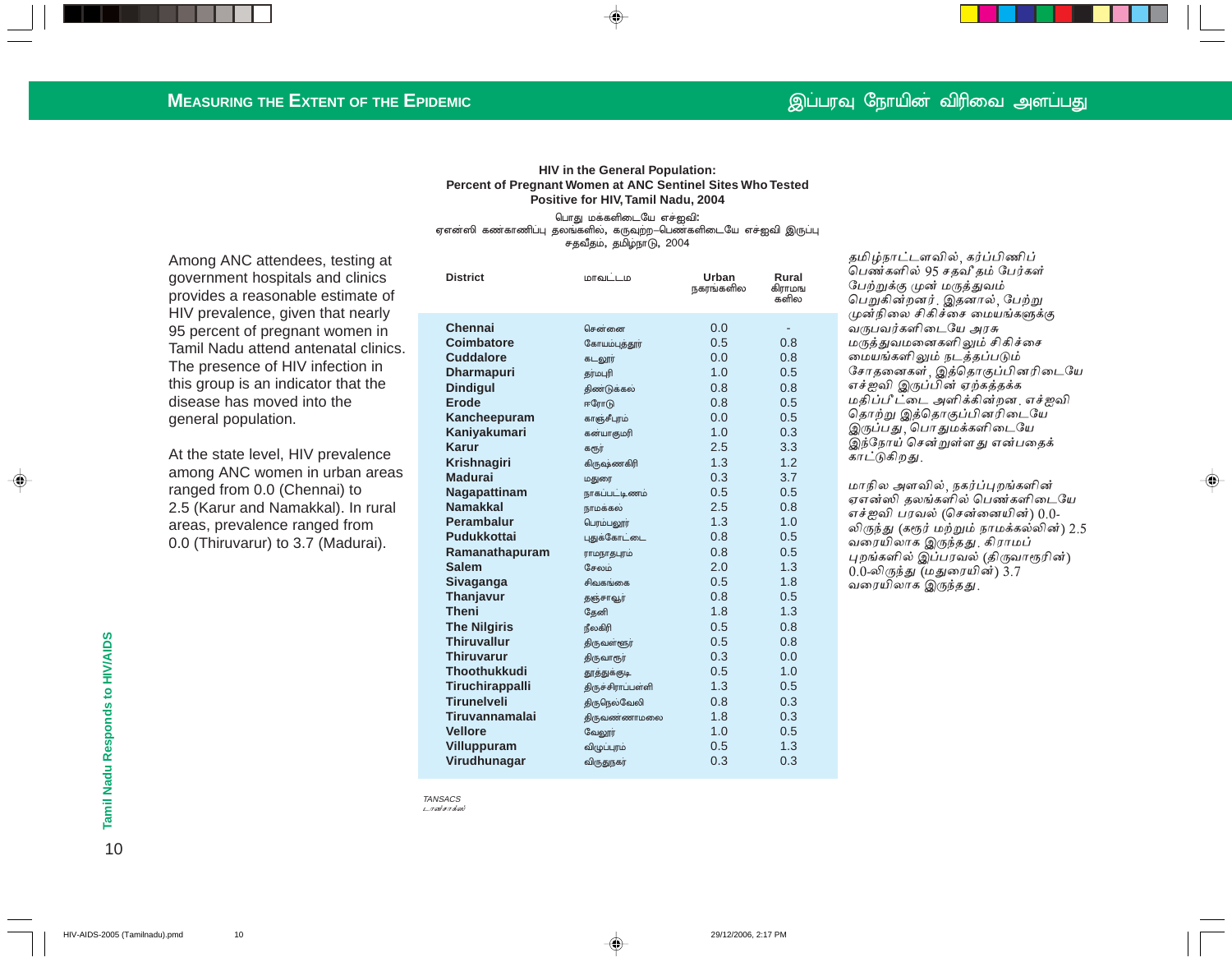#### **HIV in the General Population: Percent of Pregnant Women at ANC Sentinel Sites Who Tested Positive for HIV, Tamil Nadu, 2004**

பொது மக்களிடையே எச்ஐவி**:** ஏஎன்ஸி கண்காணிப்பு தலங்களில், கருவுற்ற—பெண்களிடையே எச்ஐவி இருப்பு சதவீதம், தமிழ்நாடு, 2004

Among ANC attendees, testing at government hospitals and clinics provides a reasonable estimate of HIV prevalence, given that nearly 95 percent of pregnant women in Tamil Nadu attend antenatal clinics. The presence of HIV infection in this group is an indicator that the disease has moved into the general population.

At the state level, HIV prevalence among ANC women in urban areas ranged from 0.0 (Chennai) to 2.5 (Karur and Namakkal). In rural areas, prevalence ranged from 0.0 (Thiruvarur) to 3.7 (Madurai).

| <b>District</b>     | மாவட்டம             | Urban<br>நகரங்களில | Rural<br>கிராமங<br>களில |
|---------------------|---------------------|--------------------|-------------------------|
| <b>Chennai</b>      | சென்னை              | 0.0                |                         |
| Coimbatore          | கோயம்புத்தூர்       | 0.5                | 0.8                     |
| <b>Cuddalore</b>    | கடலூர்              | 0.0                | 0.8                     |
| <b>Dharmapuri</b>   | தர்மபுரி            | 1.0                | 0.5                     |
| <b>Dindigul</b>     | திண்டுக்கல்         | 0.8                | 0.8                     |
| <b>Erode</b>        | ஈரோடு               | 0.8                | 0.5                     |
| Kancheepuram        | காஞ்சீபுரம்         | 0.0                | 0.5                     |
| Kaniyakumari        | கன்யாகுமரி          | 1.0                | 0.3                     |
| Karur               | கரூர்               | 2.5                | 3.3                     |
| Krishnagiri         | கிருஷ்ணகிரி         | 1.3                | 1.2                     |
| <b>Madurai</b>      | மதுரை               | 0.3                | 3.7                     |
| Nagapattinam        | நாகப்பட்டிணம்       | 0.5                | 0.5                     |
| <b>Namakkal</b>     | நாமக்கல்            | 2.5                | 0.8                     |
| <b>Perambalur</b>   | பெரம்பலூர்          | 1.3                | 1.0                     |
| <b>Pudukkottai</b>  | புதுக்கோட்டை        | 0.8                | 0.5                     |
| Ramanathapuram      | ராமநாதபுரம்         | 0.8                | 0.5                     |
| <b>Salem</b>        | சேலம்               | 2.0                | 1.3                     |
| Sivaganga           | சிவகங்கை            | 0.5                | 1.8                     |
| Thanjavur           | தஞ்சாவூர்           | 0.8                | 0.5                     |
| <b>Theni</b>        | தேனி                | 1.8                | 1.3                     |
| <b>The Nilgiris</b> | நீலகிரி             | 0.5                | 0.8                     |
| <b>Thiruvallur</b>  | திருவள்ளூர்         | 0.5                | 0.8                     |
| <b>Thiruvarur</b>   | <b>திருவாரூர்</b>   | 0.3                | 0.0                     |
| <b>Thoothukkudi</b> | தூத்துக்குடி        | 0.5                | 1.0                     |
| Tiruchirappalli     | திருச்சிராப்பள்ளி   | 1.3                | 0.5                     |
| <b>Tirunelveli</b>  | <b>திருநெல்வேலி</b> | 0.8                | 0.3                     |
| Tiruvannamalai      | கிருவண்ணாமலை        | 1.8                | 0.3                     |
| <b>Vellore</b>      | வேலூர்              | 1.0                | 0.5                     |
| <b>Villuppuram</b>  | விழுப்புரம்         | 0.5                | 1.3                     |
| Virudhunagar        | விருதுநகர்          | 0.3                | 0.3                     |

TANSACS டானசாக்ஸ்

தமிழ்நாட்டளவில், கர்ப்பிணிப் பெண்களில் 95 சதவீ தம் பேர்கள் பேற்றுக்கு முன் மருத்துவம் பெறுகின்றனர். இதனால், பேற்று முன்நிலை சிகிச்சை மையங்களுக்கு வருபவர்களிடையே அரசு மருத்துவமனைகளிலும் சிகிச்சை மையங்களிலும் நடத்தப்படும் சோதனைகள்<sub>,</sub> இத்தொகுப்பினரிடையே எச்ஐவி இருப்பின் ஏற்கத்தக்க மதிப்பீட்டை அளிக்கின்றன. எச்ஐவி தொற்று இத்தொகுப்பினரிடையே இருப்பது பொதுமக்களிடையே இந்நோய் சென்றுள்ளது என்பதைக் காட்டுகிறது.

மாநில அளவில், நகர்ப்புறங்களின் ஏஎன்ஸி தலங்களில் பெண்களிடையே எச்ஐவி பரவல் (சென்னையின்)  $0.0\text{-}$ லிருந்து (கரூர் மற்றும் நாமக்கல்லின்) 2.5 வரையிலாக இருந்தது. கிராமப் புறங்களில் இப்பரவல் (திருவாரூரின்)  $0.0$ -லிருந்து (மதுரையின்) 3.7 வரையிலாக இருந்தது.

◈

Tamil Nadu Responds to HIV/AIDS 10**Tamil Nadu Responds to HIV/AIDS**

 $10$ 

HIV-AIDS-2005 (Tamilnadu).pmd 10 29/12/2006, 2:17 PM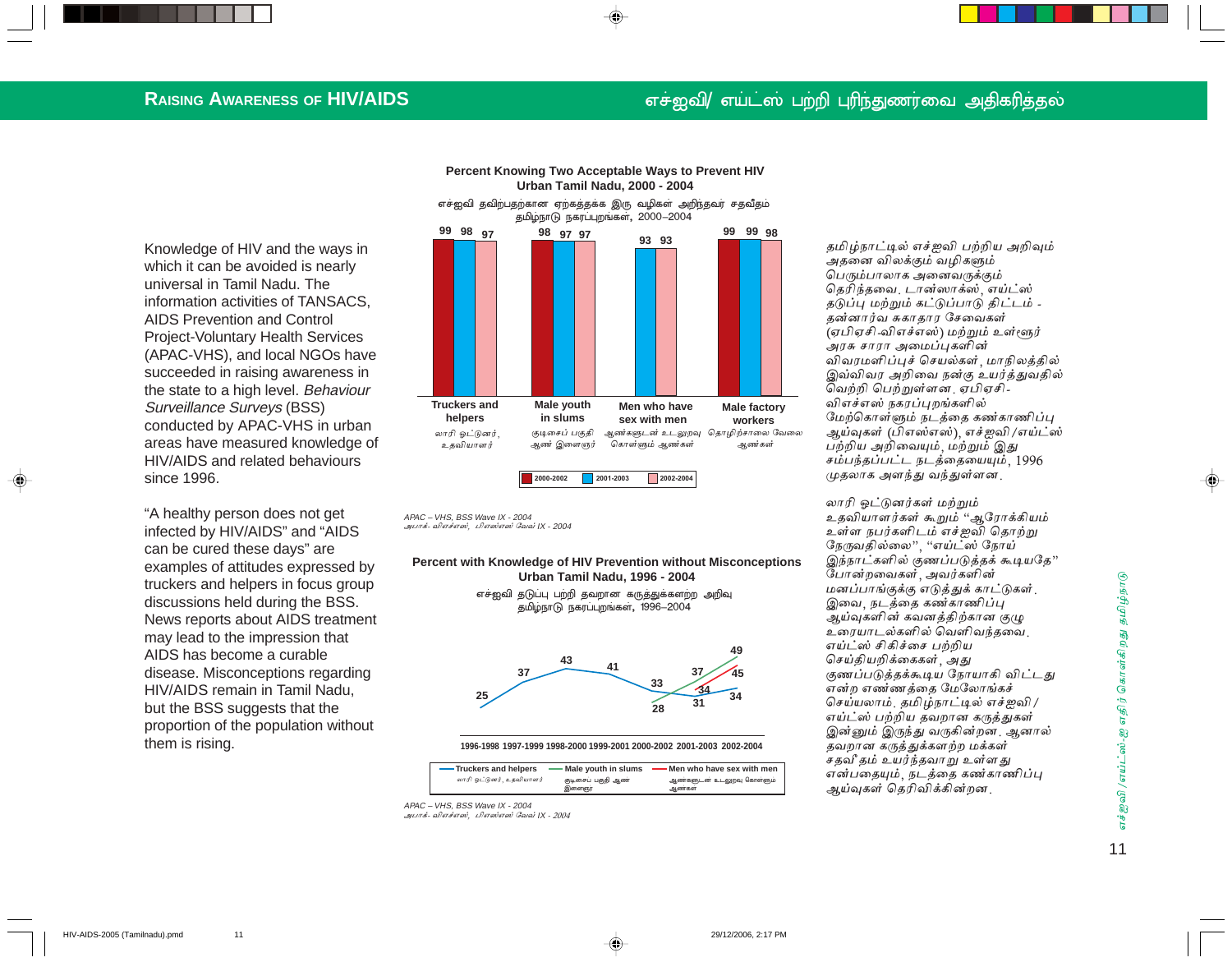#### **RAISING AWARENESS OF HIV/AIDS**

## எச்ஐவி/ எய்ட்ஸ் பற்றி புரிந்துணர்வை அதிகரித்தல்

Knowledge of HIV and the ways in which it can be avoided is nearly universal in Tamil Nadu. The information activities of TANSACS. **AIDS Prevention and Control Project-Voluntary Health Services** (APAC-VHS), and local NGOs have succeeded in raising awareness in the state to a high level. Behaviour **Surveillance Surveys (BSS)** conducted by APAC-VHS in urban areas have measured knowledge of HIV/AIDS and related behaviours since 1996.

"A healthy person does not get infected by HIV/AIDS" and "AIDS can be cured these days" are examples of attitudes expressed by truckers and helpers in focus group discussions held during the BSS. News reports about AIDS treatment may lead to the impression that AIDS has become a curable disease. Misconceptions regarding HIV/AIDS remain in Tamil Nadu, but the BSS suggests that the proportion of the population without them is rising.

 $11$ 



எச்ஐவி தவிற்பதற்கான ஏற்கத்தக்க இரு வழிகள் அறிந்தவர் சதவீதம் தமிழ்நாடு நகரப்புறங்கள், 2000-2004



APAC - VHS. BSS Wave IX - 2004 அபாக்- விஎச்எஸ், பிஎஸ்எஸ் வேவ் IX - 2004

Percent with Knowledge of HIV Prevention without Misconceptions Urban Tamil Nadu, 1996 - 2004

> எச்ஐவி கடுப்பு பற்றி கவறான கருத்துக்களற்ற அறிவு தமிழ்நாடு நகரப்புறங்கள், 1996-2004



1996-1998 1997-1999 1998-2000 1999-2001 2000-2002 2001-2003 2002-2004

| -Truckers and helpers    | Male youth in slums         | . Men who have sex with men        |
|--------------------------|-----------------------------|------------------------------------|
| லாரி ஒட்டுனர். உதவியாளர் | குடிசைப் பகுதி ஆண்<br>இளைஞர | ஆண்களுடன் உடலுறவு கொள்ளும்<br>ஆணகள |

APAC - VHS. BSS Wave IX - 2004 அபாக்- விஎச்எஸ், பிஎஸ்எஸ் வேவ் IX - 2004 தமிழ்நாட்டில் எச்ஜவி பற்றிய அறிவும் அதனை விலக்கும் வழிகளும் பெரும்பாலாக அனைவருக்கும் தெரிந்தவை, டான்ஸாக்ஸ், எய்ட்ஸ் தடுப்பு மற்றும் கட்டுப்பாடு திட்டம் -தன்னார்வ சுகாதார சேவைகள் (ஏபிஏசி -விஎச்எஸ்) மற்றும் உள்ளூர் அரசு சாரா அமைப்பகளின் விவரமளிப்புச் செயல்கள், மாநிலத்தில் இவ்விவர அறிவை நன்கு உயர்த்துவதில் வெற்றி பெற்றுள்ளன. ஏபிஏசி -விஎச்எஸ் நகரப்புறங்களில் மேற்கொள்ளும் நடத்தை கண்காணிப்பு ஆய்வுகள் (பிஎஸ்எஸ்), எச்ஜவி /எய்ட்ஸ் பற்றிய அறிவையும், மற்றும் இது சம்பந்தப்பட்ட நடத்தையையும், 1996 முதலாக அளந்து வந்துள்ளன.

லாரி ஓட்டுனர்கள் மற்றும் உதவியாளர்கள் கூறும் "ஆரோக்கியம் உள்ள நபர்களிடம் எச்ஜவி தொற்று நேருவதில்லை", "எய்ட்ஸ் நோய் இந்நாட்களில் குணப்படுத்தக் கூடியதே" போன்றவைகள், அவர்களின் மனப்பாங்குக்கு எடுத்துக் காட்டுகள். இவை, நடத்தை கண்காணிப்பு ஆய்வுகளின் கவனத்திற்கான குழு உரையாடல்களில் வெளிவந்தவை. எய்ட்ஸ் சிகிச்சை பற்றிய செய்கியறிக்கைகள் அகு குணப்படுத்தக்கூடிய நோயாகி விட்டது என்ற எண்ணத்தை மேலோங்கச் செய்யலாம். தமிழ்நாட்டில் எச்ஐவி / எய்ட்ஸ் பற்றிய தவறான கருத்துகள் இன்னும் இருந்து வருகின்றன. ஆனால் தவறான கருத்துக்களற்ற மக்கள் சதவீ தம் உயர்ந்தவாறு உள்ளது என்பதையும், நடத்தை கண்காணிப்பு அய்வகள் கெரிவிக்கின்றன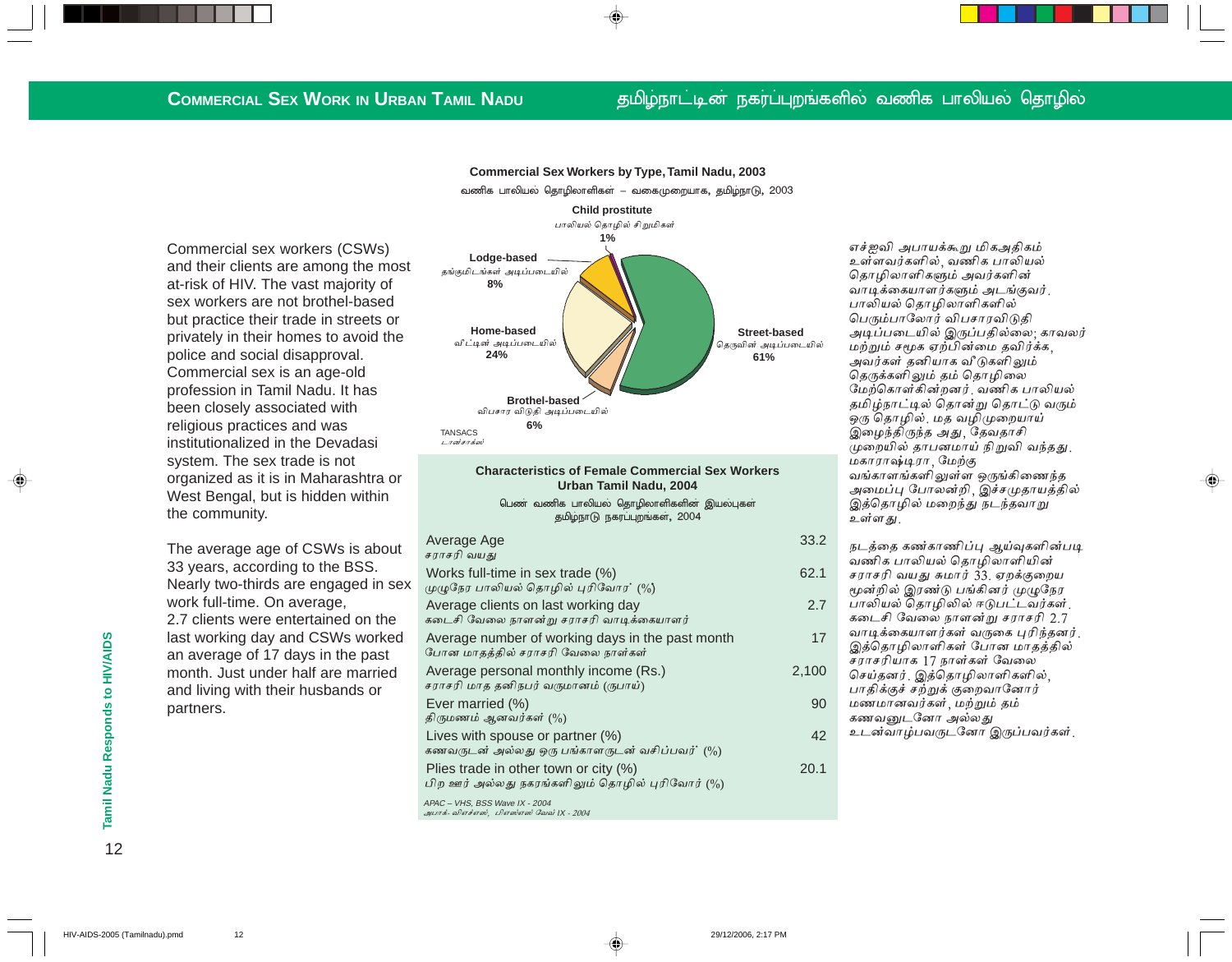### **COMMERCIAL SEX WORK IN URBAN TAMIL NADU**

### தமிழ்நாட்டின் நகர்ப்புறங்களில் வணிக பாலியல் தொழில்

**Commercial Sex Workers by Type, Tamil Nadu, 2003** வணிக பாலியல் தொழிலாளிகள் – வகைமுறையாக, தமிழ்நாடு, 2003

Commercial sex workers (CSWs) and their clients are among the most at-risk of HIV. The vast majority of sex workers are not brothel-based but practice their trade in streets or privately in their homes to avoid the police and social disapproval. Commercial sex is an age-old profession in Tamil Nadu. It has been closely associated with religious practices and was institutionalized in the Devadasi system. The sex trade is not organized as it is in Maharashtra or West Bengal, but is hidden within the community.

The average age of CSWs is about 33 years, according to the BSS. Nearly two-thirds are engaged in sex work full-time. On average, 2.7 clients were entertained on the last working day and CSWs worked an average of 17 days in the past month. Just under half are married and living with their husbands or partners.



#### **Characteristics of Female Commercial Sex Workers** Urban Tamil Nadu, 2004

பெண் வணிக பாலியல் தொழிலாளிகளின் இயல்புகள் தமிழ்நாடு நகரப்புறங்கள், 2004

| Average Age<br>சராசரி வயது                                                                  | 33.2  |
|---------------------------------------------------------------------------------------------|-------|
| Works full-time in sex trade (%)<br>முழுநேர பாலியல் தொழில் புரிவோர' (%)                     | 62.1  |
| Average clients on last working day<br>கடைசி வேலை நாளன்று சராசரி வாடிக்கையாளர்              | 2.7   |
| Average number of working days in the past month<br>போன மாதத்தில் சராசரி வேலை நாள்கள்       | 17    |
| Average personal monthly income (Rs.)<br>சராசரி மாத தனிநபர் வருமானம் (ருபாய்)               | 2,100 |
| Ever married (%)<br>திருமணம் ஆனவர்கள் (%)                                                   | 90    |
| Lives with spouse or partner (%)<br>கணவருடன் அல்லது ஒரு பங்காளருடன் வசிப்பவர்' (%)          | 42    |
| Plies trade in other town or city $(\%)$<br>பிற ஊர் அல்லது நகரங்களிலும் தொழில் புரிவோர் (%) | 20.1  |
| $APAC - VHS$ BSS Wave IX - 2004                                                             |       |

⊕

AFAC = ขาเง, บงง พลงธาx - 2004<br>*அபாக்- விஎச்எஸ், பிஎஸ்எஸ் வேவ் |X - 2004* 

எச்ஐவி அபாயக்கூறு மிகஅதிகம் உள்ளவர்களில், வணிக பாலியல் தொழிலாளிகளும் அவர்களின் வாடிக்கையாளர்களும் அடங்குவர். பாலியல் தொழிலாளிகளில் பெரும்பாலோர் விபசாரவிடுதி அடிப்படையில் இருப்பதில்லை: காவலர் மற்றும் சமூக ஏற்பின்மை தவிர்க்க, அவர்கள் தனியாக வீடுகளிலும் தெருக்களிலும் தம் தொழிலை மேற்கொள்கின்றனர். வணிக பாலியல் தமிழ்நாட்டில் தொன்று தொட்டு வரும் ஒரு தொழில், மத வழிமுறையாய் இழைந்திருந்த அது, தேவதாசி முறையில் தாபனமாய் நிறுவி வந்தது. மகாராஷ்டிரா, மேற்கு வங்காளங்களிலுள்ள ஒருங்கிணைந்த அமைப்பு போலன்றி, இச்சமுதாயத்தில் இத்தொழில் மறைந்து நடந்தவாறு உள்ளது.

♠

| 33.2  | நடத்தை கண்காணிப்பு ஆய்வுகளின்படி                          |
|-------|-----------------------------------------------------------|
|       | வணிக பாலியல் தொழிலாளியின்                                 |
| 62.1  | சராசரி வயது சுமார் 33. ஏறக்குறைய                          |
|       | மூன்றில் இரண்டு பங்கினர் முழுநேர                          |
| 2.7   | பாலியல் தொழிலில் ஈடுபட்டவர்கள்.                           |
|       | கடைசி வேலை நாளன்று சராசரி 2.7                             |
| 17    | வாடிக்கையாளர்கள் வருகை புரிந்தனர்.                        |
|       | இத்தொழிலாளிகள் போன மாதத்தில்<br>சராசரியாக 17 நாள்கள் வேலை |
| 2,100 | செய்தனர். இத்தொழிலாளிகளில்,                               |
|       | பாதிக்குச் சற்றுக் குறைவானோர்                             |
| 90    | மணமானவர்கள், மற்றும் தம்                                  |
|       | கணவனுடனோ அல்லது                                           |
| 42    | உடன்வாழ்பவருடனோ இருப்பவர்கள்.                             |
|       |                                                           |

 $12$ 

Tamil Nadu Responds to HIV/AIDS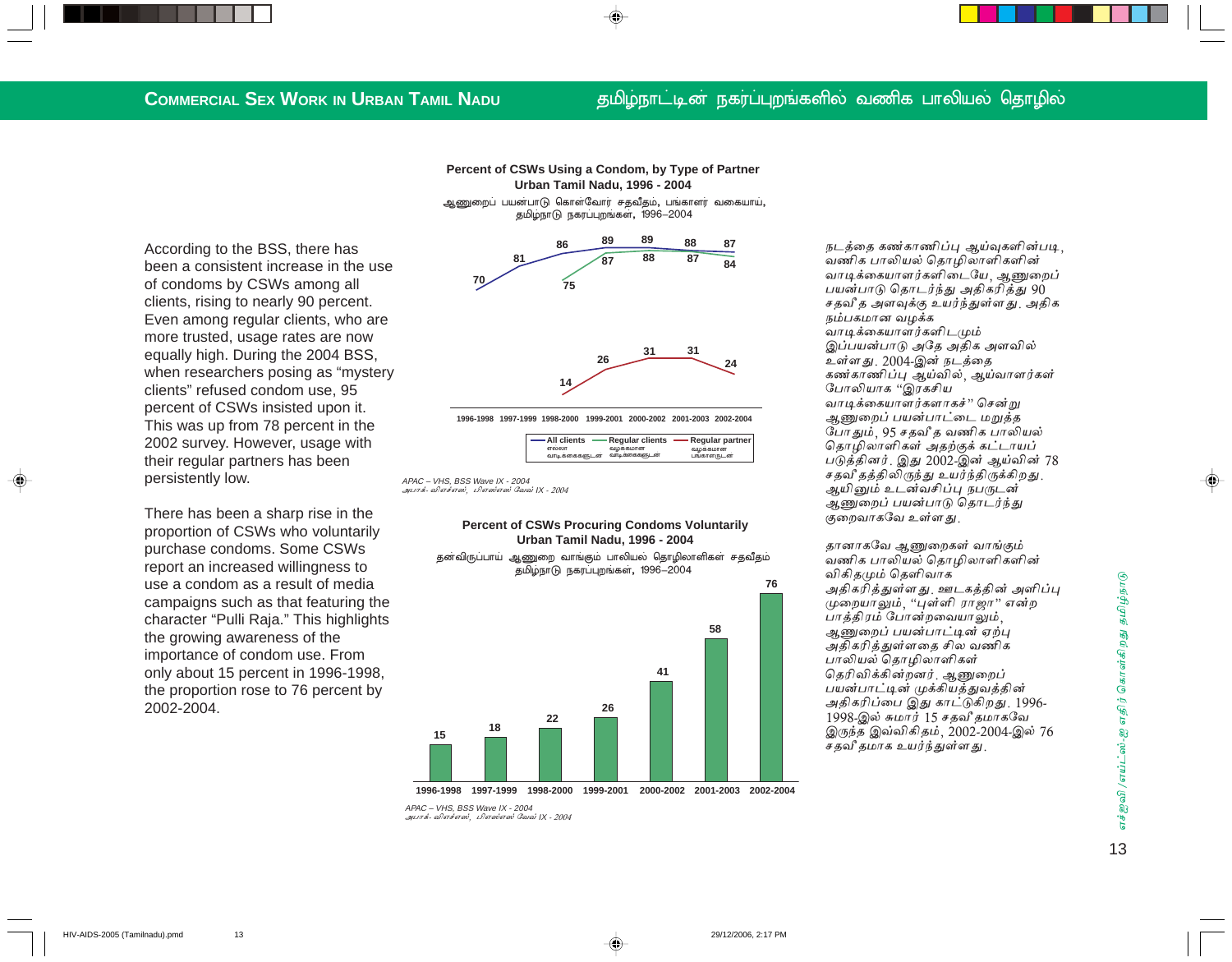#### தமிழ்நாட்டின் நகர்ப்புறங்களில் வணிக பாலியல் தொழில்

Percent of CSWs Using a Condom, by Type of Partner **Urban Tamil Nadu, 1996 - 2004** 

ஆணுறைப் பயன்பாடு கொள்வோர் சதவீதம், பங்காளர் வகையாய், தமிழ்நாடு நகரப்புறங்கள், 1996-2004

According to the BSS, there has been a consistent increase in the use of condoms by CSWs among all clients, rising to nearly 90 percent. Even among regular clients, who are more trusted, usage rates are now equally high. During the 2004 BSS, when researchers posing as "mystery clients" refused condom use, 95 percent of CSWs insisted upon it. This was up from 78 percent in the 2002 survey. However, usage with their regular partners has been persistently low.

There has been a sharp rise in the proportion of CSWs who voluntarily purchase condoms. Some CSWs report an increased willingness to use a condom as a result of media campaigns such as that featuring the character "Pulli Raja." This highlights the growing awareness of the importance of condom use. From only about 15 percent in 1996-1998, the proportion rose to 76 percent by 2002-2004.

89 89 88 87 86  $\overline{\mathbf{88}}$ 87  $\mathbf{g}$  $\frac{2}{75}$ 



1996-1998 1997-1999 1998-2000 1999-2001 2000-2002 2001-2003 2002-2004

| — All clients | <b>Regular clients</b> | Regular partner |
|---------------|------------------------|-----------------|
| எல்லா         | வழக்கமான               | வழக்கமான        |
| வாடிக்கைகளுடன | வாடிக்கைகளுடன          | பங்காளருடன      |

APAC - VHS. BSS Wave IX - 2004 அபாக்- விஎச்எஸ், பிஎஸ்எஸ் வேவ் IX - 2004

#### **Percent of CSWs Procuring Condoms Voluntarily** Urban Tamil Nadu, 1996 - 2004

தன்விருப்பாய் ஆணுறை வாங்கும் பாலியல் தொழிலாளிகள் சதவீதம் தமிழ்நாடு நகரப்புறங்கள், 1996-2004



1996-1998 1997-1999 1998-2000 1999-2001 2000-2002 2001-2003 2002-2004

APAC - VHS. BSS Wave IX - 2004 .<br>அபாக்- விஎச்எஸ், பிஎஸ்எஸ் வேவ் IX - 2004 நடத்தை கண்காணிப்பு ஆய்வகளின்படி வணிக பாலியல் தொழிலாளிகளின் வாடிக்கையாளர்களிடையே, ஆணுறைப் பயன்பாடு தொடர்ந்து அதிகரித்து 90 சதவி த அளவுக்கு உயர்ந்துள்ளது. அதிக நம்பகமான வழக்க வாடிக்கையாளர்களிடமும் இப்பயன்பாடு அதே அதிக அளவில் உள்ளது. 2004-இன் நடத்தை கண்காணிப்பு ஆய்வில், ஆய்வாளர்கள் போலியாக "இரகசிய வாடிக்கையாளர்களாகச்" சென்று ஆணுறைப் பயன்பாட்டை மறுத்த போதும், 95 சதவீத வணிக பாலியல் தொழிலாளிகள் அதற்குக் கட்டாயப் படுத்தினர். இது 2002-இன் ஆய்வின் 78 சதவீ தத்திலிருந்து உயர்ந்திருக்கிறது. ஆயினும் உடன்வசிப்பு நபருடன் ஆணுறைப் பயன்பாடு தொடர்ந்து குறைவாகவே உள்ளது.

தானாகவே ஆணுறைகள் வாங்கும் வணிக பாலியல் தொழிலாளிகளின் விகிதமும் தெளிவாக அதிகரித்துள்ளது. ஊடகத்தின் அளிப்பு முறையாலும், "புள்ளி ராஜா" என்ற பாத்திரம் போன்றவையாலும், ஆணுறைப் பயன்பாட்டின் ஏற்பு அதிகரித்துள்ளதை சில வணிக பாலியல் தொழிலாளிகள் தெரிவிக்கின்றனர். ஆணுறைப் பயன்பாட்டின் முக்கியத்துவத்தின் அதிகரிப்பை இது காட்டுகிறது. 1996-1998-இல் சுமார் 15 சதவீ தமாகவே இருந்த இவ்விகிதம், 2002-2004-இல் 76 சதவீ தமாக உயர்ந்துள்ளது.

எச்ஜவி /எய்ட்ஸ்-ஐ எதிர் கொள்கிறது தமிழ்நாடு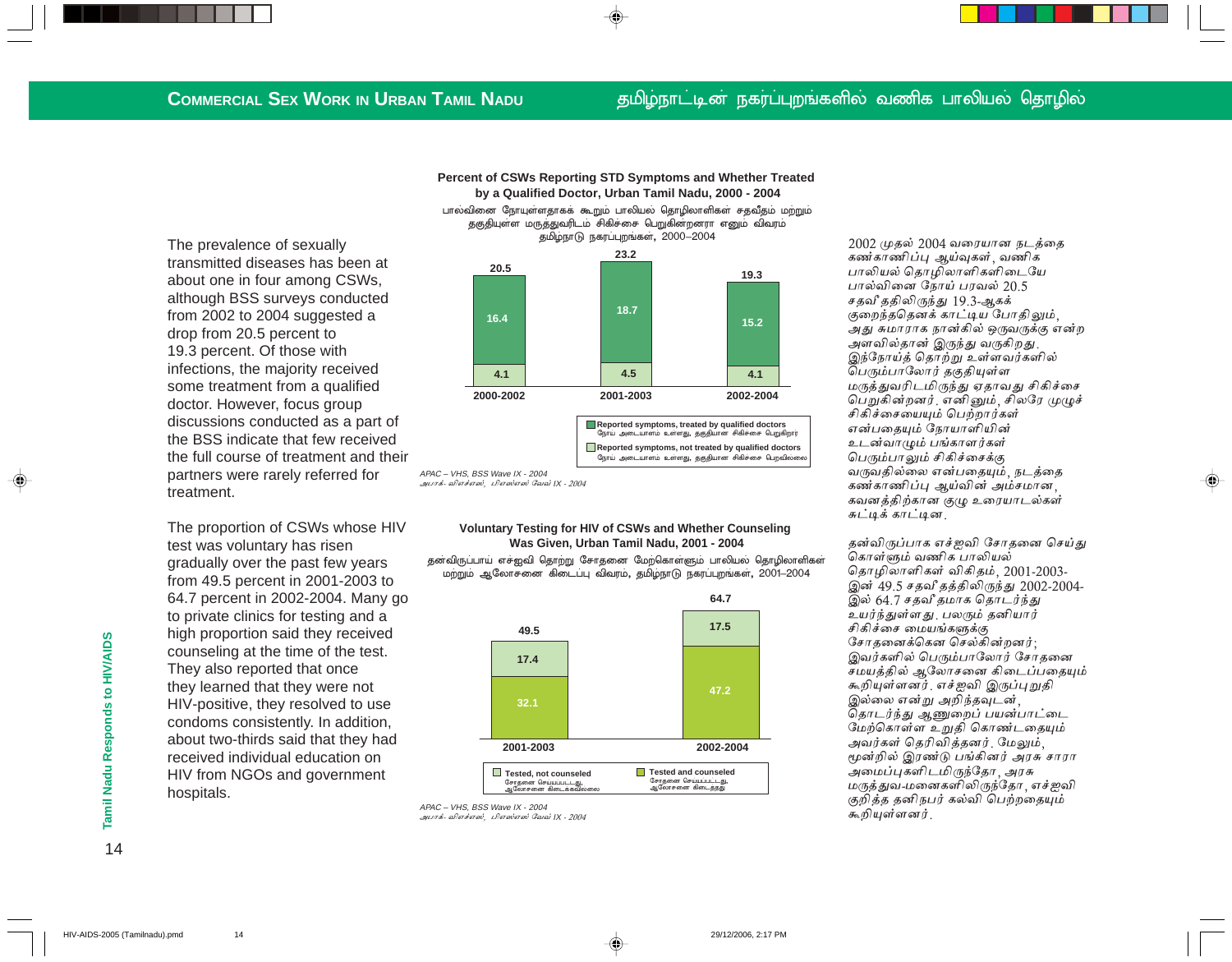#### தமிழ்நாட்டின் நகர்ப்புறங்களில் வணிக பாலியல் தொழில்

The prevalence of sexually transmitted diseases has been at about one in four among CSWs. although BSS surveys conducted from 2002 to 2004 suggested a drop from 20.5 percent to 19.3 percent. Of those with infections, the majority received some treatment from a qualified doctor. However, focus group discussions conducted as a part of the BSS indicate that few received the full course of treatment and their partners were rarely referred for treatment.

The proportion of CSWs whose HIV test was voluntary has risen gradually over the past few years from 49.5 percent in 2001-2003 to 64.7 percent in 2002-2004. Many go to private clinics for testing and a high proportion said they received counseling at the time of the test. They also reported that once they learned that they were not HIV-positive, they resolved to use condoms consistently. In addition, about two-thirds said that they had received individual education on HIV from NGOs and government hospitals.



Percent of CSWs Reporting STD Symptoms and Whether Treated by a Qualified Doctor, Urban Tamil Nadu, 2000 - 2004 பால்வினை நோயுள்ளதாகக் கூறும் பாலியல் தொழிலாளிகள் சதவீதம் மற்றும்

#### **Voluntary Testing for HIV of CSWs and Whether Counseling** Was Given, Urban Tamil Nadu, 2001 - 2004

தனவிருப்பாய் எச்ஐவி தொற்று சோதனை மேற்கொள்ளும் பாலியல் தொழிலாளிகள் மற்றும் ஆலோசனை கிடைப்பு விவரம். தமிழ்நாடு நகரப்புறங்கள், 2001–2004



APAC - VHS, BSS Wave IX - 2004 அபாக்- விஎச்எஸ், பிஎஸ்எஸ் வேவ் IX - 2004

2002 முதல் 2004 வரையான நடத்தை கண்காணிப்பு ஆய்வுகள், வணிக பாலியல் தொழிலாளிகளிடையே பால்வினை நோய் பரவல் 20.5 சதவீ ததிலிருந்து 19.3-ஆகக் குறைந்ததெனக் காட்டிய போதிலும், அது சுமாராக நான்கில் ஒருவருக்கு என்ற அளவில்தான் இருந்து வருகிறது. இந்நோய்த் தொற்று உள்ளவர்களில் பெரும்பாலோர் தகுதியுள்ள மருத்துவரிடமிருந்து ஏதாவது சிகிச்சை பெறுகின்றனர். எனினும், சிலரே முழுச் சிகிச்சையையும் பெற்றார்கள் என்பதையும் நோயாளியின் உடன்வாழும் பங்காளர்கள் பெரும்பாலும் சிகிச்சைக்கு வருவதில்லை என்பதையும், நடத்தை கண்காணிப்பு ஆய்வின் அம்சமான, கவனத்திற்கான குழு உரையாடல்கள் சுட்டிக் காட்டின.

தன்விருப்பாக எச்ஐவி சோதனை செய்து கொள்ளும் வணிக பாலியல் தொழிலாளிகள் விகிதம், 2001-2003-இன் 49.5 சதவீ தத்திலிருந்து 2002-2004-இல் 64.7 சதவீ தமாக தொடர்ந்து உயர்ந்துள்ளது பலரும் தனியார் சிகிச்சை மையங்களுக்கு சோதனைக்கென செல்கின்றனர்: இவர்களில் பெரும்பாலோர் சோதனை சமயத்தில் ஆலோசனை கிடைப்பதையும் கூறியுள்ளனர். எச்ஜவி இருப்புறுதி இல்லை என்று அறிந்தவுடன். தொடர்ந்து ஆணுறைப் பயன்பாட்டை மேற்கொள்ள உறுதி கொண்டதையும் அவர்கள் தெரிவித்தனர். மேலும், மூன்றில் இரண்டு பங்கினர் அரசு சாரா அமைப்புகளிடமிருந்தோ, அரசு மருத்துவ-மனைகளிலிருந்தோ எச்ஐவி குறித்த தனிநபர் கல்வி பெற்றதையும் கூறியள்ளனர்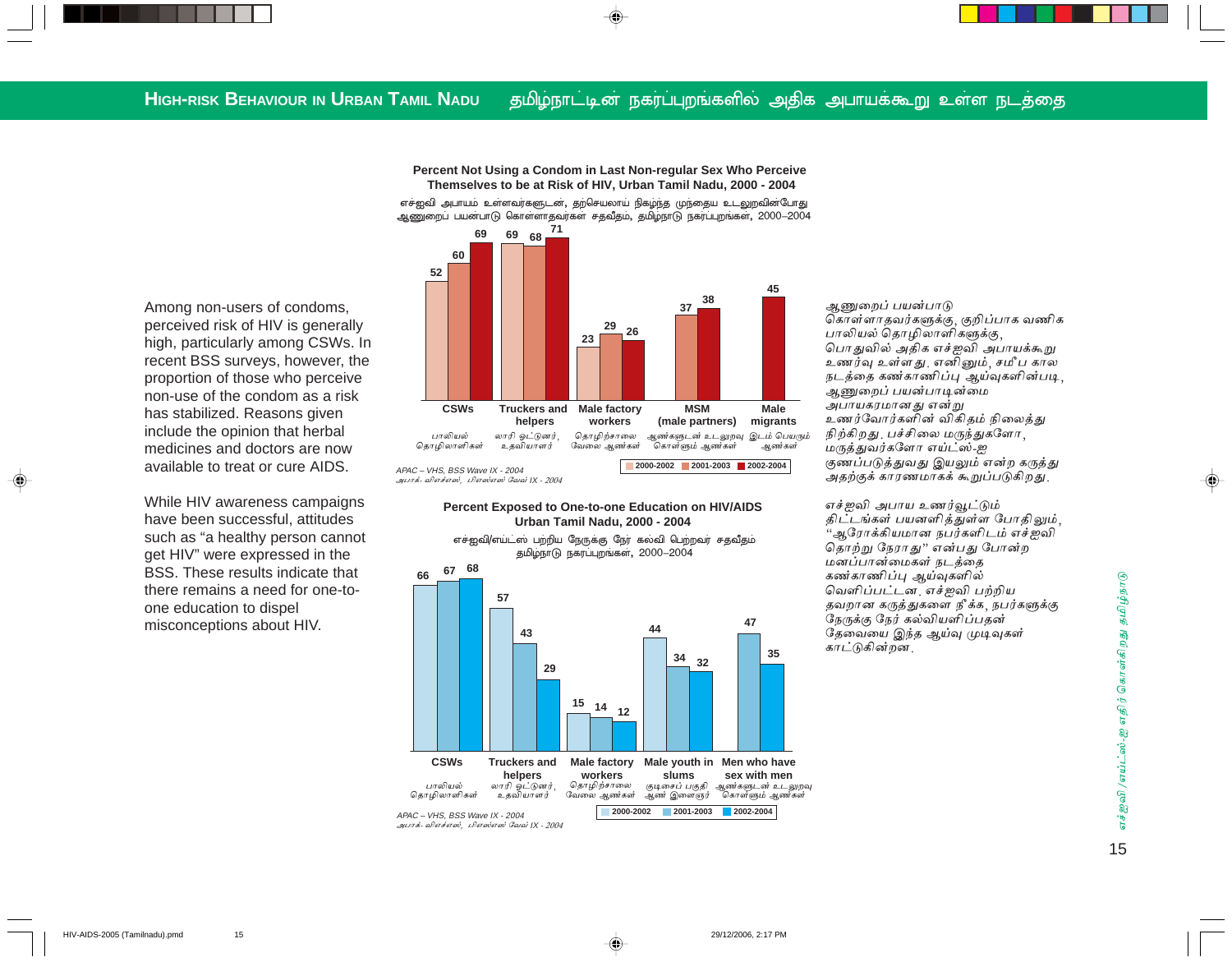**Percent Not Using a Condom in Last Non-regular Sex Who Perceive Themselves to be at Risk of HIV, Urban Tamil Nadu, 2000 - 2004**

எச்ஐவி அபாயம் உள்ளவர்களுடன், தற்செயலாய் நிகழ்ந்த முந்தைய உடலுறவின்போது ஆணுறைப் பயன்பாடு கொள்ளாதவர்கள் சதவீதம், தமிழ்நாடு நகர்ப்புறங்கள், 2000—2004



#### **Percent Exposed to One-to-one Education on HIV/AIDS Urban Tamil Nadu, 2000 - 2004**



ஆணுறைப் பயன்பாடு கொள்ளாதவர்களுக்கு, குறிப்பாக வணிக பாலியல் தொழிலாளிகளுக்கு, பொதுவில் அதிக எச்ஐவி அபாயக்கூறு உணர்வு உள்ளது எனினும், சமீப கால நடத்தை கண்காணிப்பு ஆய்வுகளின்படி, ஆணுறைப் பயன்பாடின்மை அபாயகரமானது என்று உணர்வோர்களின் விகிதம் நிலைத்து நிற்கிறது மபச்சிலை மருந்துகளோ , மருத்துவர்களோ எய்ட்ஸ்-ஐ குணப்படுத்துவது இயலும் என்ற கருத்து அதற்குக் காரணமாகக் கூறுப்படுகிறது.

எச்ஐவி அபாய உணர்வூட்டும் திட்டங்கள் பயனளித்துள்ள போதிலும், ''ஆரோக்கியமான நபர்களிடம் எச்ஐவி தொற்று நேராது'' என்பது போன்ற மனப்பான்மைகள் நடத்தை கண்காணிப்பு ஆய்வுகளில் வெளிப்பட்டன. எச்ஐவி பற்றிய தவறான கருத்துகளை நீக்க, நபர்களுக்கு நேருக்கு நேர் கல்வியளிப்பதன் தேவையை இந்த ஆய்வு முடிவுகள் காட்டுகின்றன.

Among non-users of condoms, perceived risk of HIV is generally high, particularly among CSWs. In recent BSS surveys, however, the proportion of those who perceive non-use of the condom as a risk has stabilized. Reasons given include the opinion that herbal medicines and doctors are now available to treat or cure AIDS.

While HIV awareness campaigns have been successful, attitudes such as "a healthy person cannot get HIV" were expressed in the BSS. These results indicate that there remains a need for one-toone education to dispel misconceptions about HIV.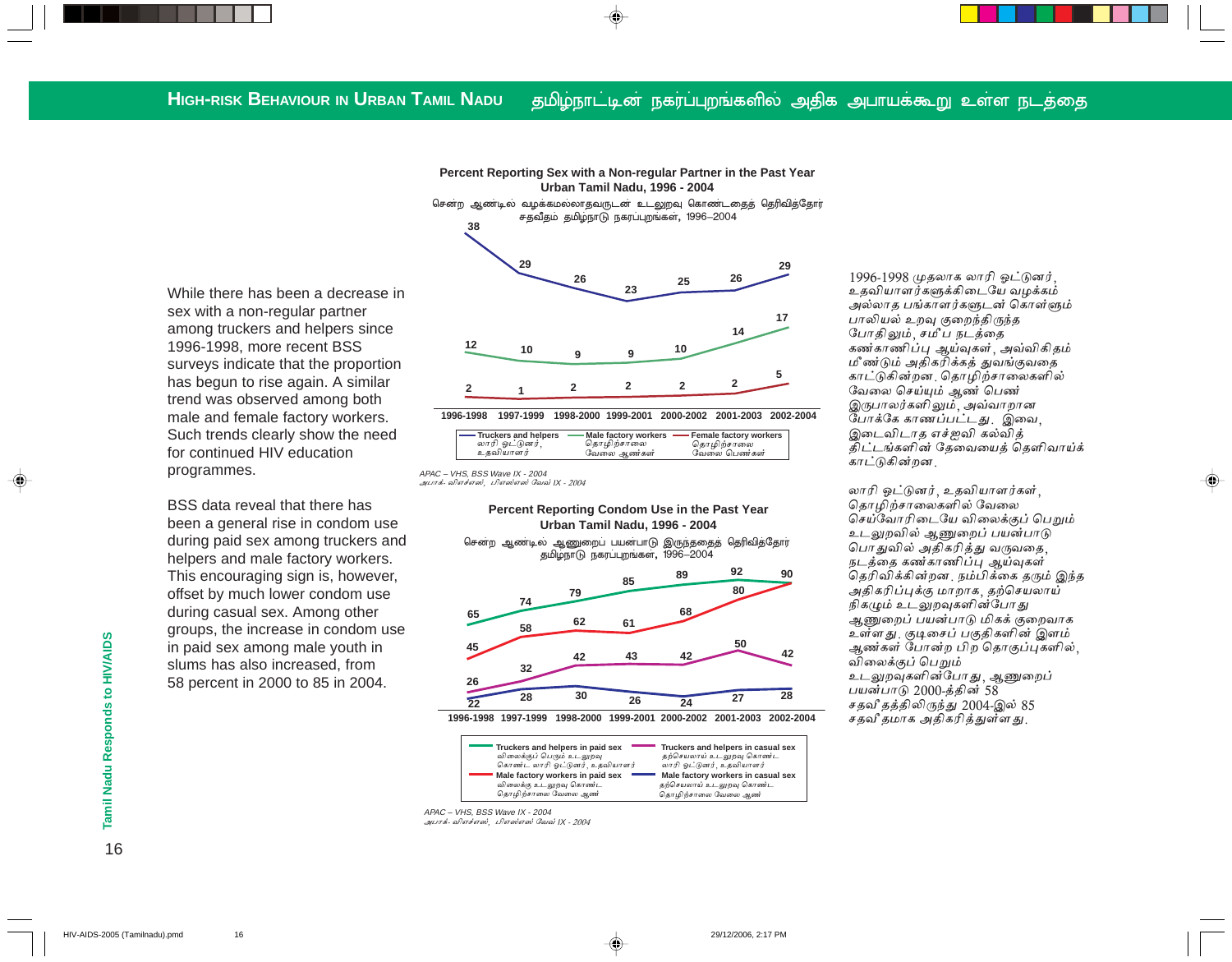Percent Reporting Sex with a Non-regular Partner in the Past Year Urban Tamil Nadu, 1996 - 2004 சென்ற ஆண்டில் வழக்கமல்லாதவருடன் உடலுறவு கொண்டதைத் தெரிவித்தோர்

சதவீதம் தமிழ்நாடு நகரப்புறங்கள், 1996–2004

While there has been a decrease in sex with a non-regular partner among truckers and helpers since 1996-1998, more recent BSS surveys indicate that the proportion has begun to rise again. A similar trend was observed among both male and female factory workers. Such trends clearly show the need for continued HIV education programmes.

BSS data reveal that there has been a general rise in condom use during paid sex among truckers and helpers and male factory workers. This encouraging sign is, however, offset by much lower condom use during casual sex. Among other groups, the increase in condom use in paid sex among male youth in slums has also increased, from 58 percent in 2000 to 85 in 2004.



1996-1998 1997-1999 1998-2000 1999-2001 2000-2002 2001-2003 2002-2004

| Truckers and helpers | $\cdot$ Male factory workers $\sim$ | - Female factory workers |
|----------------------|-------------------------------------|--------------------------|
| லாரி ஓட்டுனர்,       | தொழிற்சாலை                          | தொழிற்சாலை               |
| உகவியாளர்            | வேலை ஆண்கள்                         | வேலை பெண்கள்             |

APAC - VHS, BSS Wave IX - 2004 அபாக விஎச்எஸ், பிஎஸ்எஸ் வேவ் IX - 2004

38

Percent Reporting Condom Use in the Past Year Urban Tamil Nadu. 1996 - 2004

சென்ற ஆண்டில் ஆணுறைப் பயன்பாடு இருந்ததைத் தெரிவித்தோர் தமிழ்நாடு நகரப்புறங்கள், 1996-2004



1996-1998 1997-1999 1998-2000 1999-2001 2000-2002 2001-2003 2002-2004

| Truckers and helpers in paid sex | Truckers and helpers in casual sex |
|----------------------------------|------------------------------------|
| விலைக்குப் பெரும் உடலுறவு        | தற்செயலாய் உடலுறவு கொண்ட           |
| கொண்ட லாரி ஒட்டுனர். உதவியாளர்   | லாரி ஒட்டுனர். உதவியாளர்           |
| Male factory workers in paid sex | Male factory workers in casual sex |
| விலைக்கு உடலுறவு கொண்ட           | தற்செயலாய் உடலுறவு கொண்ட           |
| தொழிற்சாலை வேலை ஆண்              | தொழிற்சாலை வேலை ஆண்                |

APAC - VHS, BSS Wave IX - 2004 அபாக்- விஎச்எஸ், பிஎஸ்எஸ் வேவ் IX - 2004

1996-1998 முதலாக லாரி ஓட்டுனர், உதவியாளர்களுக்கிடையே வழக்கம் அல்லாத பங்காளர்களுடன் கொள்ளும் பாலியல் உறவு குறைந்திருந்த போதிலும், சமீப நடத்தை கண்காணிப்பு ஆய்வுகள், அவ்விகிதம் மீண்டும் அதிகரிக்கத் துவங்குவதை காட்டுகின்றன. தொழிற்சாலைகளில் வேலை செய்யும் ஆண் பெண் இருபாலர்களிலும், அவ்வாறான போக்கே காணப்பட்டது. இவை, இடைவிடாத எச்ஐவி கல்வித் திட்டங்களின் தேவையைத் தெளிவாய்க் காட்டுகின்றன.

லாரி ஓட்டுனர், உதவியாளர்கள், தொழிற்சாலைகளில் வேலை செய்வோரிடையே விலைக்குப் பெறும் உடலுறவில் ஆணுறைப் பயன்பாடு பொதுவில் அதிகரித்து வருவதை, நடத்தை கண்காணிப்பு ஆய்வுகள் தெரிவிக்கின்றன, நம்பிக்கை தரும் இந்த அதிகரிப்புக்கு மாறாக, தற்செயலாய் நிகழும் உடலுறவுகளின்போது ஆணுறைப் பயன்பாடு மிகக் குறைவாக உள்ளது. குடிசைப் பகுதிகளின் இளம் ஆண்கள் போன்ற பிற தொகுப்புகளில், விலைக்குப் பெறும் உடலுறவுகளின்போது, ஆணுறைப் பயன்பாடு 2000-த்தின் 58 சதவீ தத்திலிருந்து 2004-இல் 85 சதவீ தமாக அதிகரித்துள்ளது .

Tamil Nadu Responds to HIV/AIDS

16

HIV-AIDS-2005 (Tamilnadu).pmd  $16$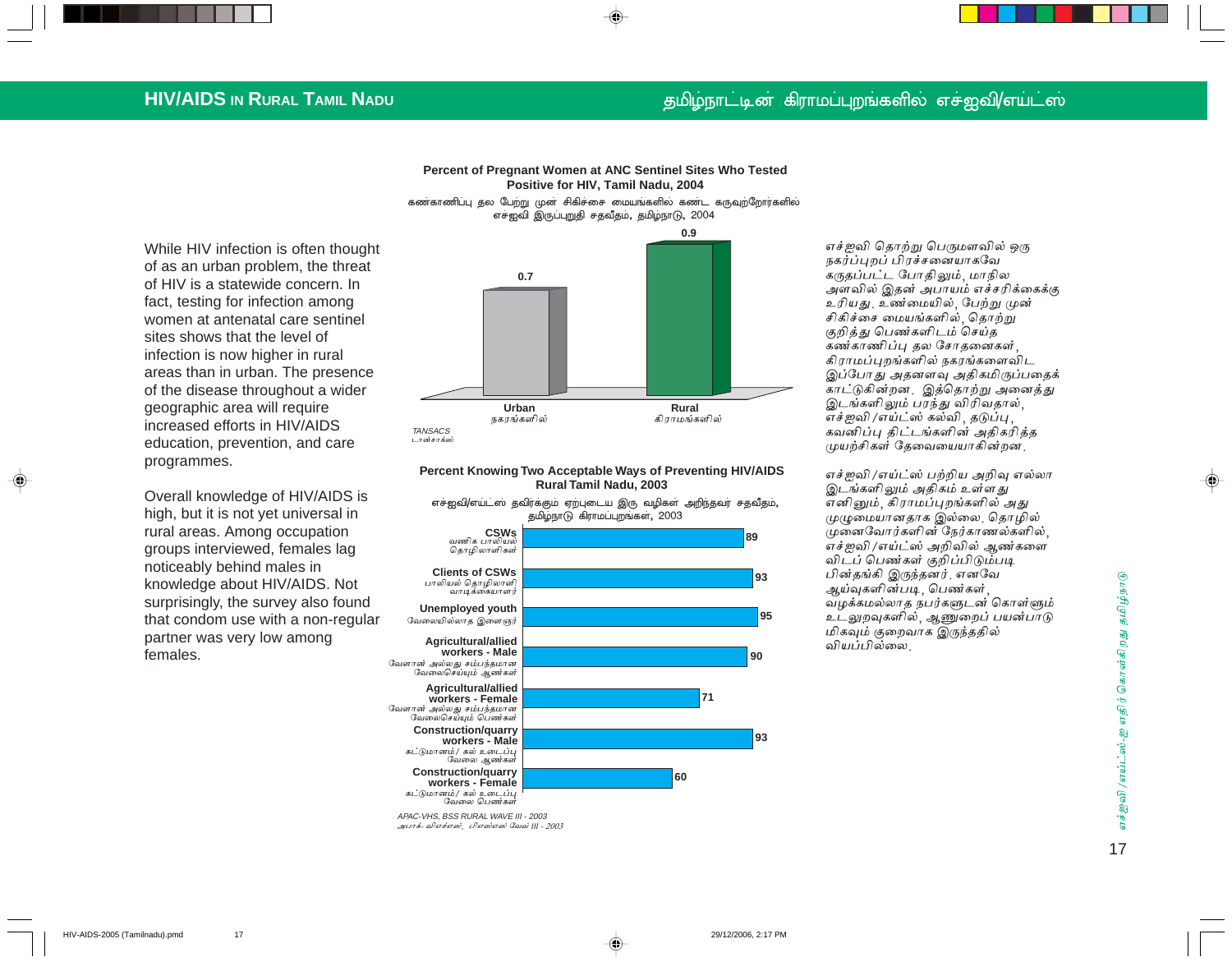## **HIV/AIDS IN RURAL TAMIL NADU**

### மிழ்நாட்டின் கிராமப்புறங்களில் எச்ஐவி/எய்ட்ஸ்

**Percent of Pregnant Women at ANC Sentinel Sites Who Tested Positive for HIV, Tamil Nadu, 2004**

**0.9** கண்காணிப்பு தல பேற்று முன் சிகிச்சை மையங்களில் கண்ட கருவுற்றோர்களில் எச்ஐவி இருப்புறுதி சதவீதம், தமிழ்நாடு, 2004

While HIV infection is often thought of as an urban problem, the threat of HIV is a statewide concern. In fact, testing for infection among women at antenatal care sentinel sites shows that the level of infection is now higher in rural areas than in urban. The presence of the disease throughout a wider geographic area will require increased efforts in HIV/AIDS education, prevention, and care programmes.

Overall knowledge of HIV/AIDS is high, but it is not yet universal in rural areas. Among occupation groups interviewed, females lag noticeably behind males in knowledge about HIV/AIDS. Not surprisingly, the survey also found that condom use with a non-regular partner was very low among females.



#### **Percent Knowing Two Acceptable Ways of Preventing HIV/AIDS Rural Tamil Nadu, 2003**



எச்ஐவி தொற்று பெருமளவில் ஒரு நகர்ப்புறப் பிரச்சனையாகவே கருதப்பட்ட போதிலும், மாநில அளவில் இதன் அபாயம் எச்சரிக்கைக்கு உரியது. உண்மையில், பேற்று முன் சிகிச்சை மையங்களில், தொற்று குறித்து பெண்களிடம் செய்த கண்காணிப்பு தல சோதனைகள் $\, ,$ கிராமப்புறங்களில் நகரங்களைவிட இப்போது அதனளவு அதிகமிருப்பதைக் காட்டுகின்றன. இத்தொற்று அனைத்து இடங்களிலும் பரந்து விரிவதால், எச்ஐவி /எய்ட்ஸ் கல்வி , தடுப்பு , கவனிப்பு திட்டங்களின் அதிகரித்த முயற்சிகள் தேவையையாகின்றன

எச்ஐவி /எய்ட்ஸ் பற்றிய அறிவு எல்லா இடங்களிலும் அதிகம் உள்ளது எனினும், கிராமப்புறங்களில் அது முழுமையானதாக இல்லை. தொழில் முனைவோர்களின் நேர்காணல்களில், எச்ஐவி /எய்ட்ஸ் அறிவில் ஆண்களை விடப் பெண்கள் குறிப்பிடும்படி பின்தங்கி இருந்தனர். எனவே ஆய்வுகளின்படி, பெண்கள், வழக்கமல்லாத நபர்களுடன் கொள்ளும் உடலுறவுகளில், ஆணுறைப் பயன்பாடு மிகவும் குறைவாக இருந்ததில் வியப்பில்லை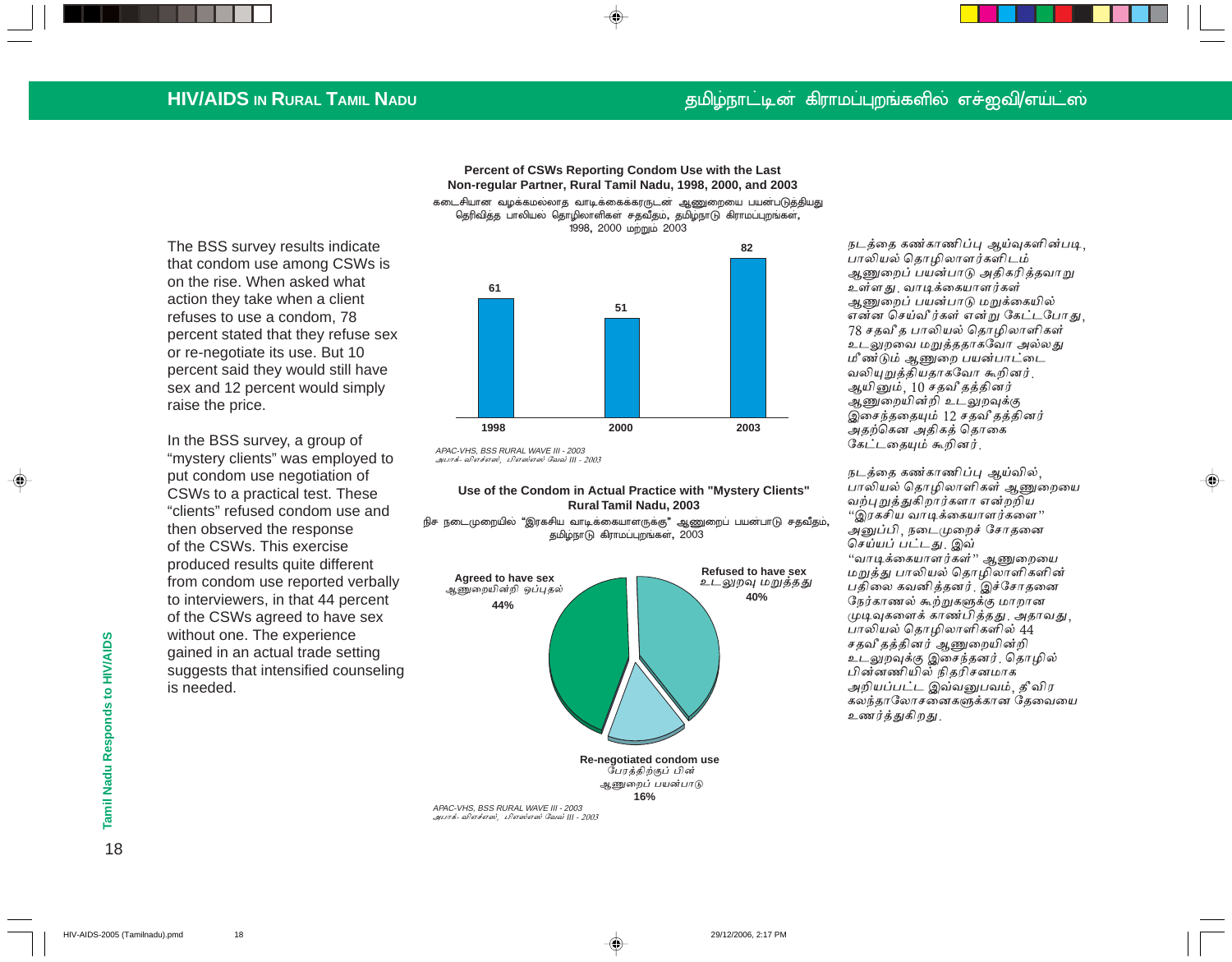### தமிழ்நாட்டின் கிராமப்புறங்களில் எச்ஐவி/எய்ட்ஸ்

## **HIV/AIDS IN RURAL TAMIL NADU**

Percent of CSWs Reporting Condom Use with the Last Non-regular Partner, Rural Tamil Nadu, 1998, 2000, and 2003 கடைசியான வழக்கமல்லாத வாடிக்கைக்கரருடன் ஆணுறையை பயன்படுத்தியது

தெரிவித்த பாலியல் தொழிலாளிகள் சதவீதம், தமிழ்நாடு கிராமப்புறங்கள், 1998, 2000 மற்றும் 2003

The BSS survey results indicate that condom use among CSWs is on the rise. When asked what action they take when a client refuses to use a condom, 78 percent stated that they refuse sex or re-negotiate its use. But 10 percent said they would still have sex and 12 percent would simply raise the price.

In the BSS survey, a group of "mystery clients" was employed to put condom use negotiation of CSWs to a practical test. These "clients" refused condom use and then observed the response of the CSWs. This exercise produced results quite different from condom use reported verbally to interviewers, in that 44 percent of the CSWs agreed to have sex without one. The experience gained in an actual trade setting suggests that intensified counseling is needed.



APAC-VHS. BSS RURAL WAVE III - 2003 அபாக்- விஎச்எஸ், பிஎஸ்எஸ் வேவ் III - 2003

#### Use of the Condom in Actual Practice with "Mystery Clients" Rural Tamil Nadu, 2003

நிச நடைமுறையில் "இரகசிய வாடிக்கையாளருக்கு" ஆணுறைப் பயன்பாடு சதவீதம், தமிழ்நாடு கிராமப்புறங்கள், 2003



APAC-VHS. BSS RURAL WAVE III - 2003 அபாக்- விஎச்எஸ், பிஎஸ்எஸ் வேவ் III - 2003 நடத்தை கண்காணிப்பு ஆய்வுகளின்படி, பாலியல் தொழிலாளர்களிடம் <u>ஆணுறைப் பயன்பாடு அதிகரித்தவாறு</u> உள்ளது வாடிக்கையாளர்கள் ஆணுறைப் பயன்பாடு மறுக்கையில் என்ன செய்வீர்கள் என்று கேட்டபோது. 78 சதவீ த பாலியல் தொழிலாளிகள் உடலுறவை மறுத்ததாகவோ அல்லது மீண்டும் ஆணுறை பயன்பாட்டை வலியுறுத்தியதாகவோ கூறினர். ஆயினும், 10 சதவீ தத்தினர் ஆணுறையின்றி உடலுறவுக்கு இசைந்ததையும் 12 சதவீதத்தினர் அதற்கென அதிகத் தொகை கேட்டதையும் கூறினர்.

நடத்தை கண்காணிப்பு ஆய்வில், பாலியல் தொழிலாளிகள் ஆணுறையை வற்புறுத்துகிறார்களா என்றறிய "இரகசிய வாடிக்கையாளர்களை" அனுப்பி, நடைமுறைச் சோதனை செய்யப் பட்டது. இவ் "வாடிக்கையாளர்கள்" ஆணுறையை மறுத்து பாலியல் தொழிலாளிகளின் பதிலை கவனித்தனர். இச்சோதனை நேர்காணல் கூற்றுகளுக்கு மாறான முடிவுகளைக் காண்பித்தது. அதாவது, பாலியல் தொழிலாளிகளில் 44 சதவீ தத்தினர் ஆணுறையின்றி உடலுறவுக்கு இசைந்தனர். தொழில் பின்னணியில் நிதரிசனமாக அறியப்பட்ட இவ்வனுபவம், தீவிர கலந்தாலோசனைகளுக்கான தேவையை உணர்த்துகிறது.

18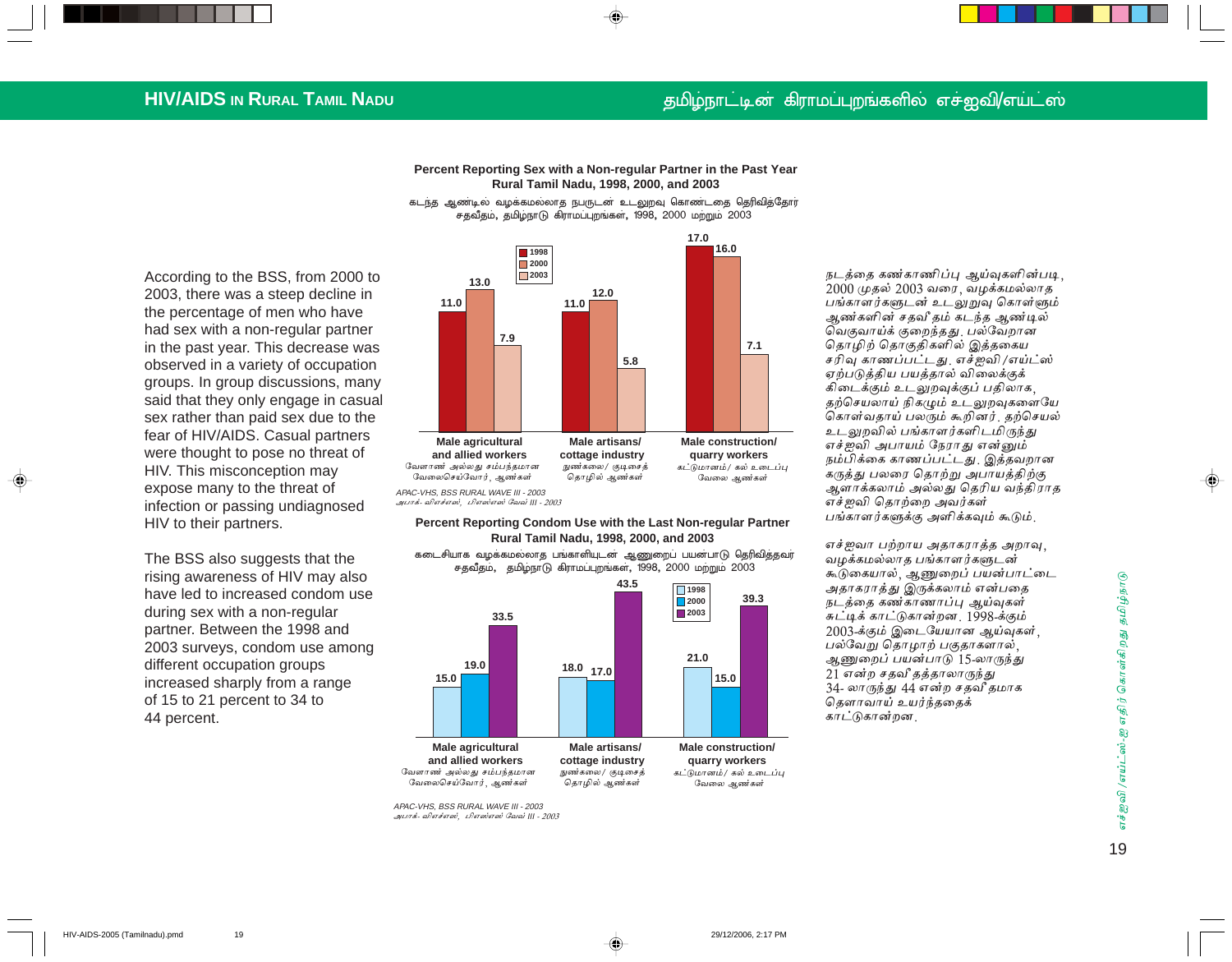## தமிழ்நாட்டின் கிராமப்புறங்களில் எச்ஐவி/எய்ட்ஸ்

## **HIV/AIDS IN RURAL TAMIL NADU**

Percent Reporting Sex with a Non-regular Partner in the Past Year Rural Tamil Nadu, 1998, 2000, and 2003

கடந்த ஆண்டில் வழக்கமல்லாத நபருடன் உடலுறவு கொண்டதை தெரிவித்தோர் சதவீதம், தமிழ்நாடு கிராமப்புறங்கள், 1998, 2000 மற்றும் 2003

According to the BSS, from 2000 to 2003, there was a steep decline in the percentage of men who have had sex with a non-regular partner in the past year. This decrease was observed in a variety of occupation groups. In group discussions, many said that they only engage in casual sex rather than paid sex due to the fear of HIV/AIDS. Casual partners were thought to pose no threat of HIV. This misconception may expose many to the threat of infection or passing undiagnosed HIV to their partners.

The BSS also suggests that the rising awareness of HIV may also have led to increased condom use during sex with a non-regular partner. Between the 1998 and 2003 surveys, condom use among different occupation groups increased sharply from a range of 15 to 21 percent to 34 to 44 percent.



#### Percent Reporting Condom Use with the Last Non-regular Partner Rural Tamil Nadu, 1998, 2000, and 2003

கடைசியாக வழக்கமல்லாத பங்காளியுடன் ஆணுறைப் பயன்பாடு தெரிவித்தவர் சதவீதம், தமிழ்நாடு கிராமப்புறங்கள், 1998, 2000 மற்றும் 2003



APAC-VHS, BSS RURAL WAVE III - 2003 அபாக்- விஎச்எஸ், பிஎஸ்எஸ் வேவ் III - 2003 நடத்தை கண்காணிப்பு ஆய்வுகளின்படி, 2000 முதல் 2003 வரை, வழக்கமல்லாத பங்காளர்களுடன் உடலுறுவு கொள்ளும் ஆண்களின் சதவீ தம் கடந்த ஆண்டில் வெகுவாய்க் குறைந்தது. பல்வேறான தொழிற் தொகுதிகளில் இத்தகைய சரிவு காணப்பட்டது. எச்ஜவி/எய்ட்ஸ் ஏற்படுத்திய பயத்தால் விலைக்குக் கிடைக்கும் உடலுறவுக்குப் பதிலாக, தற்செயலாய் நிகழும் உடலுறவுகளையே கொள்வதாய் பலரும் கூறினர். தற்செயல் உடலுறவில் பங்காளர்களிடமிருந்து எச்ஜவி அபாயம் நேராது என்னும் நம்பிக்கை காணப்பட்டது. இத்தவறான கருத்து பலரை தொற்று அபாயத்திற்கு ஆளாக்கலாம் அல்லது தெரிய வந்திராத எச்ஜவி தொற்றை அவர்கள் பங்காளர்களுக்கு அளிக்கவும் கூடும்.

எச்ஐவா பற்றாய அதாகராத்த அறாவு, வழக்கமல்லாத பங்காளர்களுடன் கூடுகையால், ஆணுறைப் பயன்பாட்டை அதாகராத்து இருக்கலாம் என்பதை நடத்தை கண்காணாப்பு ஆய்வுகள் சுட்டிக் காட்டுகான்றன, 1998-க்கும் 2003-க்கும் இடையேயான ஆய்வுகள். பல்வேறு தொழாற் பகுதாகளால், ஆணுறைப் பயன்பாடு 15-லாருந்து 21 என்ற சதவீ தத்தாலாருந்து 34- லாருந்து 44 என்ற சதவீ தமாக கௌாவாய் உயர்ந்ததைக் காட்டுகான்றன.

எச்ஜவி /எய்ட்ஸ்-ஐ எதிர் கொள்கிறது தமிழ்நாடு 19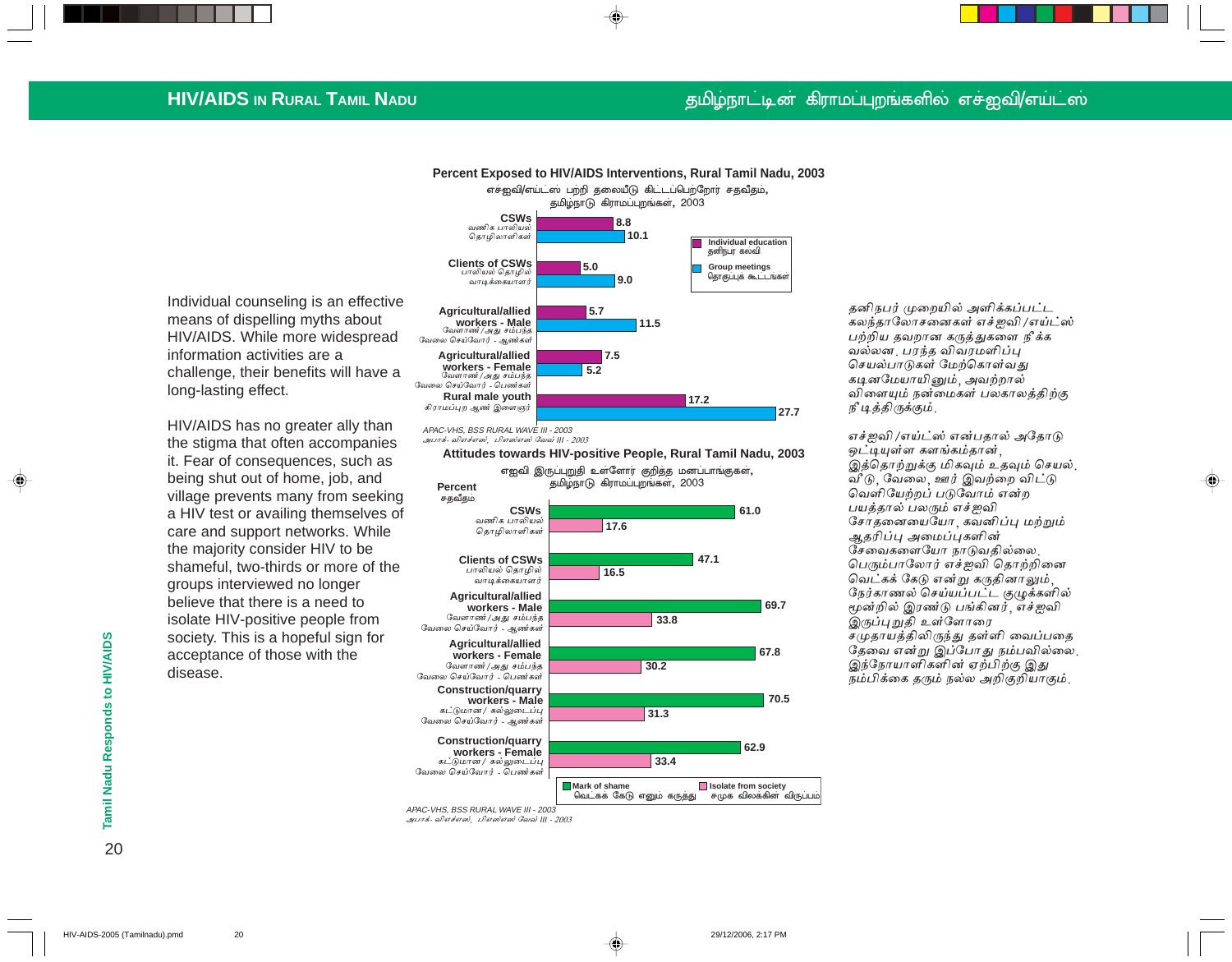## **HIV/AIDS IN RURAL TAMIL NADU**

## தமிழ்நாட்டின் கிராமப்புறங்களில் எச்ஐவி/எய்ட்ஸ்

Individual counseling is an effective means of dispelling myths about HIV/AIDS. While more widespread information activities are a challenge, their benefits will have a long-lasting effect.

HIV/AIDS has no greater ally than the stigma that often accompanies it. Fear of consequences, such as being shut out of home, job, and village prevents many from seeking a HIV test or availing themselves of care and support networks. While the majority consider HIV to be shameful, two-thirds or more of the groups interviewed no longer believe that there is a need to isolate HIV-positive people from society. This is a hopeful sign for acceptance of those with the disease.



APAC-VHS, BSS RURAL WAVE III - 2003 அபாக்- விஎச்எஸ், பிஎஸ்எஸ் வேவ் III - 2003

Attitudes towards HIV-positive People, Rural Tamil Nadu, 2003



⊕

அபாக்- விஎச்எஸ், பிஎஸ்எஸ் வேவ் III - 2003

தனிநபர் முறையில் அளிக்கப்பட்ட கலந்தாலோசனைகள் எச்ஜவி /எய்ட்ஸ் பற்றிய தவறான கருத்துகளை நீக்க வல்லன. பரந்த விவரமளிப்ப செயல்பாடுகள் மேற்கொள்வது கடினமேயாயினும், அவற்றால் விளையும் நன்மைகள் பலகாலத்திற்கு நீ டித்திருக்கும்.

எச்ஜவி /எய்ட்ஸ் என்பதால் அதோடு ஒட்டியுள்ள களங்கம்தான். இத்தொற்றுக்கு மிகவும் உதவும் செயல் வீடு, வேலை, ஊர் இவற்றை விட்டு வெளியேற்றப் படுவோம் என்ற பயத்தால் பலரும் எச்ஜவி சோதனையையோ, கவனிப்பு மற்றும் ஆதரிப்பு அமைப்புகளின் சேவைகளையோ நாடுவகில்லை. பெரும்பாலோர் எச்ஐவி தொற்றினை வெட்கக் கேடு என்று கருதினாலும், நேர்காணல் செய்யப்பட்ட குழுக்களில் மூன்றில் இரண்டு பங்கினர். எச்ஜவி இருப்புறுதி உள்ளோரை சமுதாயத்திலிருந்து தள்ளி வைப்பதை தேவை என்று இப்போது நம்பவில்லை. இந்நோயாளிகளின் ஏற்பிற்கு இது நம்பிக்கை கரும் நல்ல அறிகுறியாகும்.

♠

Tamil Nadu Responds to HIV/AIDS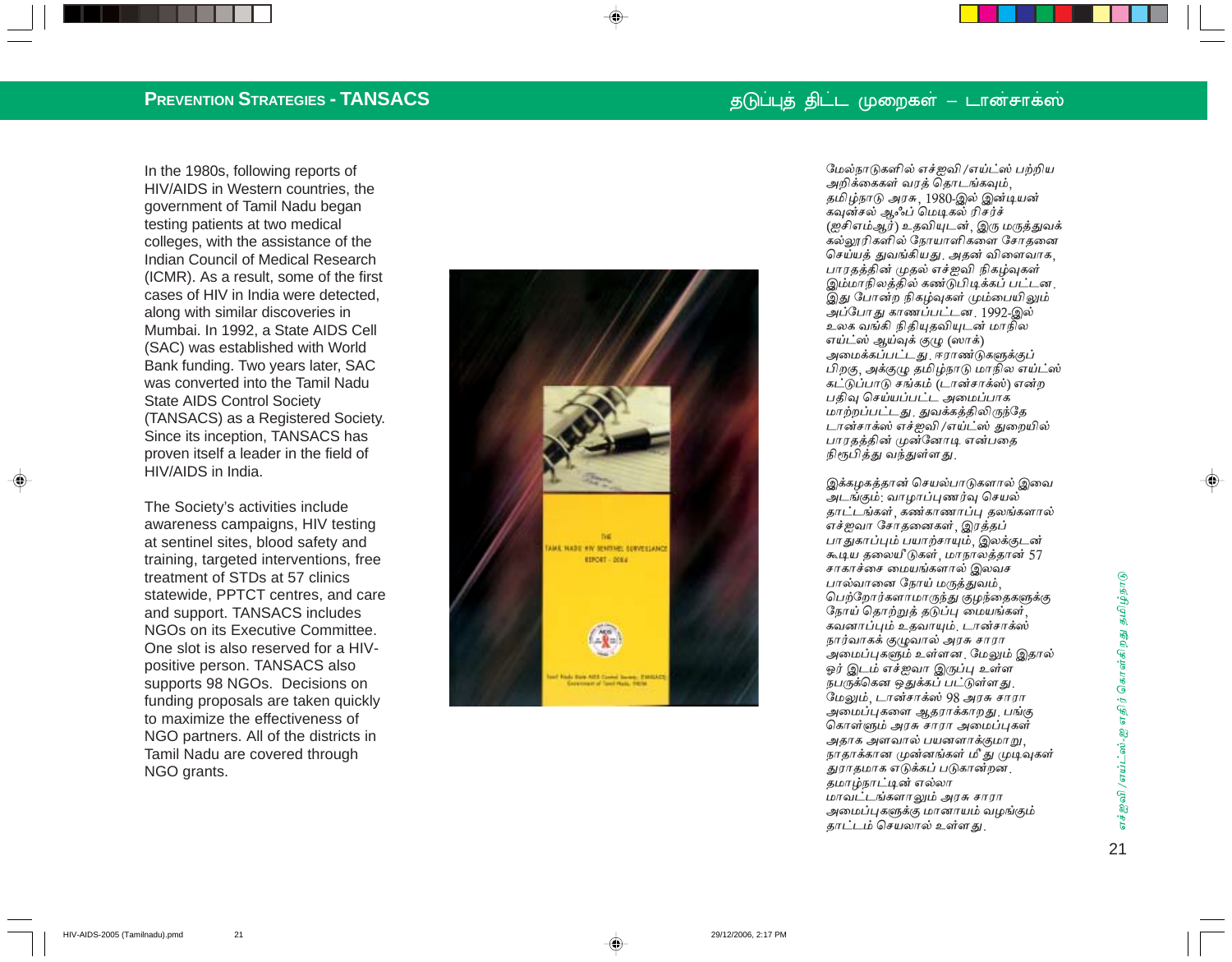In the 1980s, following reports of HIV/AIDS in Western countries, the government of Tamil Nadu began testing patients at two medical colleges, with the assistance of the Indian Council of Medical Research (ICMR). As a result, some of the first cases of HIV in India were detected, along with similar discoveries in Mumbai. In 1992, a State AIDS Cell (SAC) was established with World Bank funding. Two years later, SAC was converted into the Tamil Nadu **State AIDS Control Society** (TANSACS) as a Registered Society. Since its inception, TANSACS has proven itself a leader in the field of HIV/AIDS in India.

The Society's activities include awareness campaigns, HIV testing at sentinel sites, blood safety and training, targeted interventions, free treatment of STDs at 57 clinics statewide. PPTCT centres, and care and support. TANSACS includes NGOs on its Executive Committee. One slot is also reserved for a HIVpositive person. TANSACS also supports 98 NGOs. Decisions on funding proposals are taken quickly to maximize the effectiveness of NGO partners. All of the districts in Tamil Nadu are covered through NGO grants.

 $21$ 



மேல்நாடுகளில் எச்ஜவி /எய்ட்ஸ் பற்றிய அறிக்கைகள் வரக் கொடங்கவும். தமிழ்நாடு அரசு, 1980-இல் இன்டியன் கவுன்சல் ஆஃப் மெடிகல் ரிசர்ச் (ஐசிஎம்ஆர்) உதவியுடன், இரு மருத்துவக் கல்லாரிகளில் நோயாளிகளை சோகனை செய்யக் துவங்கியது. அதன் விளைவாக, பாரகக்கின் முகல் எச்ஜவி நிகம்வுகள் இம்மாநிலத்தில் கண்டுபிடிக்கப் பட்டன. .<br>இது போன்ற நிகழ்வுகள் மும்பையிலும் அப்போது காணப்பட்டன. 1992-இல் உலக வங்கி நிகியதவியடன் மாநில எய்ட்ஸ் ஆய்வுக் குழு (ஸாக்) அமைக்கப்பட்டது. ஈராண்டுகளுக்குப் பிறகு, அக்குமு தமிழ்நாடு மாநில எய்ட்ஸ் கட்டுப்பாடு சங்கம் (டான்சாக்ஸ்) என்ற பகிவு செய்யப்பட்ட அமைப்பாக மாற்றப்பட்டது. துவக்கக்கிலிருந்தே டான்சாக்ஸ் எச்ஜவி /எய்ட்ஸ் துறையில் பாரதத்தின் முன்னோடி என்பதை நிரூபிக்கு வந்துள்ளது

இக்கமகத்தான் செயல்பாடுகளால் இவை அடங்கும்: வாழாப்புணர்வு செயல் <u>காட்டங்கள்</u> கண்காணாப்பு கலங்களால் .<br>எச்ஜவா சோகனைகள்<sub>.</sub> இரக்கப் பாதுகாப்பும் பயாற்சாயும், இலக்குடன் கூடிய தலையீடுகள், மாநாலக்கான் 57 சாகாச்சை மையங்களால் இலவச பால்வானை நோய் மருத்துவம். பெற்றோர்களாமாருந்து குழந்தைகளுக்கு நோய் கொற்றுக் கடுப்பு மையங்கள் .<br>கவனாப்பும் உதவாயும். டான்சாக்ஸ் நார்வாகக் குழுவால் அரசு சாரா .<br>அமைப்பகளும் உள்ளன. மேலும் இதால் ஓர் இடம் எச்ஜவா இருப்பு உள்ள நபருக்கென ஒதுக்கப் பட்டுள்ள து மேலும், டான்சாக்ஸ் 98 அரசு சாரா அமைப்புகளை ஆதராக்காறது. பங்கு கொள்ளும் அரசு சாரா அமைப்புகள் அதாக அளவால் பயனளாக்குமாறு, நாதாக்கான முன்னங்கள் மீ து முடிவுகள் துராகமாக எடுக்கப் படுகான்றன. *க*மாம்நாட்டின் எல்லா மாவட்டங்களாலும் அரசு சாரா அமைப்புகளுக்கு மானாயம் வழங்கும் காட்டம் செயலால் உள்ள கட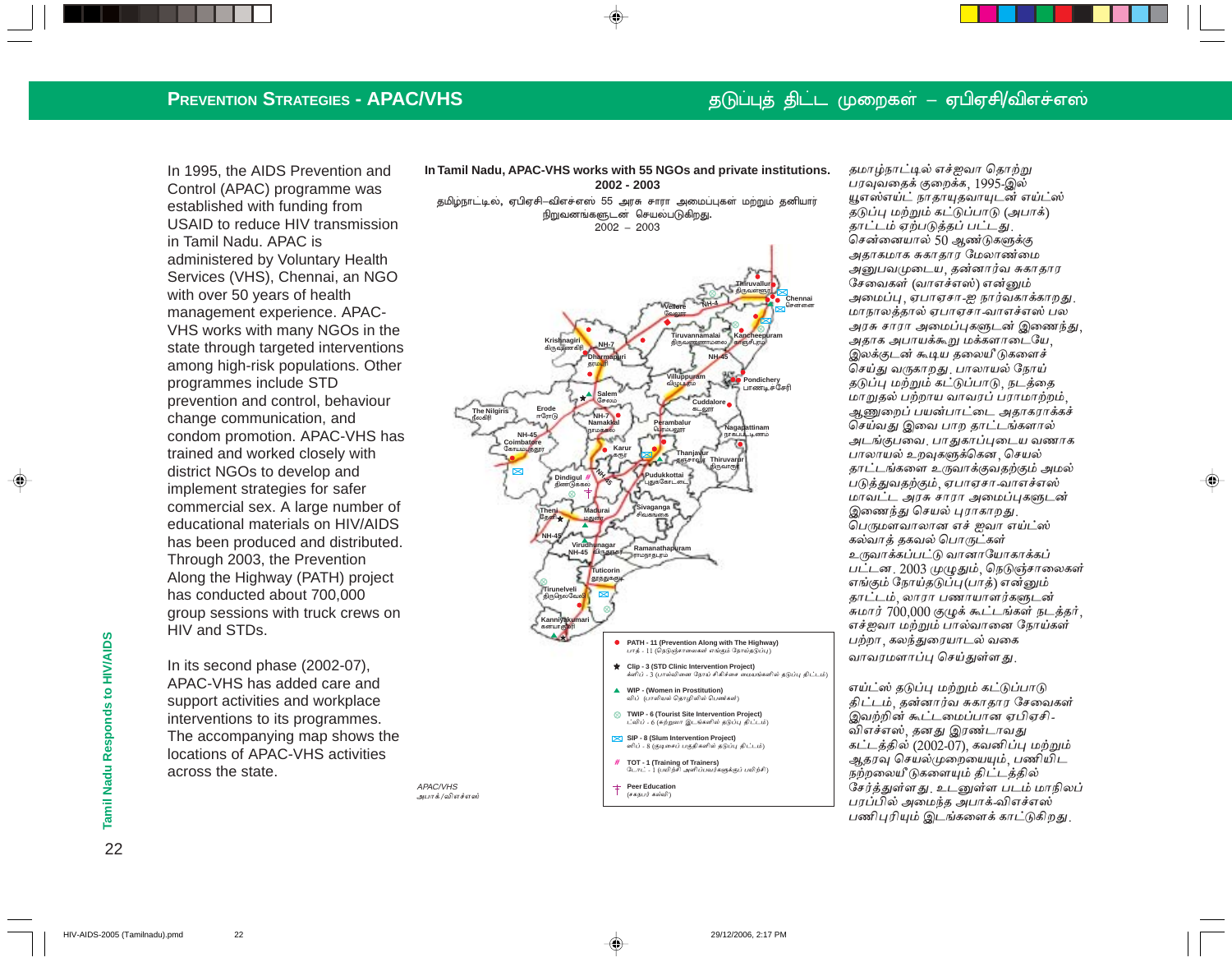## தடுப்புத் திட்ட முறைகள் – ஏபிஏசி/விஎச்எஸ்

### **PREVENTION STRATEGIES - APAC/VHS**

In 1995, the AIDS Prevention and Control (APAC) programme was established with funding from USAID to reduce HIV transmission in Tamil Nadu. APAC is administered by Voluntary Health Services (VHS), Chennai, an NGO with over 50 years of health management experience. APAC-VHS works with many NGOs in the state through targeted interventions among high-risk populations. Other programmes include STD prevention and control, behaviour change communication, and condom promotion. APAC-VHS has trained and worked closely with district NGOs to develop and implement strategies for safer commercial sex. A large number of educational materials on HIV/AIDS has been produced and distributed. Through 2003, the Prevention Along the Highway (PATH) project has conducted about 700,000 group sessions with truck crews on HIV and STDs.

In its second phase (2002-07), APAC-VHS has added care and support activities and workplace interventions to its programmes. The accompanying map shows the locations of APAC-VHS activities across the state.

In Tamil Nadu, APAC-VHS works with 55 NGOs and private institutions. 2002 - 2003

தமிழ்நாட்டில், ஏபிஏசி–விஎச்எஸ் 55 அரசு சாரா அமைப்புகள் மற்றும் தனியார் நிறுவனங்களுடன் செயல்படுகிறது.  $2002 - 2003$ 



தமாழ்நாட்டில் எச்ஜவா தொற்று பரவுவதைக் குறைக்க, 1995-இல் யூஎஸ்எய்ட் நாதாயுதவாயுடன் எய்ட்ஸ் தடுப்பு மற்றும் கட்டுப்பாடு (அபாக்) தாட்டம் ஏற்படுத்தப் பட்டது. சென்னையால் 50 ஆண்டுகளுக்கு அதாகமாக சுகாதார மேலாண்மை அனுபவமுடைய, தன்னார்வ சுகாதார சேவைகள் (வாஎச்எஸ்) என்னும் அமைப்பு ஏபாஏசா-ஐ நார்வகாக்காறது. மாநாலத்தால் ஏபாஏசா வாஎச்எஸ் பல அரசு சாரா அமைப்புகளுடன் இணைந்து, அதாக அபாயக்கூறு மக்களாடையே, இலக்குடன் கூடிய தலையீடுகளைச் செய்து வருகாறது. பாலாயல் நோய் தடுப்பு மற்றும் கட்டுப்பாடு, நடத்தை மாறுதல் பற்றாய வாவரப் பராமாற்றம். ஆணுறைப் பயன்பாட்டை அதாகராக்கச் செய்வது இவை பாற தாட்டங்களால் அடங்குபவை. பாதுகாப்புடைய வணாக பாலாயல் உறவுகளுக்கென செயல் தாட்டங்களை உருவாக்குவதற்கும் அமல் படுத்துவதற்கும். ஏபாஏசா-வாஎச்எஸ் மாவட்ட அரசு சாரா அமைப்புகளுடன் இணைந்து செயல் புராகாறது. பெருமளவாலான எச் ஜவா எய்ட்ஸ் கல்வாத் தகவல் பொருட்கள் உருவாக்கப்பட்டு வானாயோகாக்கப் பட்டன. 2003 முழுதும், நெடுஞ்சாலைகள் எங்கும் நோய்தடுப்பு(பாத்) என்னும் தாட்டம். லாரா பணாயாளர்களுடன் சுமார் 700,000 குழுக் கூட்டங்கள் நடத்தர். எச்ஜவா மற்றும் பால்வானை நோய்கள் பற்றா, கலந்துரையாடல் வகை வாவரமளாப்பு செய்துள்ளது.

எய்ட்ஸ் கடுப்பு மற்றும் கட்டுப்பாடு கிட்டம் கன்னார்வ சுகாகாா சேவைகள் இவற்றின் கூட்டமைப்பான ஏபிஏசி -விஎச்எஸ், தனது இரண்டாவது கட்டத்தில் (2002-07), கவனிப்பு மற்றும் அகரவு செயல்முறையையும், பணியிட நற்றலையீடுகளையும் திட்டத்தில் சேர்க்குள்ளது. உடனுள்ள படம் மாநிலப் பரப்பில் அமைந்த அபாக்-விஎச்எஸ் பணிபுரியும் இடங்களைக் காட்டுகிறது.

Tamil Nadu Responds to HIV/AIDS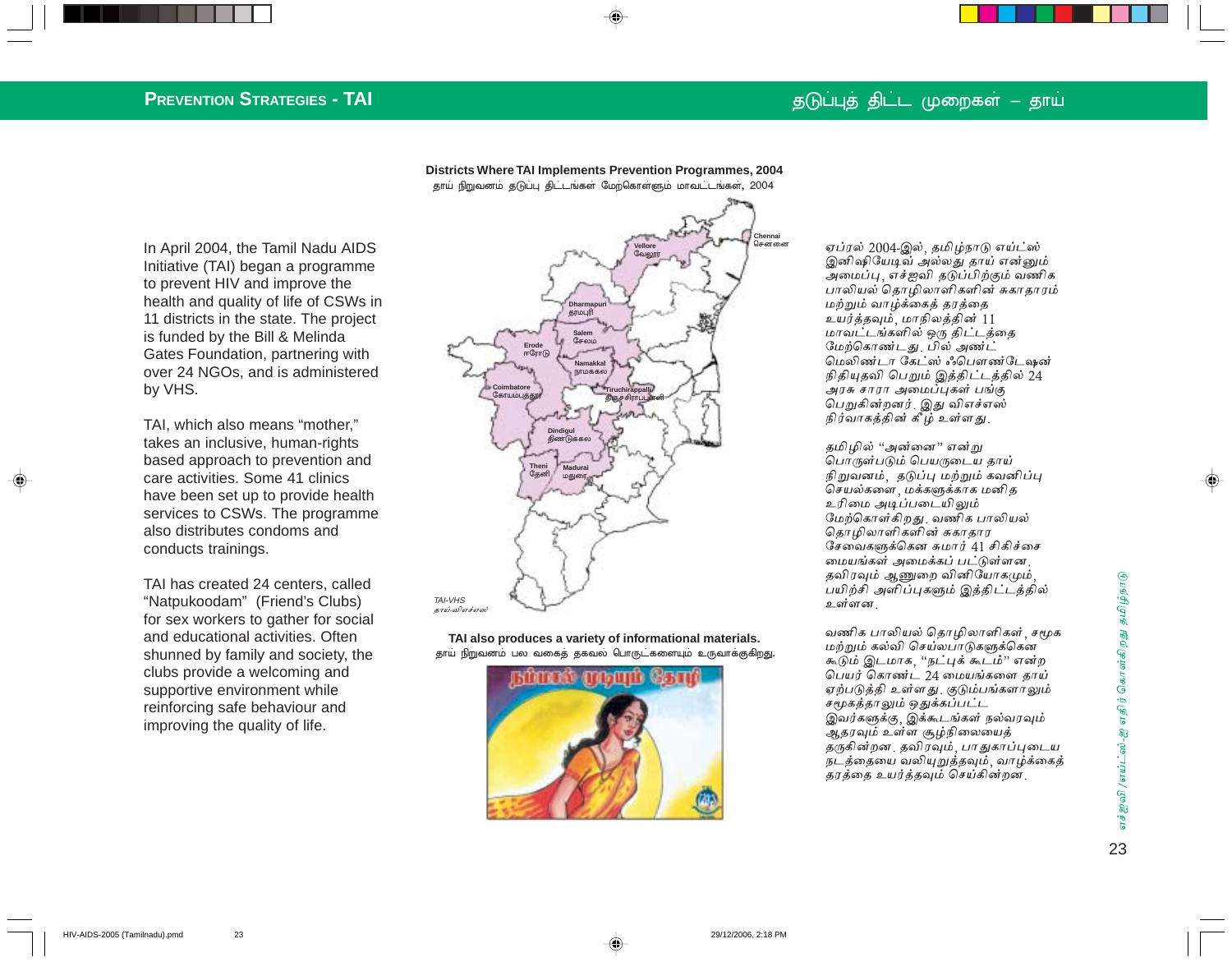### தடுப்புத் திட்ட முறைகள் – தாய்

## **PREVENTION STRATEGIES - TAI**

In April 2004, the Tamil Nadu AIDS Initiative (TAI) began a programme to prevent HIV and improve the health and quality of life of CSWs in 11 districts in the state. The project is funded by the Bill & Melinda Gates Foundation, partnering with over 24 NGOs, and is administered by VHS.

TAI, which also means "mother," takes an inclusive, human-rights based approach to prevention and care activities. Some 41 clinics have been set up to provide health services to CSWs. The programme also distributes condoms and conducts trainings.

TAI has created 24 centers, called "Natpukoodam" (Friend's Clubs) for sex workers to gather for social and educational activities. Often shunned by family and society, the clubs provide a welcoming and supportive environment while reinforcing safe behaviour and improving the quality of life.

**Districts Where TAI Implements Prevention Programmes, 2004** தாய் நிறுவனம் தடுப்பு திட்டங்கள் மேற்கொள்ளும் மாவட்டங்கள், 2004



**TAI also produces a variety of informational materials.** தாய் நிறுவனம் பல வகைத் தகவல் பொருட்களையும் உருவாக்குகிறது.



ஏப்ரல் 2004-இல், தமிழ்நாடு எய்ட்ஸ் இனிஷியேடிவ் அல்லது தாய் என்னும் அமைப்பு , எச்ஐவி தடுப்பிற்கும் வணிக பாலியல் தொழிலாளிகளின் சுகாதாரம் மற்றும் வாழ்க்கைத் தரத்தை உயர்த்தவும், மாநிலத்தின் 11 மாவட்டங்களில் ஒரு திட்டத்தை மேற்கொண்டது. பில் அண்ட் மெலிண்டா கேட்ஸ் ஃபௌண்டேஷன் நிதியுதவி பெறும் இத்திட்டத்தில் 24 அரசு சாரா அமைப்புகள் பங்கு பெறுகின்றனர்<sub>.</sub> இது விஎச்எஸ் நிர்வாகத்தின் கீழ் உள்ளது.

தமிழில் ''அன்னை'' என்று பொருள்படும் பெயருடைய தாய் நிறுவனம், தடுப்பு மற்றும் கவனிப்பு செயல்களை <sub>,</sub> மக்களுக்காக மனித உரிமை அடிப்படையிலும் மேற்கொள்கிறது. வணிக பாலியல் தொழிலாளிகளின் சுகாதார சேவைகளுக்கென சுமார் 41 சிகிச்சை மையங்கள் அமைக்கப் பட்டுள்ளன. தவிரவும் ஆணுறை வினியோகமும், பயிற்சி அளிப்புகளும் இத்திட்டத்தில் உள்ளன.

வணிக பாலியல் தொழிலாளிகள்<sub>,</sub> சமூக மற்றும் கல்வி செய்லபாடுகளுக்கென கூடும் இடமாக, "நட்புக் கூடம்" என்ற பெயர் கொண்ட $24$  மையங்களை தாய் ஏற்படுத்தி உள்ளது. குடும்பங்களாலும் சமூகத்தாலும் ஒதுக்கப்பட்ட இவர்களுக்கு, இக்கூடங்கள் நல்வரவும் ஆதரவும் உள்ள சூழ்நிலையைத் தருகின்றன, தவிரவும், பாதுகாப்புடைய நடத்தையை வலியுறுத்தவும், வாழ்க்கைத் தரத்தை உயர்த்தவும் செய்கின்றன.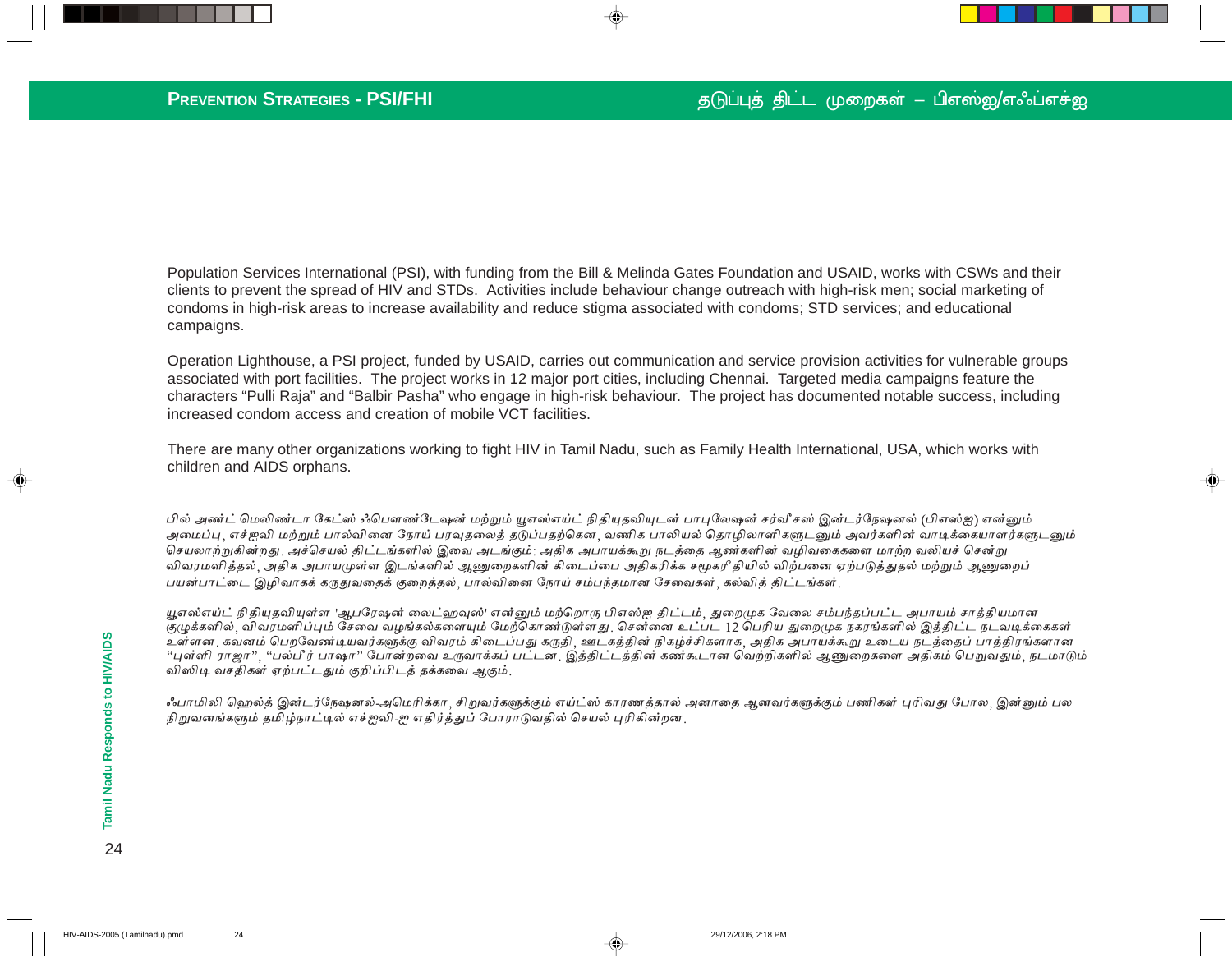♠

Population Services International (PSI), with funding from the Bill & Melinda Gates Foundation and USAID, works with CSWs and their clients to prevent the spread of HIV and STDs. Activities include behaviour change outreach with high-risk men; social marketing of condoms in high-risk areas to increase availability and reduce stigma associated with condoms; STD services; and educational campaigns.

Operation Lighthouse, a PSI project, funded by USAID, carries out communication and service provision activities for vulnerable groups associated with port facilities. The project works in 12 major port cities, including Chennai. Targeted media campaigns feature the characters "Pulli Raja" and "Balbir Pasha" who engage in high-risk behaviour. The project has documented notable success, including increased condom access and creation of mobile VCT facilities.

There are many other organizations working to fight HIV in Tamil Nadu, such as Family Health International, USA, which works with children and AIDS orphans.

பில் அண்ட் மெலிண்டா கேட்ஸ் ஃபௌண்டேஷன் மற்றும் யூஎஸ்எய்ட் நிதியுதவியுடன் பாபுலேஷன் சர்வீசஸ் இன்டர்நேஷனல் (பிஎஸ்ஐ) என்னும் அமைப்பு, எச்ஐவி மற்றும் பால்வினை நோய் பரவுதலைத் தடுப்பதற்கென, வணிக பாலியல் தொழிலாளிகளுடனும் அவர்களின் வாடிக்கையாளர்களுடனும் செயலாற்றுகின்றது அச்செயல் திட்டங்களில் இவை அடங்கும்: அதிக அபாயக்கூறு நடத்தை ஆண்களின் வழிவகைகளை மாற்ற வலியச் சென்று விவரமளித்தல், அதிக அபாயமுள்ள இடங்களில் ஆணுறைகளின் கிடைப்பை அதிகரிக்க சமூகரீ தியில் விற்பனை ஏற்படுத்துதல் மற்றும் ஆணுறைப் பயன்பாட்டை இழிவாகக் கருதுவதைக் குறைத்தல், பால்வினை நோய் சம்பந்தமான சேவைகள், கல்வித் திட்டங்கள்<sub>.</sub>

யூஎஸ்எய்ட் நிதியுதவியுள்ள 'ஆபரேஷன் லைட்ஹவுஸ்' என்னும் மற்றொரு பிஎஸ்ஐ திட்டம், துறைமுக வேலை சம்பந்தப்பட்ட அபாயம் சாத்தியமான குழுக்களில், விவரமளிப்பும் சேவை வழங்கல்களையும் மேற்கொண்டுள்ளது. சென்னை உட்பட 12 பெரிய துறைமுக நகரங்களில் இத்திட்ட நடவடிக்கைகள் உள்ளன. கவனம் பெறவேண்டியவர்களுக்கு விவரம் கிடைப்பது கருதி, ஊடகத்தின் நிகழ்ச்சிகளாக, அதிக அபாயக்கூறு உடைய நடத்தைப் பாத்திரங்களான "புள்ளி ராஜா", "பல்பீர் பாஷா" போன்றவை உருவாக்கப் பட்டன. இத்திட்டத்தின் கண்கூடான வெற்றிகளில் ஆணுறைகளை அதிகம் பெறுவதும், நடமாடும் விஸிடி வசதிகள் ஏற்பட்டதும் குறிப்பிடத் தக்கவை ஆகும்.

ஃபாமிலி ஹெல்த் இன்டர்நேஷனல்-அமெரிக்கா, சிறுவர்களுக்கும் எய்ட்ஸ் காரணத்தால் அனாதை ஆனவர்களுக்கும் பணிகள் புரிவது போல, இன்னும் பல நிறுவனங்களும் தமிழ்நாட்டில் எச்ஐவி-ஐ எதிர்த்துப் போராடுவதில் செயல் புரிகின்றன.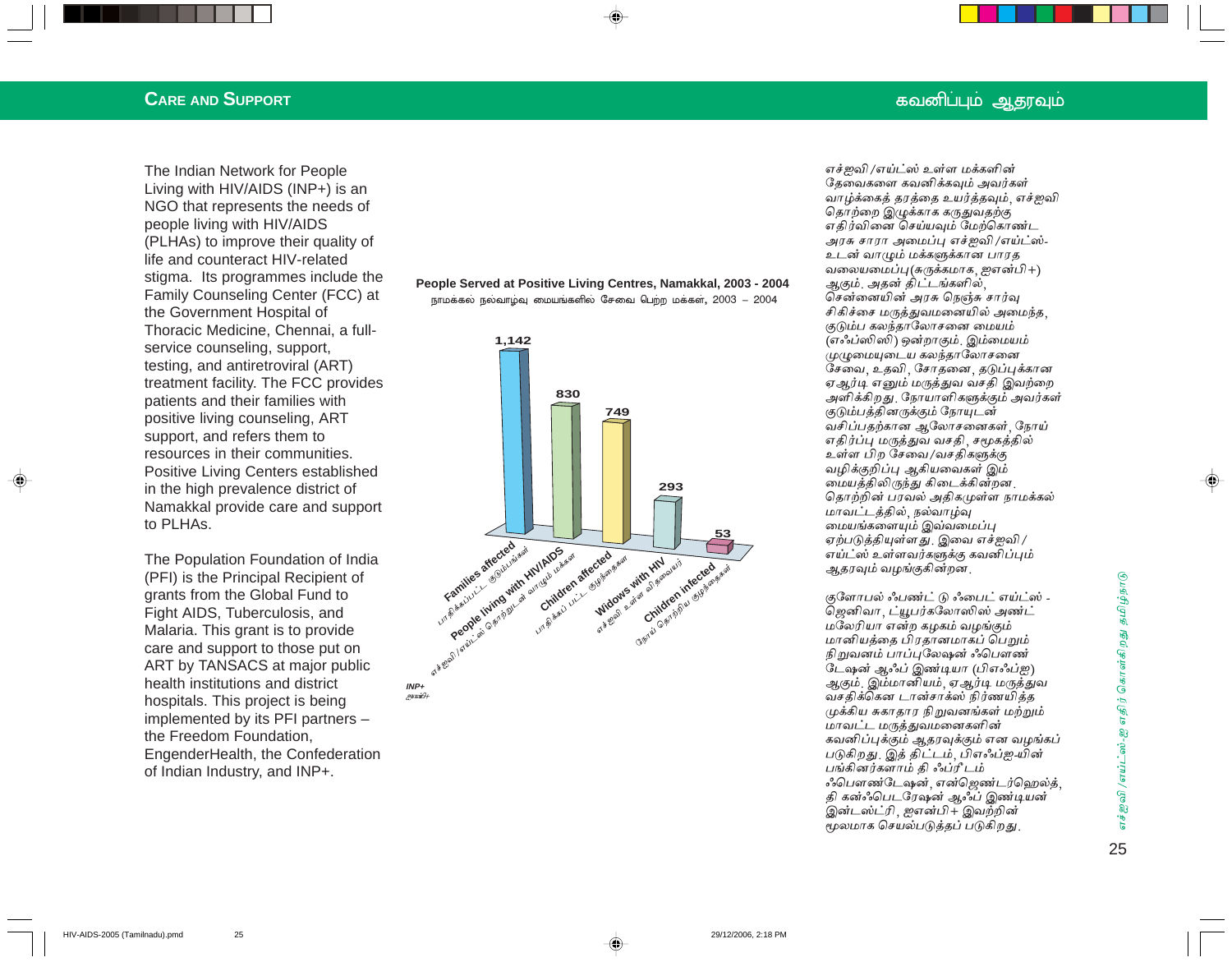### **CARE AND SUPPORT**

The Indian Network for People Living with HIV/AIDS (INP+) is an NGO that represents the needs of people living with HIV/AIDS (PLHAs) to improve their quality of life and counteract HIV-related stigma. Its programmes include the Family Counseling Center (FCC) at the Government Hospital of Thoracic Medicine, Chennai, a fullservice counseling, support, testing, and antiretroviral (ART) treatment facility. The FCC provides patients and their families with positive living counseling, ART support, and refers them to resources in their communities. Positive Living Centers established in the high prevalence district of Namakkal provide care and support to PLHAs.

The Population Foundation of India (PFI) is the Principal Recipient of grants from the Global Fund to Fight AIDS, Tuberculosis, and Malaria. This grant is to provide care and support to those put on ART by TANSACS at major public health institutions and district hospitals. This project is being implemented by its PFI partners the Freedom Foundation, EngenderHealth, the Confederation of Indian Industry, and INP+.

#### People Served at Positive Living Centres, Namakkal, 2003 - 2004 நாமக்கல் நல்வாழ்வு மையங்களில் சேவை பெற்ற மக்கள், 2003 – 2004



எச்ஜவி /எய்ட்ஸ் உள்ள மக்களின் தேவைகளை கவனிக்கவும் அவர்கள் வாழ்க்கைத் தரத்தை உயர்த்தவும். எச்ஐவி தொற்றை இழுக்காக கருதுவதற்கு எதிர்வினை செய்யவும் மேற்கொண்ட அரசு சாரா அமைப்பு எச்ஜவி /எய்ட்ஸ்-உடன் வாழும் மக்களுக்கான பாரத வலையமைப்பு(சுருக்கமாக, ஜஎன்பி+) ஆகும். அகன் கிட்டங்களில் சென்னையின் அரசு நெஞ்சு சார்வு சிகிச்சை மருத்துவமனையில் அமைந்த, குடும்ப கலந்தாலோசனை மையம் (எஃப்ஸிஸி) ஒன்றாகும், இம்மையம் முழுமையுடைய கலந்தாலோசனை சேவை. உதவி, சோதனை, தடுப்புக்கான ஏஆர்டி எனும் மருத்துவ வசதி இவற்றை அளிக்கிறது. நோயாளிகளுக்கும் அவர்கள் குடும்பக்கினருக்கும் நோயுடன் வசிப்பதற்கான ஆலோசனைகள் நோய் எதிர்ப்பு மருத்துவ வசதி, சமூகத்தில் உள்ள பிற சேவை/வசதிகளுக்கு வழிக்குறிப்பு ஆகியவைகள் இம் மையக்கிலிருந்து கிடைக்கின்றன . தொற்றின் பரவல் அதிகமுள்ள நாமக்கல் மாவட்டத்தில், நல்வாழ்வு மையங்களையும் இவ்வமைப்பு ஏற்படுத்தியுள்ளது. இவை எச்ஐவி / எய்ட்ஸ் உள்ளவர்களுக்கு கவனிப்பும் ஆதரவும் வழங்குகின்றன.

குளோபல் ஃபண்ட் டு ஃபைட் எய்ட்ஸ் -ஜெனிவா, ட்யூபர்கலோஸிஸ் அண்ட் மலேரியா என்ற கமகம் வமங்கும் மானியத்தை பிரதானமாகப் பெறும் நிறுவனம் பாப்புலேஷன் ஃபௌண் டேஷன் ஆஃப் இண்டியா (பிஎஃப்ஐ) ஆகும். இம்மானியம், ஏஆர்டி மருத்துவ வசதிக்கௌ டான்சாக்ஸ் நிர்ணயித்த முக்கிய சுகாதார நிறுவனங்கள் மற்றும் மாவட்ட மருத்துவமனைகளின் கவனிப்புக்கும் ஆதரவுக்கும் என வழங்கப் படுகிறது. இத் திட்டம், பிஎஃப்ஐ-யின் பங்கினர்களாம் கி ஃப்ரீ டம் ஃபௌண்டேஷன், என்ஜெண்டர்ஹெல்த், தி கன்ஃபெடரேஷன் ஆஃப் இண்டியன் இன்டஸ்ட்ரி, ஜஎன்பி+ இவற்றின் மூலமாக செயல்படுக்கப் படுகிறது.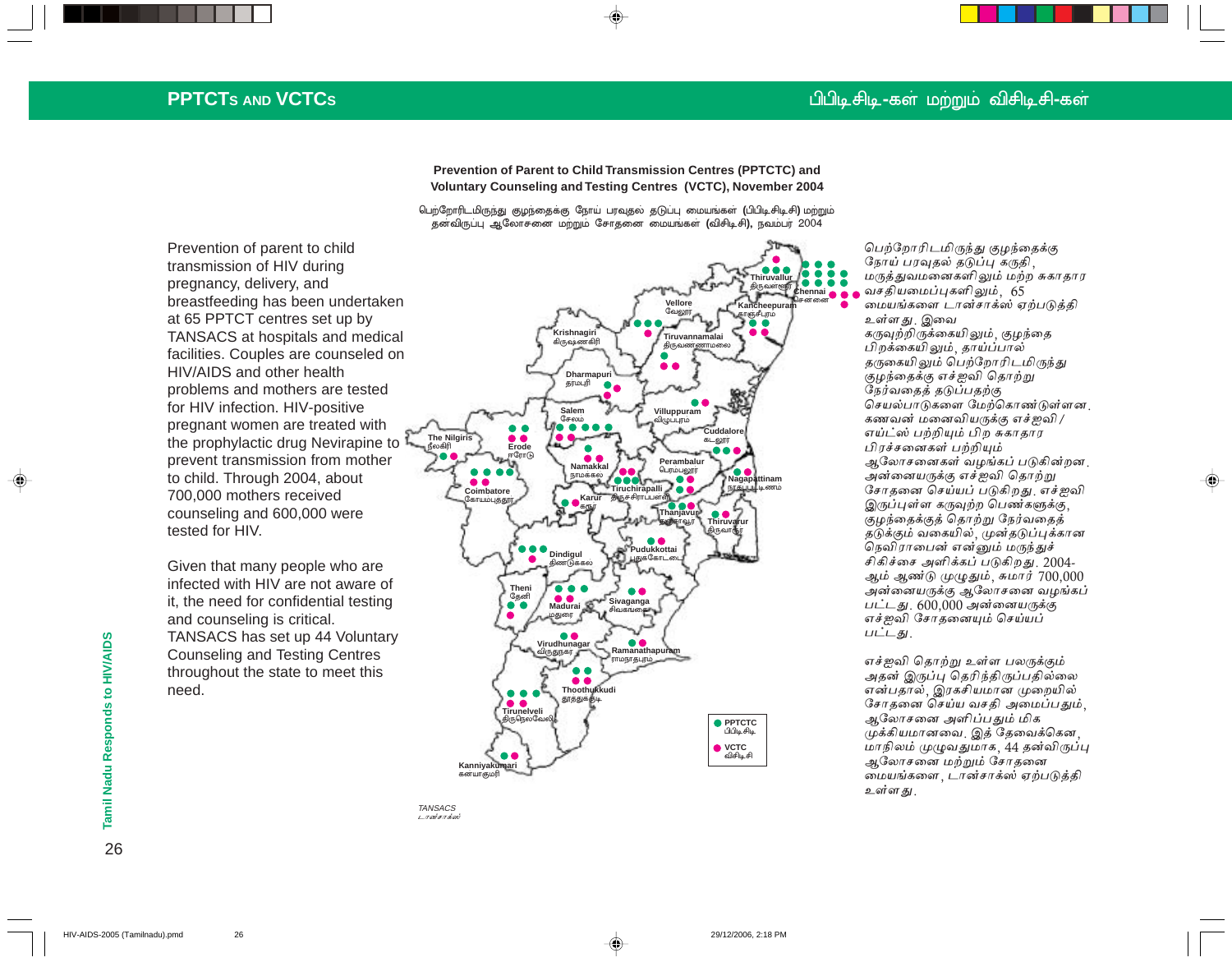### பிபிடி சிடி <del>-</del>கள் மற்றும் விசிடிசி-கள்

## **PPTCTS AND VCTCS**

**Prevention of Parent to Child Transmission Centres (PPTCTC) and Voluntary Counseling and Testing Centres (VCTC), November 2004**

பெற்றோரிடமிருந்து குழந்தைக்கு நோய் பரவுதல் தடுப்பு மையங்கள் **(**பிபிடிசிடிசி) மற்றும் தனவிருப்பு ஆலோசனை மற்றும் சோதனை மையங்கள் **(**விசிடிசி**),** நவம்பர் 2004

**Thiruvallur** த் ? **Chennai Vellore Kancheepuram** சென்னை **vellore Kancheepuram**<br>வேலூர் காஞ்சீபுரம் **Krishnagiri Tiruvannamalai** கிருஷ்ணகிரி த் \ருவண்ணாமலை **Dharmapuri**<br>**giruufi** தர்மபுரி **Salem** (# **Villuppuram** விழுப்புரம் Cuddalo **The Nilgiris** -# **Erode** கடலார் ஈரோடு **Perambalu Namakkal** பெரம்பலூர் நாமக்கல் <mark>Nagapattinam</mark><br>நாகப்பட்டிணம் **Tiruchirapalli Coimbatore Karur** த் ருச்சிராப்  $\cup$ ள்ளி கோயம்புத் தூர் கரு **Thanjavur** 5 **ஞ்சாவூர் Thiruvarur** தி ருவாரூர **Pudukkottai Dindigul** புதுக்கோட்டை தி |ண்டுக்கல் **Theni . .** 66 தேனி **Madurai Sivaganga** சிவகங்கை மதுரை 66 Ramanathapur **Virudhunagar** ராமநாதபுரம்  $\bullet$  $\bullet$ **Thoothukkudi** தூத்துக்குடி  $\bullet$   $\bullet$ **Tirunelveli** ருரெல்கே தி **PPTCTC** பிபிடி சிடி **C** VCTC விசிடிசி **Kanniyakum** கன்யாகமா

**TANSACS** டானசாக்ஸ்

பெற்றோரிடமிருந்து குழந்தைக்கு நோய் பரவுதல் தடுப்பு கருதி, மருத்துவமனைகளிலும் மற்ற சுகாதார வசதியமைப்புகளிலும், 65 மையங்களை டான்சாக்ஸ் ஏற்படுத்தி உள்ளது இவை கருவற்றிருக்கையிலும். குழந்தை பிறக்கையிலும், தாய்ப்பால் தருகையிலும் பெற்றோரிடமிருந்து குழந்தைக்கு எச்ஐவி தொற்று நேர்வதைத் தடுப்பதற்கு செயல்பாடுகளை மேற்கொண்டுள்ளன <u>.</u> கணவன் மனைவியருக்கு எச்ஐவி / எய்ட்ஸ் பற்றியும் பிற சுகாதார பிரச்சனைகள் பற்றியும் ஆலோசனைகள் வழங்கப் படுகின்றன. அன்னையருக்கு எச்ஐவி தொற்று சோதனை செய்யப் படுகிறது. எச்ஐவி இருப்புள்ள கருவுற்ற பெண்களுக்கு, கும் தைக்குத் தொற்று நேர்வதைத் .<br>தடுக்கும் வகையில், முன்தடுப்புக்கான நெவிராபைன் என்னும் மருந்துச் சிகிச்சை அளிக்கப் படுகிறது. 2004-ஆம் ஆண்டு முழுதும், சுமார் 700,000 அன்னையருக்கு ஆலோசனை வழங்கப் பட்டது. 600,000 அன்னையருக்கு எச்ஐவி சோதனையும் செய்யப்  $LIL - 5l$ .

♠

எச்ஐவி தொற்று உள்ள பலருக்கும் அதன் இருப்ப தெரிந்கிருப்பதில்லை என்பதால், இரகசியமான முறையில் சோதனை செய்ய வசதி அமைப்பதும், ஆலோசனை அளிப்பதும் மிக முக்கியமானவை, இத் தேவைக்கென, மாநிலம் முமுவதுமாக, 44 தன்விருப்பு ஆலோசனை மற்றும் சோதனை மையங்களை , டான்சாக்ஸ் ஏற்படுத்தி உள்ளது.

Prevention of parent to child transmission of HIV during pregnancy, delivery, and breastfeeding has been undertaken at 65 PPTCT centres set up by TANSACS at hospitals and medical facilities. Couples are counseled on HIV/AIDS and other health problems and mothers are tested for HIV infection. HIV-positive pregnant women are treated with the prophylactic drug Nevirapine to prevent transmission from mother to child. Through 2004, about 700,000 mothers received counseling and 600,000 were tested for HIV.

Given that many people who are infected with HIV are not aware of it, the need for confidential testing and counseling is critical. TANSACS has set up 44 Voluntary Counseling and Testing Centres throughout the state to meet this need.

Tamil Nadu Responds to HIV/AIDS 26**Tamil Nadu Responds to HIV/AIDS** 26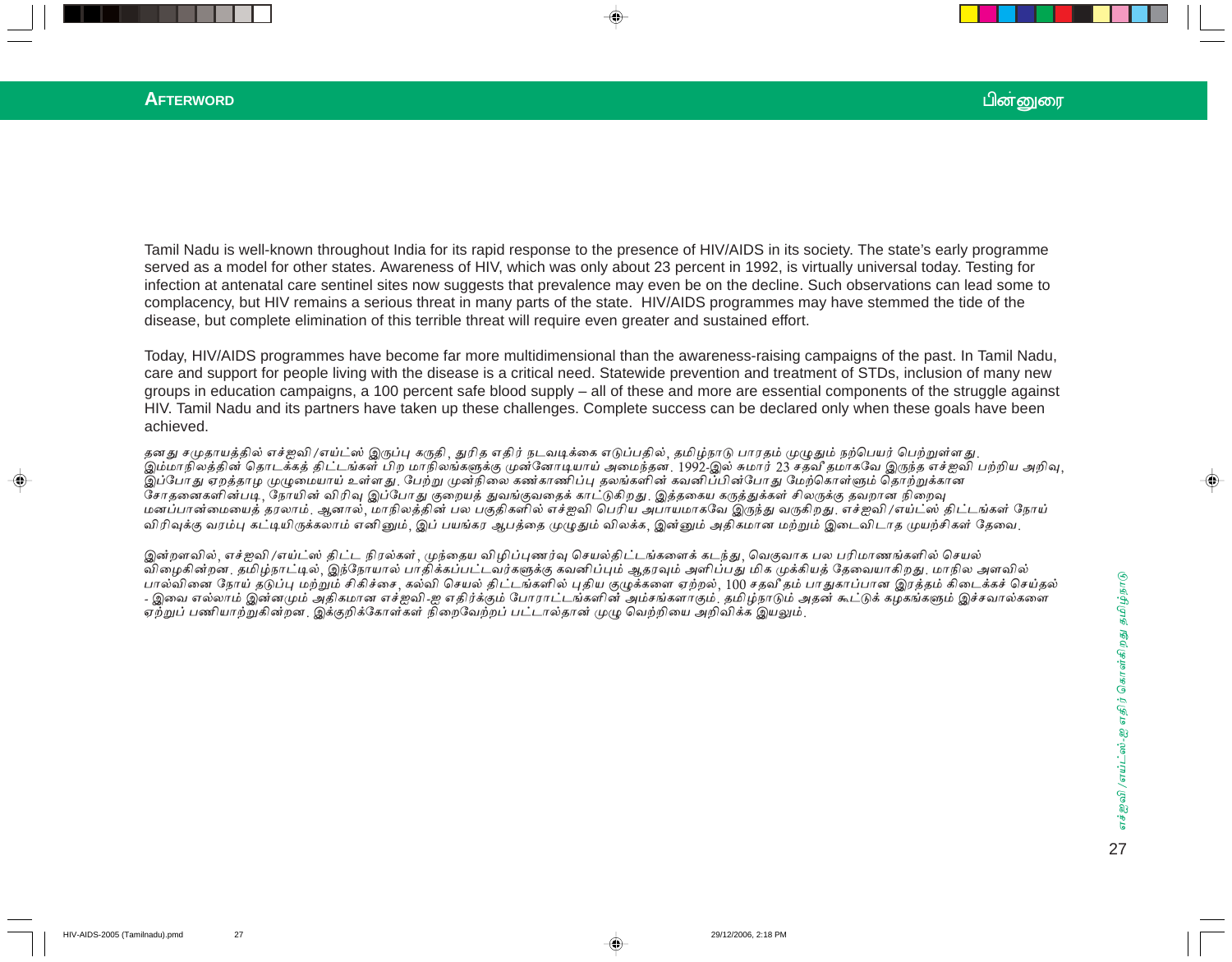#### **AFTERWORD**

Tamil Nadu is well-known throughout India for its rapid response to the presence of HIV/AIDS in its society. The state's early programme served as a model for other states. Awareness of HIV, which was only about 23 percent in 1992, is virtually universal today. Testing for infection at antenatal care sentinel sites now suggests that prevalence may even be on the decline. Such observations can lead some to complacency, but HIV remains a serious threat in many parts of the state. HIV/AIDS programmes may have stemmed the tide of the disease, but complete elimination of this terrible threat will require even greater and sustained effort.

Today, HIV/AIDS programmes have become far more multidimensional than the awareness-raising campaigns of the past. In Tamil Nadu, care and support for people living with the disease is a critical need. Statewide prevention and treatment of STDs, inclusion of many new groups in education campaigns, a 100 percent safe blood supply – all of these and more are essential components of the struggle against HIV. Tamil Nadu and its partners have taken up these challenges. Complete success can be declared only when these goals have been achieved.

தனது சமுதாயத்தில் எச்ஐவி /எய்ட்ஸ் இருப்பு கருதி, துரித எதிர் நடவடிக்கை எடுப்பதில், தமிழ்நாடு பாரதம் முழுதும் நற்பெயர் பெற்றுள்ளது. இம்மாநிலத்தின் தொடக்கத் திட்டங்கள் பிற மாநிலங்களுக்கு முன்னோடியாய் அமைந்தன. 1992-இல் சுமார் 23 சதவீ தமாகவே இருந்த எச்ஐவி பற்றிய அறிவு, .<br>இப்போது ஏறத்தாம முழுமையாய் உள்ளது. பேற்று முன்நிலை கண்காணிப்பு தலங்களின் கவனிப்பின்போது மேற்கொள்ளும் தொற்றுக்கான சோதனைகளின்படி, நோயின் விரிவு இப்போது குறையத் துவங்குவதைக் காட்டுகிறது. இத்தகைய கருத்துக்கள் சிலருக்கு தவறான நிறைவு மனப்பான்மையைத் தரலாம். ஆனால், மாநிலத்தின் பல பகுதிகளில் எச்ஐவி பெரிய அபாயமாகவே இருந்து வருகிறது. எச்ஐவி /எய்ட்ஸ் திட்டங்கள் நோய் விரிவுக்கு வரம்பு கட்டியிருக்கலாம் எனினும், இப் பயங்கர ஆபத்தை முழுதும் விலக்க, இன்னும் அதிகமான மற்றும் இடைவிடாத முயற்சிகள் தேவை,

இன்றளவில், எச்ஐவி /எய்ட்ஸ் திட்ட நிரல்கள், முந்தைய விழிப்புணர்வு செயல்திட்டங்களைக் கடந்து, வெகுவாக பல பரிமாணங்களில் செயல் விழைகின்றன. தமிழ்நாட்டில், இந்நோயால் பாதிக்கப்பட்டவர்களுக்கு கவனிப்பும் ஆதரவும் அளிப்பது மிக முக்கியத் தேவையாகிறது. மாநில அளவில் பால்வினை நோய் தடுப்பு மற்றும் சிகிச்சை. கல்வி செயல் திட்டங்களில் புதிய குழுக்களை ஏற்றல், 100 சதவீதம் பாதுகாப்பான இரத்தம் கிடைக்கச் செய்தல் - இவை எல்லாம் இன்னமும் அதிகமான எச்ஐவி-ஐ எதிர்க்கும் போராட்டங்களின் அம்சங்களாகும். தமிழ்நாடும் அதன் கூட்டுக் கழகங்களும் இச்சவால்களை ஏற்றுப் பணியாற்றுகின்றன. இக்குறிக்கோள்கள் நிறைவேற்றப் பட்டால்தான் முழு வெற்றியை அறிவிக்க இயலும்.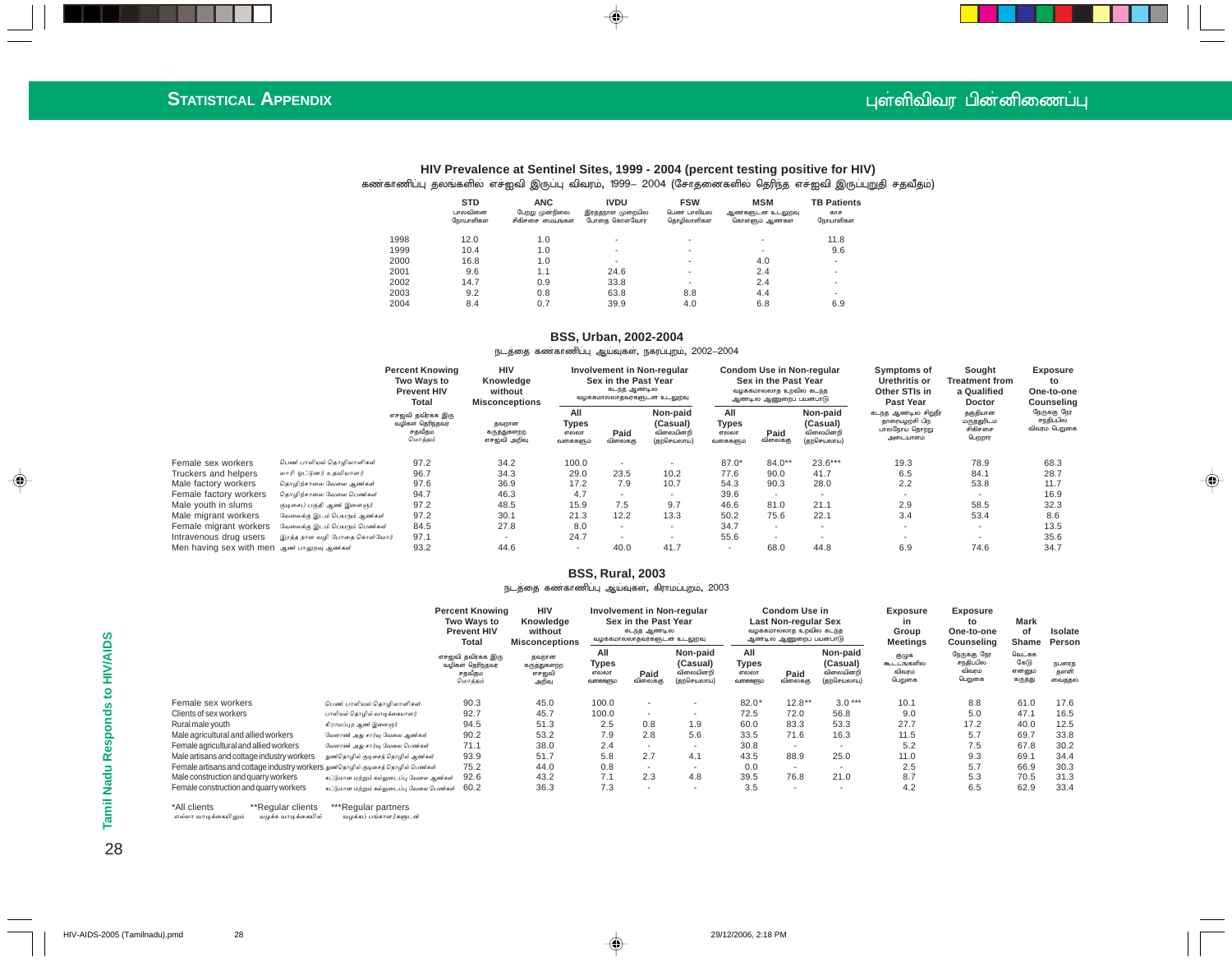#### புள்ளிவிவர பின்னிணைப்பு

 $\color{red} \blacklozenge$ 

#### **HIV Prevalence at Sentinel Sites, 1999 - 2004 (percent testing positive for HIV)** கண்காணிப்பு தலங்களில் எச்ஐவி இருப்பு விவரம், 1999— 2004 (சோதனைகளில் தெரிந்த எச்ஐவி இருப்புறுதி சதவீதம்)

◈

|      | <b>STD</b><br>பால்வினை<br>நோயாளிகள் | <b>ANC</b><br>பேற்று முன்நிலை<br>சிகிச்சை மையங்கள் | <b>IVDU</b><br>இரத்தநாள முறையில்<br>போதை கொள்வோர் | <b>FSW</b><br>பெண் பாலியல்<br>தொழிலாளிகள் | <b>MSM</b><br>ஆண்களுடன் உடலுறவு<br>கொள்ளும் ஆண்கள் | <b>TB Patients</b><br>காச<br>நோயாளிகள் |
|------|-------------------------------------|----------------------------------------------------|---------------------------------------------------|-------------------------------------------|----------------------------------------------------|----------------------------------------|
| 1998 | 12.0                                | 1.0                                                |                                                   | ۰                                         |                                                    | 11.8                                   |
| 1999 | 10.4                                | 1.0                                                |                                                   | ۰                                         |                                                    | 9.6                                    |
| 2000 | 16.8                                | 1.0                                                |                                                   | ۰                                         | 4.0                                                | ٠                                      |
| 2001 | 9.6                                 | 1.1                                                | 24.6                                              | ۰                                         | 2.4                                                | ۰                                      |
| 2002 | 14.7                                | 0.9                                                | 33.8                                              | ۰                                         | 2.4                                                |                                        |
| 2003 | 9.2                                 | 0.8                                                | 63.8                                              | 8.8                                       | 4.4                                                | ۰                                      |
| 2004 | 8.4                                 | 0.7                                                | 39.9                                              | 4.0                                       | 6.8                                                | 6.9                                    |

#### **BSS, Urban, 2002-2004**

#### நடத்தை கண்காணிப்பு ஆய்வுகள், நகரப்புறம், 2002–2004

|                                            |                               | <b>Percent Knowing</b><br><b>Two Wavs to</b><br><b>Prevent HIV</b><br>Total<br>எச்ஐவி தவிரக்க இரு<br>வழிகள் தெரிந்தவர்<br>சதவீதம்<br>மொத்தம் | <b>HIV</b><br>Knowledge<br>without<br><b>Misconceptions</b> |                                   | Involvement in Non-regular<br>Sex in the Past Year<br>கடந்த ஆண்டில்<br>வழக்கமால்லாதவர்களுடன் உடலுறவு |                                                    |                                   |                          | Condom Use in Non-regular<br>Sex in the Past Year<br>வழக்கமால்லாத உறவில் கடந்த<br>ஆண்டில் ஆணுறைப் பயன்பாடு |                                                                       | Sought<br>Treatment from<br>a Qualified<br>Doctor | Exposure<br>to<br>One-to-one<br>Counseling    |
|--------------------------------------------|-------------------------------|----------------------------------------------------------------------------------------------------------------------------------------------|-------------------------------------------------------------|-----------------------------------|------------------------------------------------------------------------------------------------------|----------------------------------------------------|-----------------------------------|--------------------------|------------------------------------------------------------------------------------------------------------|-----------------------------------------------------------------------|---------------------------------------------------|-----------------------------------------------|
|                                            |                               |                                                                                                                                              | தவறான<br>கருத்துகளற்ற<br>எச்ஐவி அறிவு                       | All<br>Types<br>எல்லா<br>வகைகளும் | Paid<br>விலைக்கு                                                                                     | Non-paid<br>(Casual)<br>விலையின்றி<br>(தற்செயலாய்) | All<br>Types<br>எல்லா<br>வகைகளும் | Paid<br>விலைக்கு         | Non-paid<br>(Casual)<br>விலையின்றி<br>(தற்செயலாய்)                                                         | கடந்த ஆண்டில் சிறுநீர<br>தாரையழற்சி பிற<br>பால்நோய் தொற்று<br>அடையாளம | தகுதியான<br>மருத்துரிடம்<br>சிகிச்சை<br>பெற்றார்  | நேருக்கு நேர்<br>சந்திப்பில்<br>விவரம் பெறுகை |
| Female sex workers                         | பெண் பாலியல் தொழிலாளிகள்      | 97.2                                                                                                                                         | 34.2                                                        | 100.0                             |                                                                                                      |                                                    | $87.0*$                           | $84.0**$                 | $23.6***$                                                                                                  | 19.3                                                                  | 78.9                                              | 68.3                                          |
| Truckers and helpers                       | லாரி ஒட்டுனர் உதவியாளர்       | 96.7                                                                                                                                         | 34.3                                                        | 29.0                              | 23.5                                                                                                 | 10.2                                               | 77.6                              | 90.0                     | 41.7                                                                                                       | 6.5                                                                   | 84.1                                              | 28.7                                          |
| Male factory workers                       | தொழிற்சாலை வேலை ஆண்கள்        | 97.6                                                                                                                                         | 36.9                                                        | 17.2                              | 7.9                                                                                                  | 10.7                                               | 54.3                              | 90.3                     | 28.0                                                                                                       | 2.2                                                                   | 53.8                                              | 11.7                                          |
| Female factory workers                     | தொழிற்சாலை வேலை பெண்கள்       | 94.7                                                                                                                                         | 46.3                                                        | 4.7                               |                                                                                                      | . .                                                | 39.6                              |                          |                                                                                                            | $\sim$                                                                |                                                   | 16.9                                          |
| Male youth in slums                        | குடிசைப் பகுதி ஆண் இளைஞர்     | 97.2                                                                                                                                         | 48.5                                                        | 15.9                              | 7.5                                                                                                  | 9.7                                                | 46.6                              | 81.0                     | 21.1                                                                                                       | 2.9                                                                   | 58.5                                              | 32.3                                          |
| Male migrant workers                       | வேலைக்கு இடம் பெயரும் ஆண்கள்  | 97.2                                                                                                                                         | 30.1                                                        | 21.3                              | 12.2                                                                                                 | 13.3                                               | 50.2                              | 75.6                     | 22.1                                                                                                       | 3.4                                                                   | 53.4                                              | 8.6                                           |
| Female migrant workers                     | வேலைக்கு இடம் பெயரும் பெண்கள் | 84.5                                                                                                                                         | 27.8                                                        | 8.0                               |                                                                                                      |                                                    | 34.7                              | $\overline{\phantom{a}}$ |                                                                                                            | $\sim$                                                                |                                                   | 13.5                                          |
| Intravenous drug users                     | இரத்த நாள வழி போதை கொள்வோர்   | 97.1                                                                                                                                         |                                                             | 24.7                              |                                                                                                      | $\overline{\phantom{a}}$                           | 55.6                              | $\overline{\phantom{a}}$ |                                                                                                            |                                                                       |                                                   | 35.6                                          |
| Men having sex with men ஆண் பாலுறவு ஆண்கள் |                               | 93.2                                                                                                                                         | 44.6                                                        | $\overline{\phantom{a}}$          | 40.0                                                                                                 | 41.7                                               | $\overline{\phantom{a}}$          | 68.0                     | 44.8                                                                                                       | 6.9                                                                   | 74.6                                              | 34.7                                          |

#### **BSS, Rural, 2003**

#### நடத்தை கணகாணிப்பு ஆய்வுகள், கிராமப்புறம், 2003

|                                                                                     | <b>Percent Knowing</b><br><b>Two Wavs to</b><br><b>Prevent HIV</b><br>Total<br>எச்ஐவி தவிரக்க இரு<br>வழிகள் தெரிந்தவர்<br>சதவீதம்<br>மொத்தம் | <b>HIV</b><br>Knowledge<br>without<br><b>Misconceptions</b><br>தவறான<br>கருத்துகளற்ற<br>எச்ஐவி<br>அறிவு | Involvement in Non-regular<br>Sex in the Past Year<br>கடந்த ஆண்டில்<br>வழக்கமால்லாதவர்களுடன உடலுறவு |                  |                                                    | <b>Condom Use in</b><br>Last Non-regular Sex<br>வழக்கமால்லாத உறவில் கடந்த<br>ஆண்டில் ஆணுறைப் பயன்பாடு |                  |                                                    | Exposure<br>in<br>Group<br><b>Meetings</b> | <b>Exposure</b><br>to<br>One-to-one<br>Counseling | Mark<br>of<br>Shame                  | Isolate<br>Person          |
|-------------------------------------------------------------------------------------|----------------------------------------------------------------------------------------------------------------------------------------------|---------------------------------------------------------------------------------------------------------|-----------------------------------------------------------------------------------------------------|------------------|----------------------------------------------------|-------------------------------------------------------------------------------------------------------|------------------|----------------------------------------------------|--------------------------------------------|---------------------------------------------------|--------------------------------------|----------------------------|
|                                                                                     |                                                                                                                                              |                                                                                                         | All<br>Types<br>எல்லா<br>வகைகளும்                                                                   | Paid<br>விலைக்கு | Non-paid<br>(Casual)<br>விலையின்றி<br>(தற்செயலாய்) | All<br>Types<br>எல்லா<br>வகைகளும்                                                                     | Paid<br>விலைக்கு | Non-paid<br>(Casual)<br>விலையின்றி<br>(தற்செயலாய்) | குழுக்<br>கூட்டங்களில்<br>விவரம்<br>பெறுகை | நேருக்கு நேர்<br>சந்திப்பில்<br>விவரம்<br>பெறுகை  | வெட்கக்<br>கேடு<br>என்னும்<br>கருதது | நபரைத்<br>தள்ளி<br>வைத்தல் |
| Female sex workers<br>பெண் பாலியல் தொழிலாளிகள்                                      | 90.3                                                                                                                                         | 45.0                                                                                                    | 100.0                                                                                               |                  |                                                    | $82.0*$                                                                                               | $12.8**$         | $3.0***$                                           | 10.1                                       | 8.8                                               | 61.0                                 | 17.6                       |
| Clients of sex workers<br>பாலியல் தொழில் வாடிக்கையாளர்                              | 92.7                                                                                                                                         | 45.7                                                                                                    | 100.0                                                                                               | ۰                |                                                    | 72.5                                                                                                  | 72.0             | 56.8                                               | 9.0                                        | 5.0                                               | 47.1                                 | 16.5                       |
| Rural male vouth<br>கிராமப்புற ஆண் இளைஞர்                                           | 94.5                                                                                                                                         | 51.3                                                                                                    | 2.5                                                                                                 | 0.8              | 1.9                                                | 60.0                                                                                                  | 83.3             | 53.3                                               | 27.7                                       | 17.2                                              | 40.0                                 | 12.5                       |
| Male agricultural and allied workers<br>வேளாண் அது சார்வு வேலை ஆண்கள்               | 90.2                                                                                                                                         | 53.2                                                                                                    | 7.9                                                                                                 | 2.8              | 5.6                                                | 33.5                                                                                                  | 71.6             | 16.3                                               | 11.5                                       | 5.7                                               | 69.7                                 | 33.8                       |
| Female agricultural and allied workers<br>வேளாண் அது சார்வு வேலை பெண்கள்            | 71.1                                                                                                                                         | 38.0                                                                                                    | 2.4                                                                                                 |                  |                                                    | 30.8                                                                                                  | $\sim$           |                                                    | 5.2                                        | 7.5                                               | 67.8                                 | 30.2                       |
| Male artisans and cottage industry workers<br>நுண்தொழில் குடிசைத் தொழில் ஆண்கள்     | 93.9                                                                                                                                         | 51.7                                                                                                    | 5.8                                                                                                 | 2.7              | 4.1                                                | 43.5                                                                                                  | 88.9             | 25.0                                               | 11.0                                       | 9.3                                               | 69.1                                 | 34.4                       |
| Female artisans and cottage industry workers நுண்தொழில் குடிசைத் தொழில் பெண்கள்     | 75.2                                                                                                                                         | 44.0                                                                                                    | 0.8                                                                                                 | ۰                | $\overline{\phantom{a}}$                           | 0.0                                                                                                   | $\sim$           | . .                                                | 2.5                                        | 5.7                                               | 66.9                                 | 30.3                       |
| Male construction and quarry workers<br>கட்டுமான மற்றும் கல்லுடைப்பு வேலை ஆண்கள்    | 92.6                                                                                                                                         | 43.2                                                                                                    | 7.1                                                                                                 | 2.3              | 4.8                                                | 39.5                                                                                                  | 76.8             | 21.0                                               | 8.7                                        | 5.3                                               | 70.5                                 | 31.3                       |
| Female construction and quarry workers<br>கட்டுமான மற்றும் கல்லுடைப்பு வேலை பெண்கள் | 60.2                                                                                                                                         | 36.3                                                                                                    | 7.3                                                                                                 |                  | $\overline{\phantom{a}}$                           | 3.5                                                                                                   | ۰.               | $\overline{\phantom{a}}$                           | 4.2                                        | 6.5                                               | 62.9                                 | 33.4                       |

எல்லா வாடிக்கையிலும் வழக்க வாடிக்கையில் வழக்கப் பங்காளர்களுடன் \*All clients \*\*Regular clients \*\*\*Regular partners

28**Tamil Nadu Responds to HIV/AIDS** 28

Tamil Nadu Responds to HIV/AIDS

 $\bigoplus$